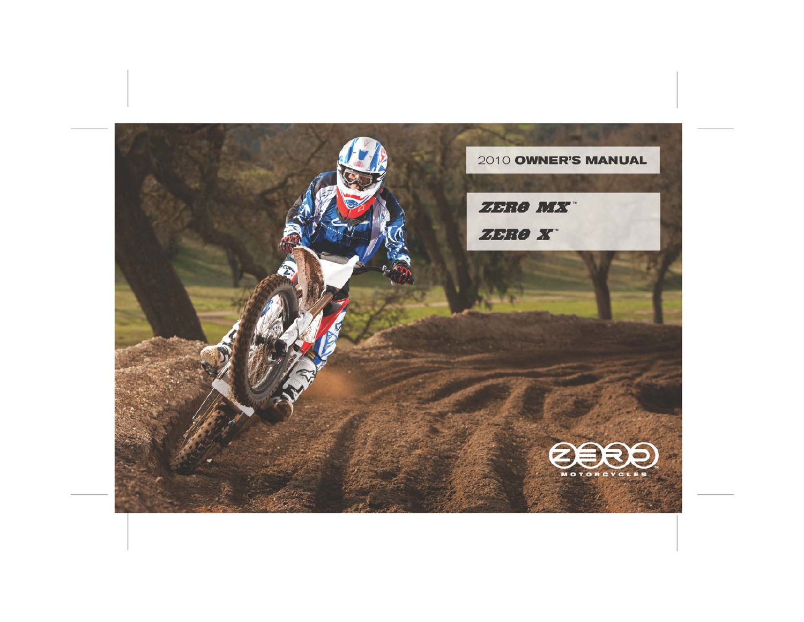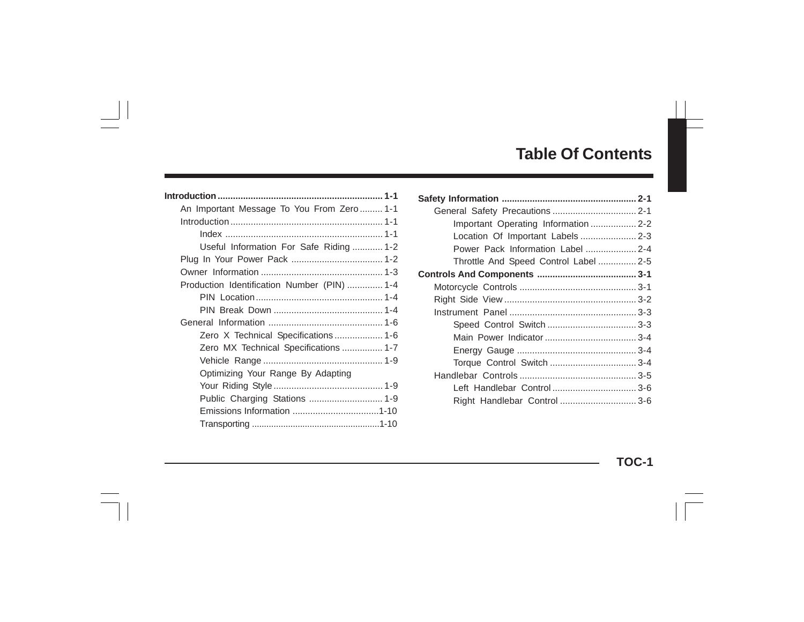# **Table Of Contents**

| An Important Message To You From Zero 1-1   |  |
|---------------------------------------------|--|
|                                             |  |
|                                             |  |
| Useful Information For Safe Riding  1-2     |  |
|                                             |  |
|                                             |  |
| Production Identification Number (PIN)  1-4 |  |
|                                             |  |
|                                             |  |
|                                             |  |
| Zero X Technical Specifications  1-6        |  |
| Zero MX Technical Specifications  1-7       |  |
|                                             |  |
| Optimizing Your Range By Adapting           |  |
|                                             |  |
|                                             |  |
|                                             |  |
|                                             |  |

| Important Operating Information  2-2  |  |
|---------------------------------------|--|
|                                       |  |
| Power Pack Information Label  2-4     |  |
| Throttle And Speed Control Label  2-5 |  |
|                                       |  |
|                                       |  |
|                                       |  |
|                                       |  |
|                                       |  |
|                                       |  |
|                                       |  |
|                                       |  |
|                                       |  |
|                                       |  |
| Right Handlebar Control  3-6          |  |
|                                       |  |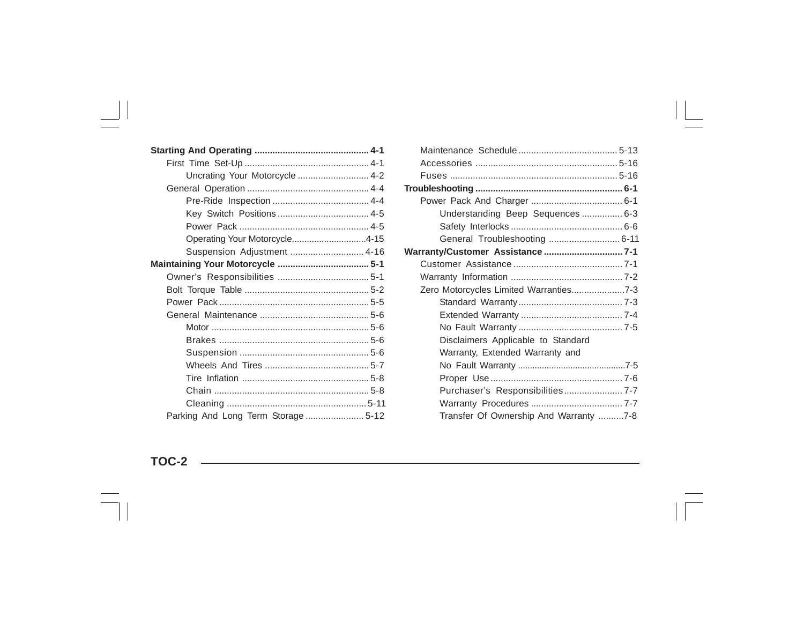| Uncrating Your Motorcycle  4-2      |  |
|-------------------------------------|--|
|                                     |  |
|                                     |  |
|                                     |  |
|                                     |  |
| Operating Your Motorcycle4-15       |  |
| Suspension Adjustment  4-16         |  |
|                                     |  |
|                                     |  |
|                                     |  |
|                                     |  |
|                                     |  |
|                                     |  |
|                                     |  |
|                                     |  |
|                                     |  |
|                                     |  |
|                                     |  |
|                                     |  |
| Parking And Long Term Storage  5-12 |  |

| Understanding Beep Sequences  6-3      |  |
|----------------------------------------|--|
|                                        |  |
| General Troubleshooting  6-11          |  |
| Warranty/Customer Assistance 7-1       |  |
|                                        |  |
|                                        |  |
|                                        |  |
|                                        |  |
|                                        |  |
|                                        |  |
| Disclaimers Applicable to Standard     |  |
| Warranty, Extended Warranty and        |  |
|                                        |  |
|                                        |  |
| Purchaser's Responsibilities 7-7       |  |
|                                        |  |
| Transfer Of Ownership And Warranty 7-8 |  |

**TOC-2**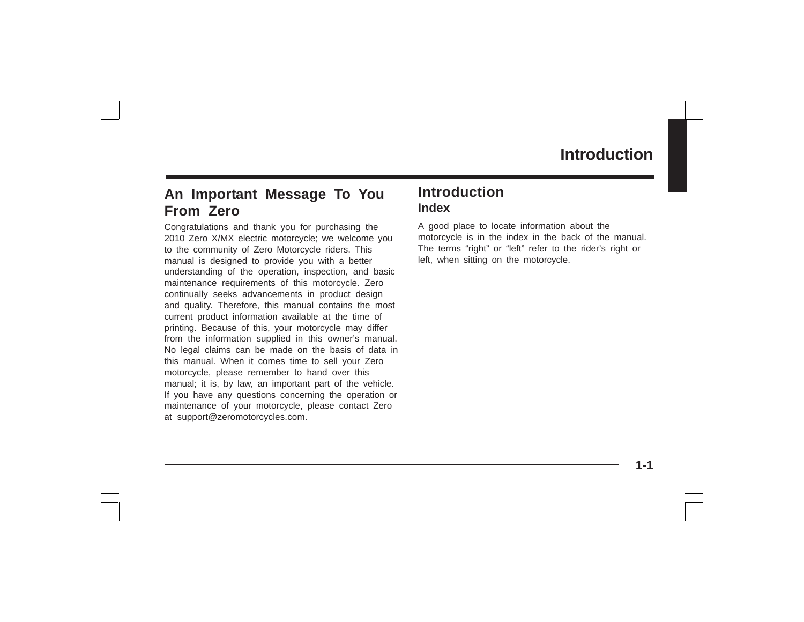# **An Important Message To You From Zero**

Congratulations and thank you for purchasing the 2010 Zero X/MX electric motorcycle; we welcome you to the community of Zero Motorcycle riders. This manual is designed to provide you with a better understanding of the operation, inspection, and basic maintenance requirements of this motorcycle. Zero continually seeks advancements in product design and quality. Therefore, this manual contains the most current product information available at the time of printing. Because of this, your motorcycle may differ from the information supplied in this owner's manual. No legal claims can be made on the basis of data in this manual. When it comes time to sell your Zero motorcycle, please remember to hand over this manual; it is, by law, an important part of the vehicle. If you have any questions concerning the operation or maintenance of your motorcycle, please contact Zero at support@zeromotorcycles.com.

# **Introduction Index**

A good place to locate information about the motorcycle is in the index in the back of the manual. The terms "right" or "left" refer to the rider's right or left, when sitting on the motorcycle.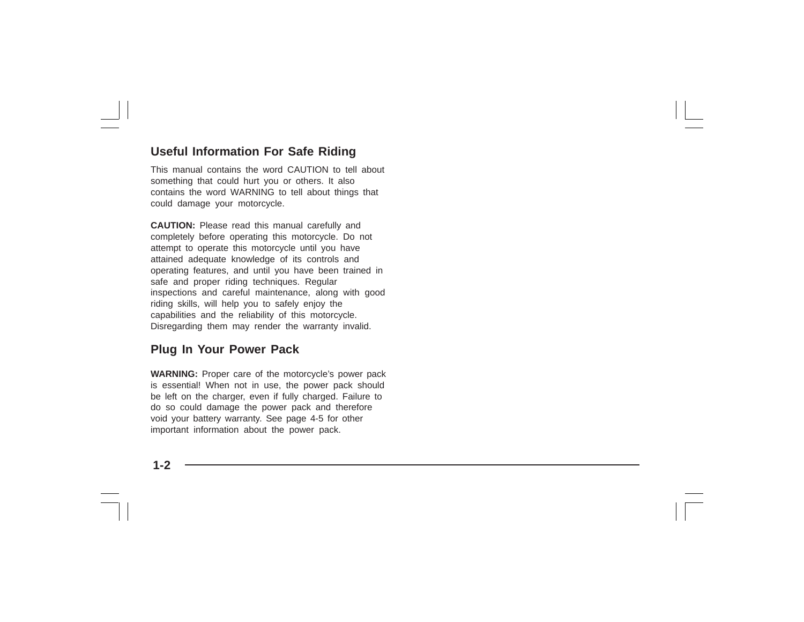## **Useful Information For Safe Riding**

This manual contains the word CAUTION to tell about something that could hurt you or others. It also contains the word WARNING to tell about things that could damage your motorcycle.

**CAUTION:** Please read this manual carefully and completely before operating this motorcycle. Do not attempt to operate this motorcycle until you have attained adequate knowledge of its controls and operating features, and until you have been trained in safe and proper riding techniques. Regular inspections and careful maintenance, along with good riding skills, will help you to safely enjoy the capabilities and the reliability of this motorcycle. Disregarding them may render the warranty invalid.

### **Plug In Your Power Pack**

**WARNING:** Proper care of the motorcycle's power pack is essential! When not in use, the power pack should be left on the charger, even if fully charged. Failure to do so could damage the power pack and therefore void your battery warranty. See page 4-5 for other important information about the power pack.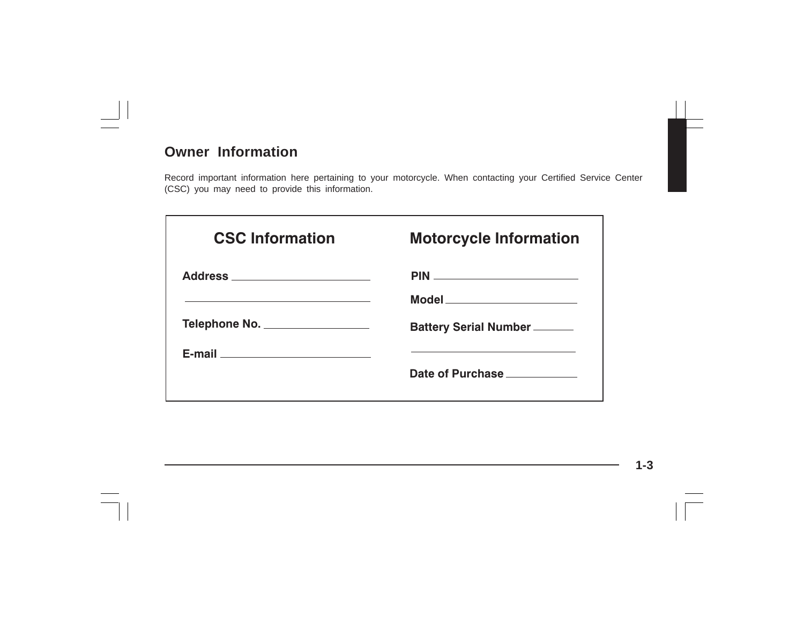# **Owner Information**

Record important information here pertaining to your motorcycle. When contacting your Certified Service Center (CSC) you may need to provide this information.

| <b>CSC Information</b>          | <b>Motorcycle Information</b>       |
|---------------------------------|-------------------------------------|
| Address _______________________ |                                     |
|                                 | Model ________________________      |
| Telephone No.                   | <b>Battery Serial Number ______</b> |
|                                 |                                     |
|                                 | Date of Purchase                    |
|                                 |                                     |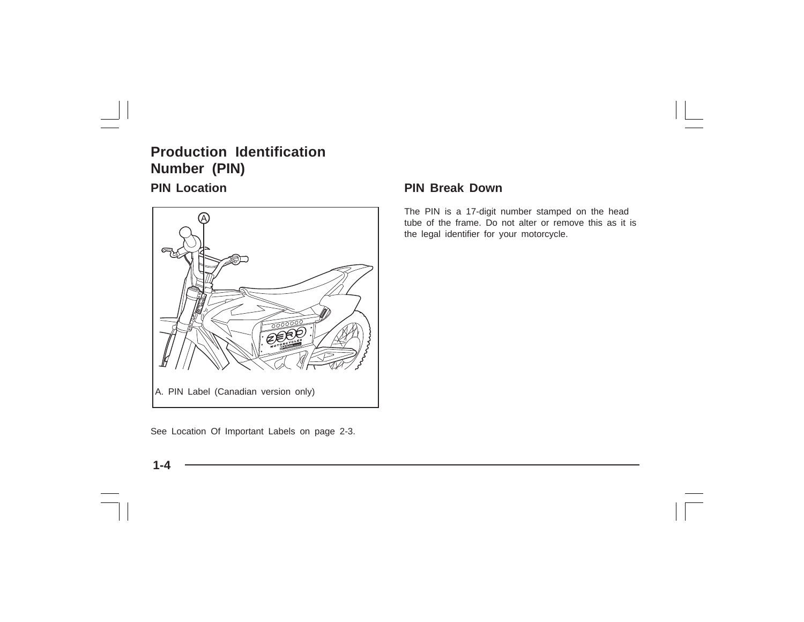# **Production Identification Number (PIN)**



See Location Of Important Labels on page 2-3.

### **PIN Location PIN Break Down**

The PIN is a 17-digit number stamped on the head tube of the frame. Do not alter or remove this as it is the legal identifier for your motorcycle.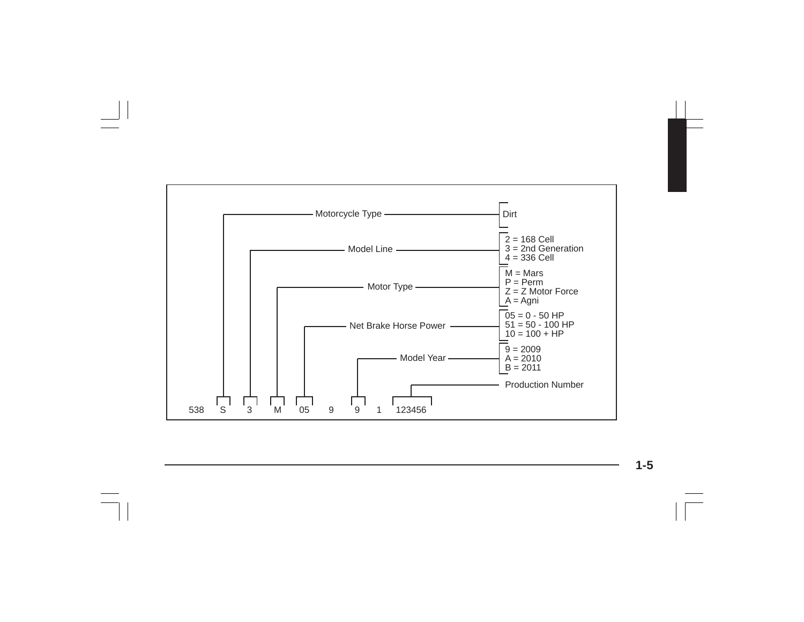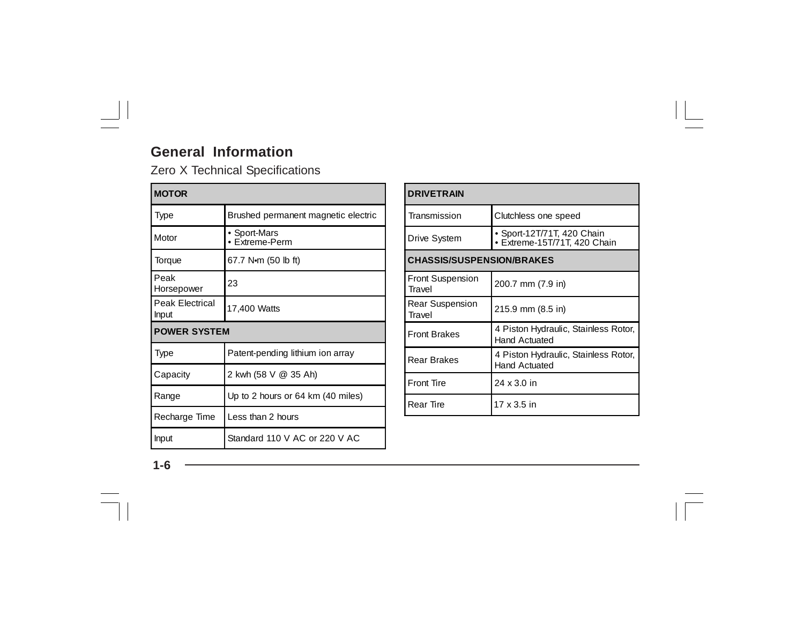# **General Information**

Zero X Technical Specifications

| <b>MOTOR</b>                    |                                     |  |
|---------------------------------|-------------------------------------|--|
| Type                            | Brushed permanent magnetic electric |  |
| Motor                           | • Sport-Mars<br>• Extreme-Perm      |  |
| Torque                          | 67.7 N $\cdot$ m (50 lb ft)         |  |
| Peak<br>Horsepower              | 23                                  |  |
| Peak Electrical<br><b>Input</b> | 17,400 Watts                        |  |
| <b>POWER SYSTEM</b>             |                                     |  |
| Type                            | Patent-pending lithium ion array    |  |
| Capacity                        | 2 kwh (58 V @ 35 Ah)                |  |
| Range                           | Up to 2 hours or 64 km (40 miles)   |  |
| Recharge Time                   | Less than 2 hours                   |  |
| <b>Input</b>                    | Standard 110 V AC or 220 V AC       |  |

| <b>DRIVETRAIN</b>                 |                                                              |  |  |
|-----------------------------------|--------------------------------------------------------------|--|--|
| Transmission                      | Clutchless one speed                                         |  |  |
| Drive System                      | ▶ Sport-12T/71T, 420 Chain<br>· Extreme-15T/71T, 420 Chain   |  |  |
| <b>CHASSIS/SUSPENSION/BRAKES</b>  |                                                              |  |  |
| <b>Front Suspension</b><br>Travel | 200.7 mm (7.9 in)                                            |  |  |
| <b>Rear Suspension</b><br>Travel  | 215.9 mm (8.5 in)                                            |  |  |
| <b>Front Brakes</b>               | 4 Piston Hydraulic, Stainless Rotor,<br><b>Hand Actuated</b> |  |  |
| <b>Rear Brakes</b>                | 4 Piston Hydraulic, Stainless Rotor,<br><b>Hand Actuated</b> |  |  |
| <b>Front Tire</b>                 | 24 x 3.0 in                                                  |  |  |
| <b>Rear Tire</b>                  | 17 x 3.5 in                                                  |  |  |

**1-6**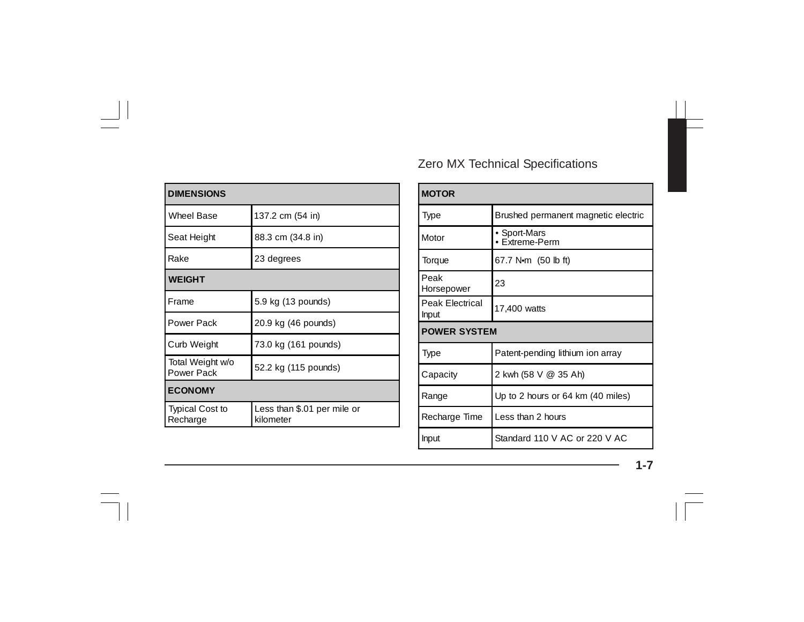| <b>DIMENSIONS</b>                  |                                          |  |
|------------------------------------|------------------------------------------|--|
| Wheel Base                         | 137.2 cm (54 in)                         |  |
| Seat Height                        | 88.3 cm (34.8 in)                        |  |
| Rake                               | 23 degrees                               |  |
| <b>WEIGHT</b>                      |                                          |  |
| Frame                              | 5.9 kg (13 pounds)                       |  |
| Power Pack                         | 20.9 kg (46 pounds)                      |  |
| Curb Weight                        | 73.0 kg (161 pounds)                     |  |
| Total Weight w/o<br>Power Pack     | 52.2 kg (115 pounds)                     |  |
| <b>ECONOMY</b>                     |                                          |  |
| <b>Typical Cost to</b><br>Recharge | Less than \$.01 per mile or<br>kilometer |  |

# Zero MX Technical Specifications

| <b>MOTOR</b>             |                                     |  |
|--------------------------|-------------------------------------|--|
| Type                     | Brushed permanent magnetic electric |  |
| Motor                    | • Sport-Mars<br>• Extreme-Perm      |  |
| Torque                   | 67.7 N $\cdot$ m (50 lb ft)         |  |
| Peak<br>Horsepower       | 23                                  |  |
| Peak Electrical<br>Input | 17,400 watts                        |  |
| <b>POWER SYSTEM</b>      |                                     |  |
| Type                     | Patent-pending lithium ion array    |  |
| Capacity                 | 2 kwh (58 V @ 35 Ah)                |  |
| Range                    | Up to 2 hours or 64 km (40 miles)   |  |
| Recharge Time            | Less than 2 hours                   |  |
| Input                    | Standard 110 V AC or 220 V AC       |  |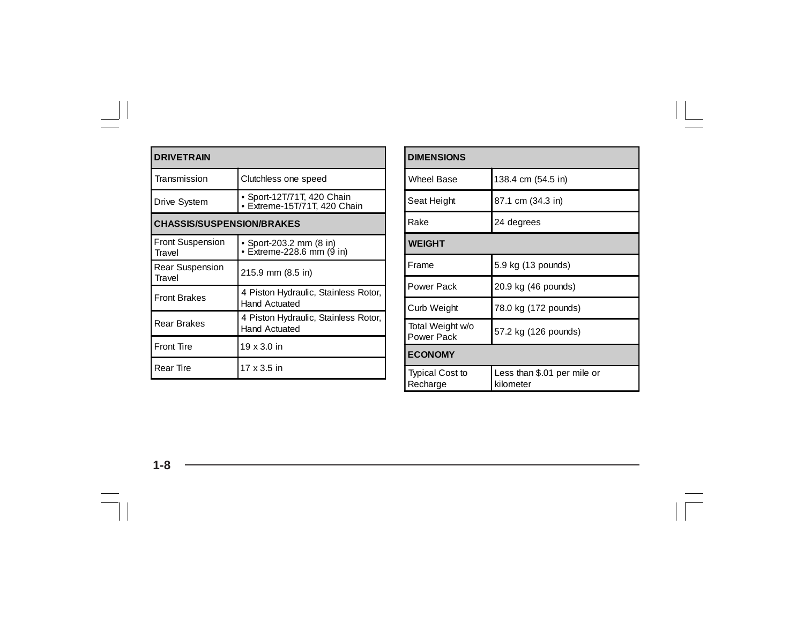| <b>DRIVETRAIN</b>                 |                                                              |  |
|-----------------------------------|--------------------------------------------------------------|--|
| Transmission                      | Clutchless one speed                                         |  |
| Drive System                      | Sport-12T/71T, 420 Chain<br>Extreme-15T/71T, 420 Chain       |  |
| <b>CHASSIS/SUSPENSION/BRAKES</b>  |                                                              |  |
| <b>Front Suspension</b><br>Travel | • Sport-203.2 mm (8 in)<br>Extreme-228.6 mm (9 in)           |  |
| Rear Suspension<br>Travel         | 215.9 mm (8.5 in)                                            |  |
| <b>Front Brakes</b>               | 4 Piston Hydraulic, Stainless Rotor,<br><b>Hand Actuated</b> |  |
| Rear Brakes                       | 4 Piston Hydraulic, Stainless Rotor,<br><b>Hand Actuated</b> |  |
| <b>Front Tire</b>                 | 19 x 3.0 in                                                  |  |
| <b>Rear Tire</b>                  | 17 x 3.5 in                                                  |  |

| <b>DIMENSIONS</b>                  |                                          |  |  |
|------------------------------------|------------------------------------------|--|--|
| <b>Wheel Base</b>                  | 138.4 cm (54.5 in)                       |  |  |
| Seat Height                        | 87.1 cm (34.3 in)                        |  |  |
| Rake                               | 24 degrees                               |  |  |
| <b>WEIGHT</b>                      |                                          |  |  |
| Frame                              | 5.9 kg (13 pounds)                       |  |  |
| Power Pack                         | 20.9 kg (46 pounds)                      |  |  |
| Curb Weight                        | 78.0 kg (172 pounds)                     |  |  |
| Total Weight w/o<br>Power Pack     | 57.2 kg (126 pounds)                     |  |  |
| <b>ECONOMY</b>                     |                                          |  |  |
| <b>Typical Cost to</b><br>Recharge | Less than \$.01 per mile or<br>kilometer |  |  |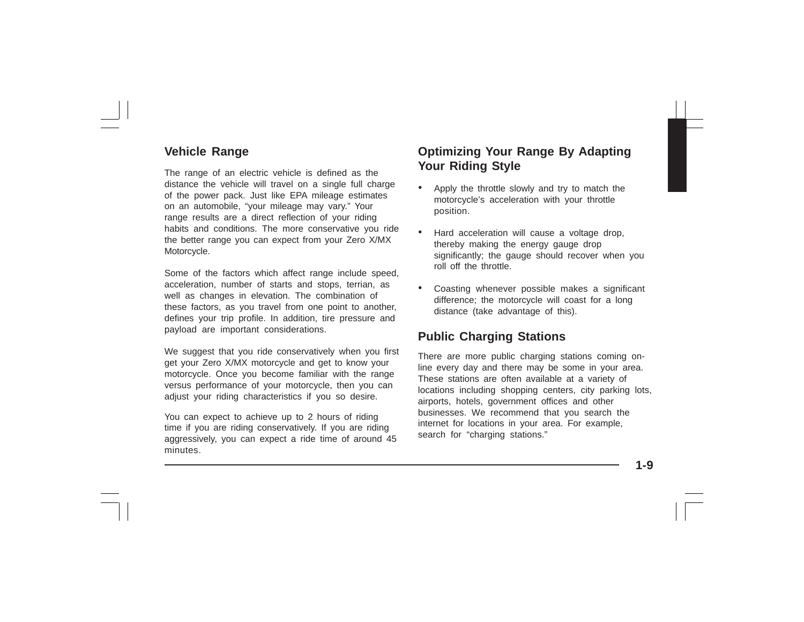## **Vehicle Range**

The range of an electric vehicle is defined as the distance the vehicle will travel on a single full charge of the power pack. Just like EPA mileage estimates on an automobile, "your mileage may vary." Your range results are a direct reflection of your riding habits and conditions. The more conservative you ride the better range you can expect from your Zero X/MX Motorcycle.

Some of the factors which affect range include speed, acceleration, number of starts and stops, terrian, as well as changes in elevation. The combination of these factors, as you travel from one point to another, defines your trip profile. In addition, tire pressure and payload are important considerations.

We suggest that you ride conservatively when you first get your Zero X/MX motorcycle and get to know your motorcycle. Once you become familiar with the range versus performance of your motorcycle, then you can adjust your riding characteristics if you so desire.

You can expect to achieve up to 2 hours of riding time if you are riding conservatively. If you are riding aggressively, you can expect a ride time of around 45 minutes.

# **Optimizing Your Range By Adapting Your Riding Style**

- • Apply the throttle slowly and try to match the motorcycle's acceleration with your throttle position.
- • Hard acceleration will cause a voltage drop, thereby making the energy gauge drop significantly; the gauge should recover when you roll off the throttle.
- • Coasting whenever possible makes a significant difference; the motorcycle will coast for a long distance (take advantage of this).

## **Public Charging Stations**

There are more public charging stations coming online every day and there may be some in your area. These stations are often available at a variety of locations including shopping centers, city parking lots, airports, hotels, government offices and other businesses. We recommend that you search the internet for locations in your area. For example, search for "charging stations."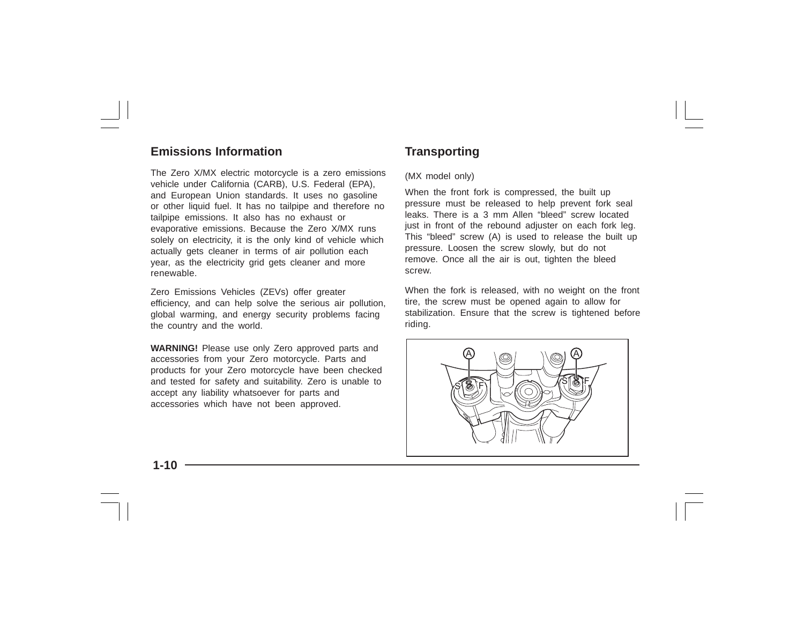### **Emissions Information**

The Zero X/MX electric motorcycle is a zero emissions vehicle under California (CARB), U.S. Federal (EPA), and European Union standards. It uses no gasoline or other liquid fuel. It has no tailpipe and therefore no tailpipe emissions. It also has no exhaust or evaporative emissions. Because the Zero X/MX runs solely on electricity, it is the only kind of vehicle which actually gets cleaner in terms of air pollution each year, as the electricity grid gets cleaner and more renewable.

Zero Emissions Vehicles (ZEVs) offer greater efficiency, and can help solve the serious air pollution, global warming, and energy security problems facing the country and the world.

**WARNING!** Please use only Zero approved parts and accessories from your Zero motorcycle. Parts and products for your Zero motorcycle have been checked and tested for safety and suitability. Zero is unable to accept any liability whatsoever for parts and accessories which have not been approved.

# **Transporting**

#### (MX model only)

When the front fork is compressed, the built up pressure must be released to help prevent fork seal leaks. There is a 3 mm Allen "bleed" screw located just in front of the rebound adjuster on each fork leg. This "bleed" screw (A) is used to release the built up pressure. Loosen the screw slowly, but do not remove. Once all the air is out, tighten the bleed screw.

When the fork is released, with no weight on the front tire, the screw must be opened again to allow for stabilization. Ensure that the screw is tightened before riding.

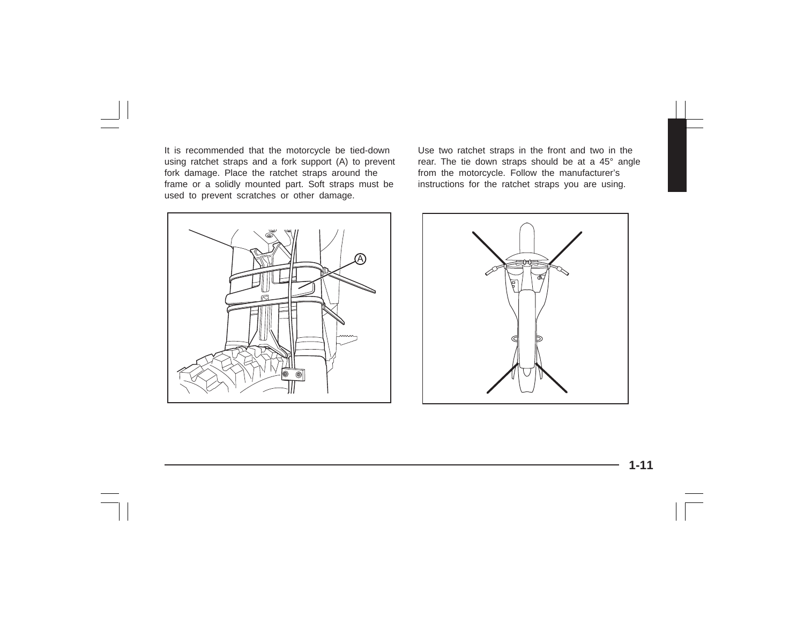It is recommended that the motorcycle be tied-down using ratchet straps and a fork support (A) to prevent fork damage. Place the ratchet straps around the frame or a solidly mounted part. Soft straps must be used to prevent scratches or other damage.



Use two ratchet straps in the front and two in the rear. The tie down straps should be at a 45° angle from the motorcycle. Follow the manufacturer's instructions for the ratchet straps you are using.

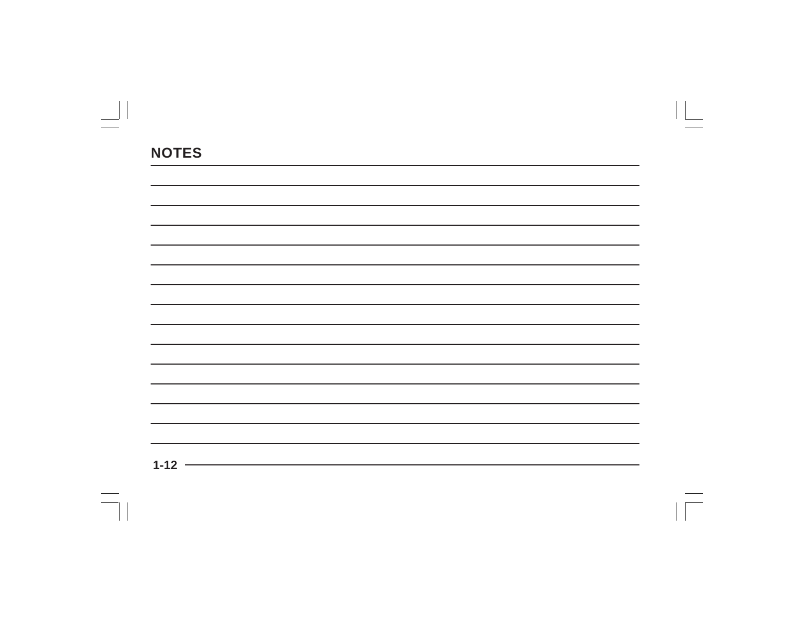| ,我们也不会有什么。""我们的人,我们也不会有什么?""我们的人,我们也不会有什么?""我们的人,我们也不会有什么?""我们的人,我们也不会有什么?""我们的人 |  |  |
|----------------------------------------------------------------------------------|--|--|
|                                                                                  |  |  |
|                                                                                  |  |  |
|                                                                                  |  |  |
|                                                                                  |  |  |
|                                                                                  |  |  |
|                                                                                  |  |  |
|                                                                                  |  |  |
|                                                                                  |  |  |
|                                                                                  |  |  |
| $\overline{1}$                                                                   |  |  |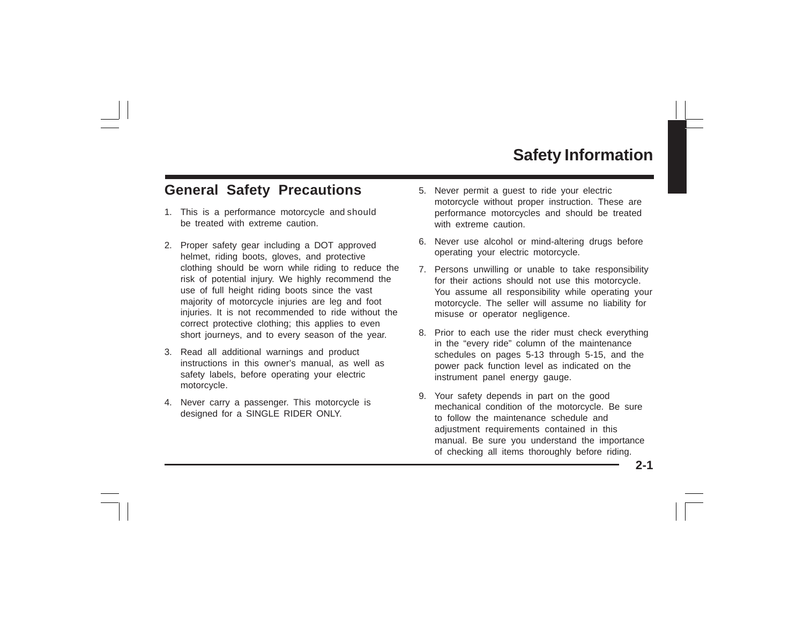# **Safety Information**

# **General Safety Precautions**

- 1. This is a performance motorcycle and should be treated with extreme caution.
- 2. Proper safety gear including a DOT approved helmet, riding boots, gloves, and protective clothing should be worn while riding to reduce the risk of potential injury. We highly recommend the use of full height riding boots since the vast majority of motorcycle injuries are leg and foot injuries. It is not recommended to ride without the correct protective clothing; this applies to even short journeys, and to every season of the year.
- 3. Read all additional warnings and product instructions in this owner's manual, as well as safety labels, before operating your electric motorcycle.
- 4. Never carry a passenger. This motorcycle is designed for a SINGLE RIDER ONLY.
- 5. Never permit a guest to ride your electric motorcycle without proper instruction. These are performance motorcycles and should be treated with extreme caution.
- 6. Never use alcohol or mind-altering drugs before operating your electric motorcycle.
- 7. Persons unwilling or unable to take responsibility for their actions should not use this motorcycle. You assume all responsibility while operating your motorcycle. The seller will assume no liability for misuse or operator negligence.
- 8. Prior to each use the rider must check everything in the "every ride" column of the maintenance schedules on pages 5-13 through 5-15, and the power pack function level as indicated on the instrument panel energy gauge.
- 9. Your safety depends in part on the good mechanical condition of the motorcycle. Be sure to follow the maintenance schedule and adjustment requirements contained in this manual. Be sure you understand the importance of checking all items thoroughly before riding.

**2-1**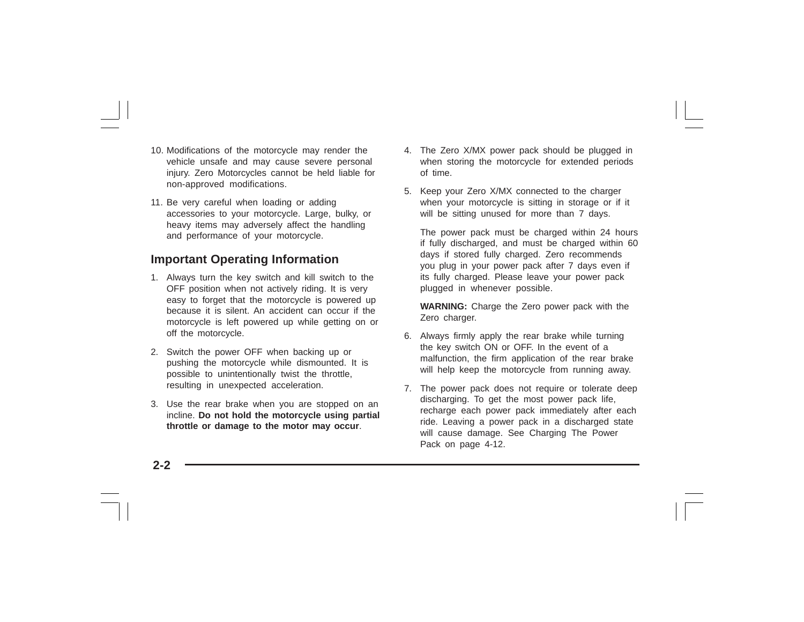- 10. Modifications of the motorcycle may render the vehicle unsafe and may cause severe personal injury. Zero Motorcycles cannot be held liable for non-approved modifications.
- 11. Be very careful when loading or adding accessories to your motorcycle. Large, bulky, or heavy items may adversely affect the handling and performance of your motorcycle.

## **Important Operating Information**

- 1. Always turn the key switch and kill switch to the OFF position when not actively riding. It is very easy to forget that the motorcycle is powered up because it is silent. An accident can occur if the motorcycle is left powered up while getting on or off the motorcycle.
- 2. Switch the power OFF when backing up or pushing the motorcycle while dismounted. It is possible to unintentionally twist the throttle, resulting in unexpected acceleration.
- 3. Use the rear brake when you are stopped on an incline. **Do not hold the motorcycle using partial throttle or damage to the motor may occur**.
- 4. The Zero X/MX power pack should be plugged in when storing the motorcycle for extended periods of time.
- 5. Keep your Zero X/MX connected to the charger when your motorcycle is sitting in storage or if it will be sitting unused for more than 7 days.

The power pack must be charged within 24 hours if fully discharged, and must be charged within 60 days if stored fully charged. Zero recommends you plug in your power pack after 7 days even if its fully charged. Please leave your power pack plugged in whenever possible.

**WARNING:** Charge the Zero power pack with the Zero charger.

- 6. Always firmly apply the rear brake while turning the key switch ON or OFF. In the event of a malfunction, the firm application of the rear brake will help keep the motorcycle from running away.
- 7. The power pack does not require or tolerate deep discharging. To get the most power pack life, recharge each power pack immediately after each ride. Leaving a power pack in a discharged state will cause damage. See Charging The Power Pack on page 4-12.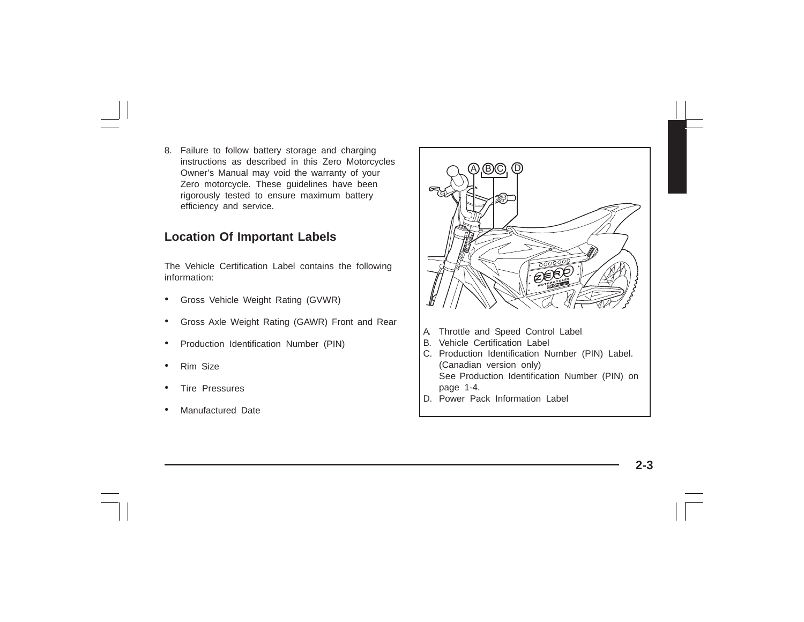8. Failure to follow battery storage and charging instructions as described in this Zero Motorcycles Owner's Manual may void the warranty of your Zero motorcycle. These guidelines have been rigorously tested to ensure maximum battery efficiency and service.

## **Location Of Important Labels**

The Vehicle Certification Label contains the following information:

- •Gross Vehicle Weight Rating (GVWR)
- •Gross Axle Weight Rating (GAWR) Front and Rear
- •Production Identification Number (PIN)
- •Rim Size
- •Tire Pressures
- •Manufactured Date



- A. Throttle and Speed Control Label
- B. Vehicle Certification Label
- C. Production Identification Number (PIN) Label. (Canadian version only) See Production Identification Number (PIN) on page 1-4.
- D. Power Pack Information Label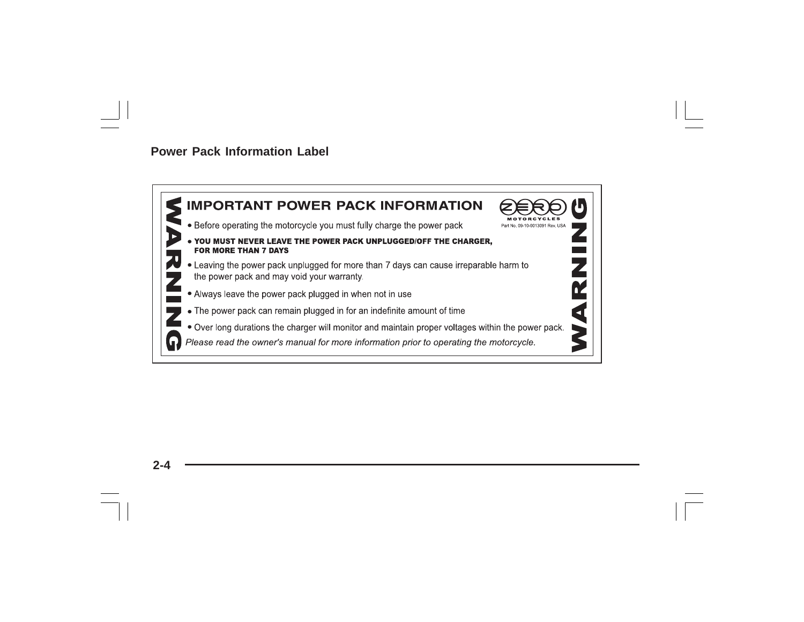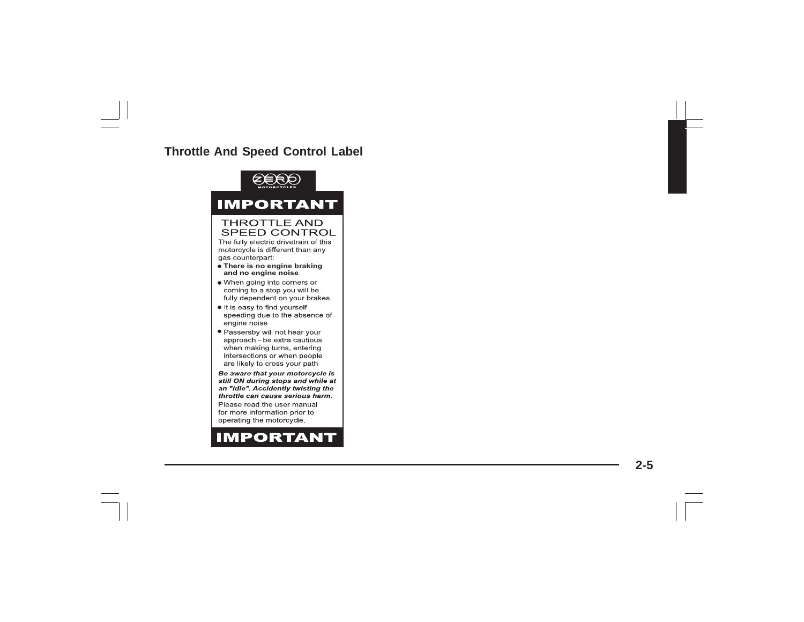## **Throttle And Speed Control Label**



**2-5**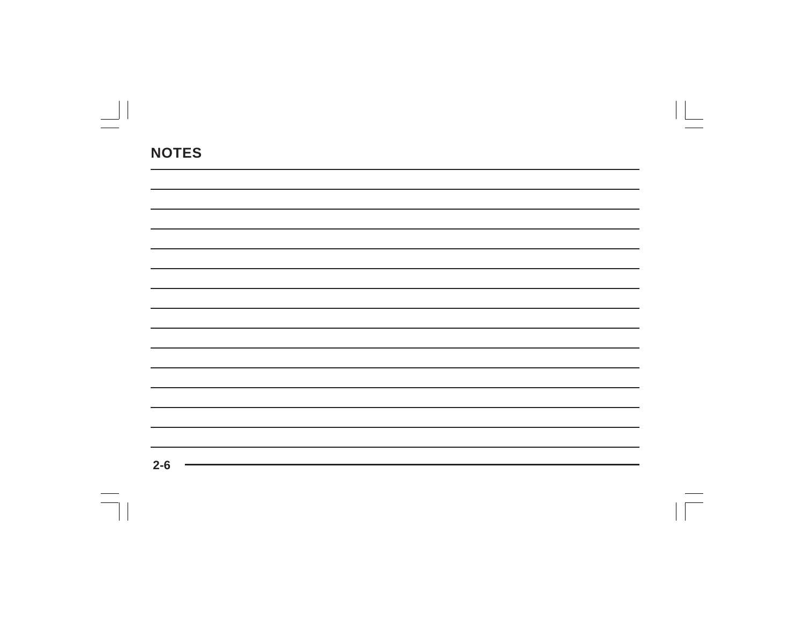| $2 - 6$ |  |  |  |
|---------|--|--|--|
|         |  |  |  |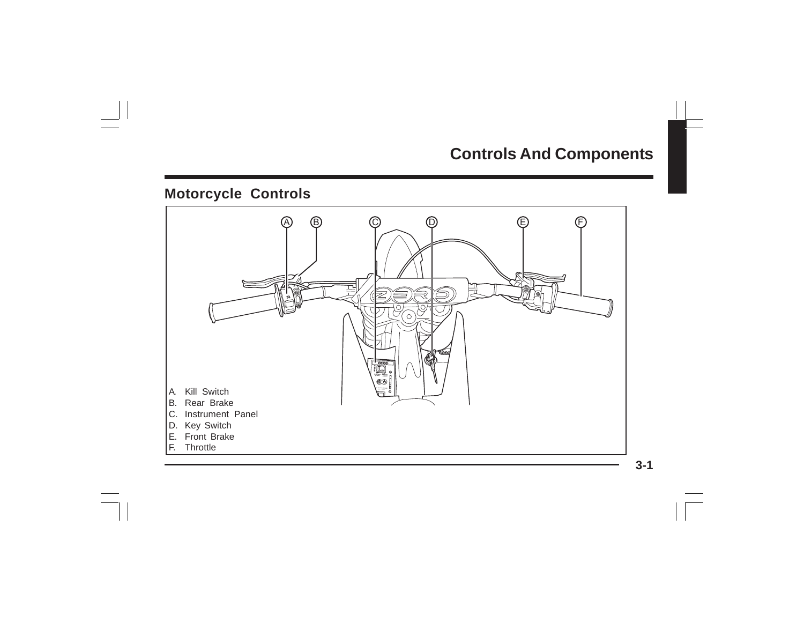# **Controls And Components**

# **Motorcycle Controls**

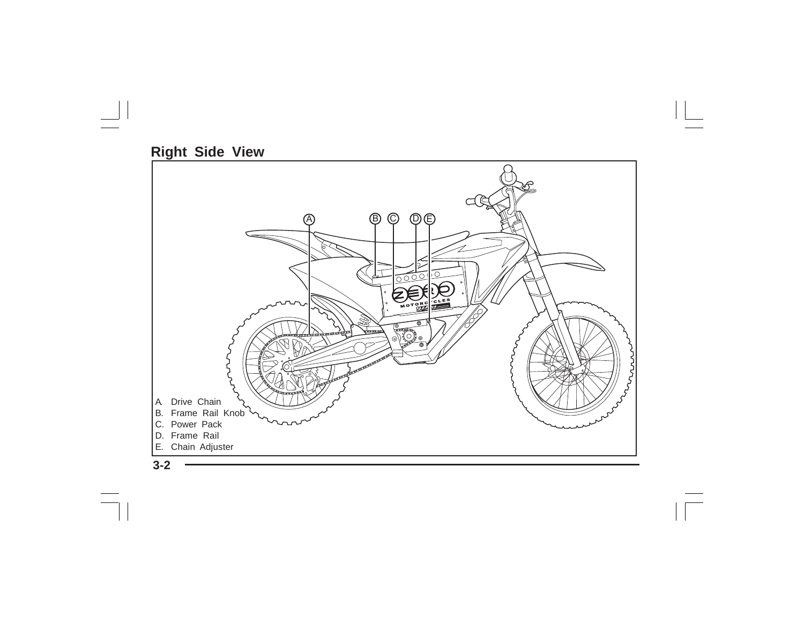# **Right Side View**



**3-2**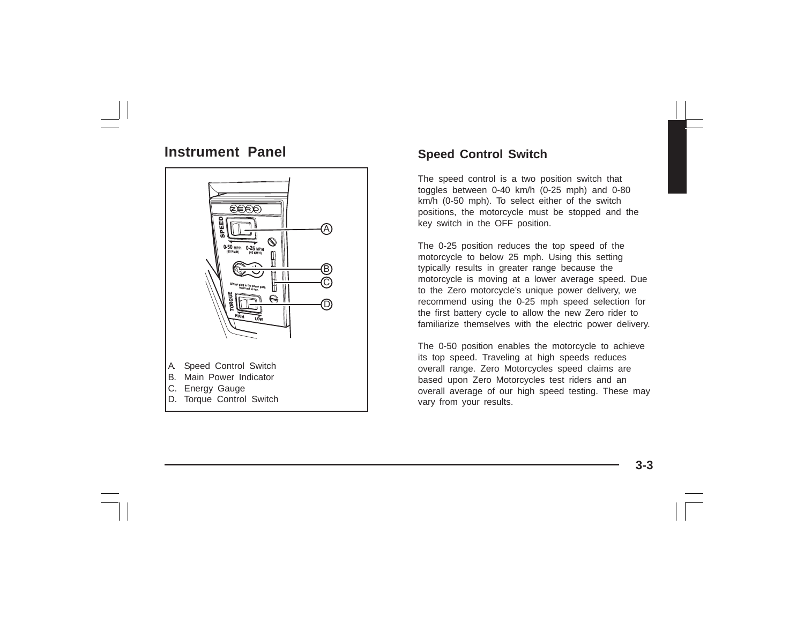# **Instrument Panel**



# **Speed Control Switch**

The speed control is a two position switch that toggles between 0-40 km/h (0-25 mph) and 0-80 km/h (0-50 mph). To select either of the switch positions, the motorcycle must be stopped and the key switch in the OFF position.

The 0-25 position reduces the top speed of the motorcycle to below 25 mph. Using this setting typically results in greater range because the motorcycle is moving at a lower average speed. Due to the Zero motorcycle's unique power delivery, we recommend using the 0-25 mph speed selection for the first battery cycle to allow the new Zero rider to familiarize themselves with the electric power delivery.

The 0-50 position enables the motorcycle to achieve its top speed. Traveling at high speeds reduces overall range. Zero Motorcycles speed claims are based upon Zero Motorcycles test riders and an overall average of our high speed testing. These may vary from your results.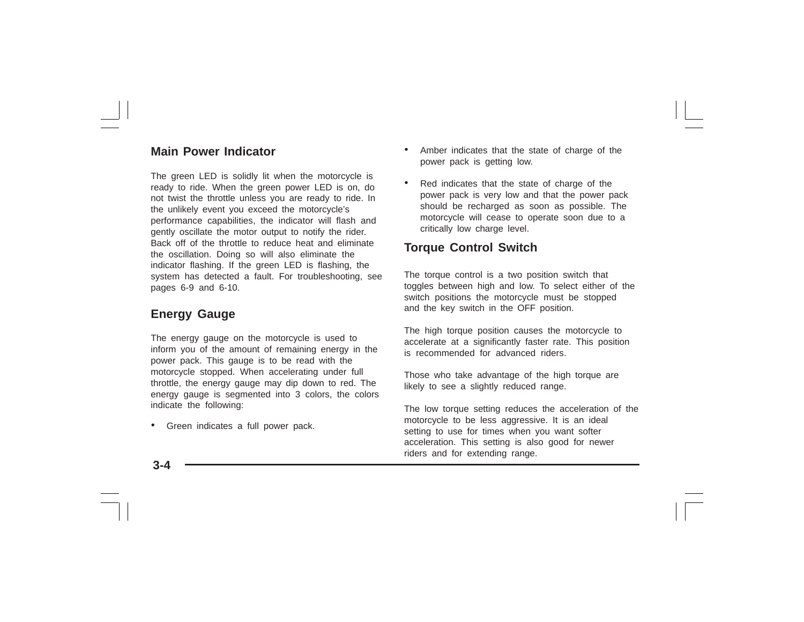## **Main Power Indicator**

The green LED is solidly lit when the motorcycle is ready to ride. When the green power LED is on, do not twist the throttle unless you are ready to ride. In the unlikely event you exceed the motorcycle's performance capabilities, the indicator will flash and gently oscillate the motor output to notify the rider. Back off of the throttle to reduce heat and eliminate the oscillation. Doing so will also eliminate the indicator flashing. If the green LED is flashing, the system has detected a fault. For troubleshooting, see pages 6-9 and 6-10.

## **Energy Gauge**

The energy gauge on the motorcycle is used to inform you of the amount of remaining energy in the power pack. This gauge is to be read with the motorcycle stopped. When accelerating under full throttle, the energy gauge may dip down to red. The energy gauge is segmented into 3 colors, the colors indicate the following:

•Green indicates a full power pack.

- • Amber indicates that the state of charge of the power pack is getting low.
- • Red indicates that the state of charge of the power pack is very low and that the power pack should be recharged as soon as possible. The motorcycle will cease to operate soon due to a critically low charge level.

### **Torque Control Switch**

The torque control is a two position switch that toggles between high and low. To select either of the switch positions the motorcycle must be stopped and the key switch in the OFF position.

The high torque position causes the motorcycle to accelerate at a significantly faster rate. This position is recommended for advanced riders.

Those who take advantage of the high torque are likely to see a slightly reduced range.

The low torque setting reduces the acceleration of the motorcycle to be less aggressive. It is an ideal setting to use for times when you want softer acceleration. This setting is also good for newer riders and for extending range.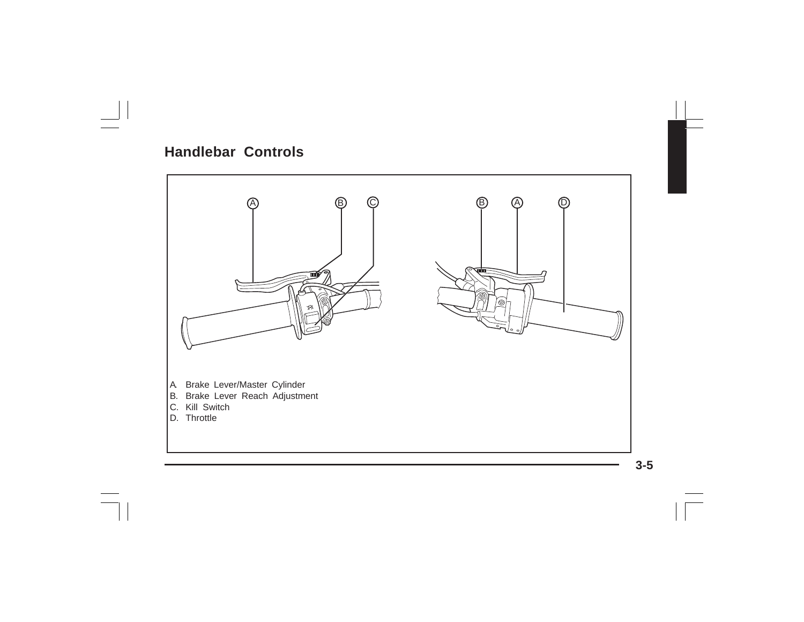# **Handlebar Controls**

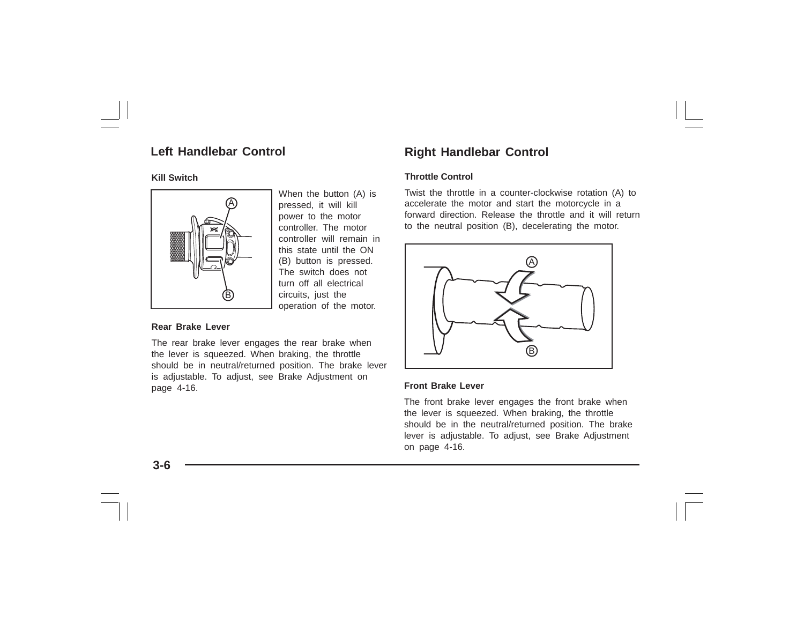## **Left Handlebar Control**

#### **Kill Switch**



When the button (A) is pressed, it will kill power to the motor controller. The motor controller will remain in this state until the ON (B) button is pressed. The switch does not turn off all electrical circuits, just the operation of the motor.

#### **Rear Brake Lever**

The rear brake lever engages the rear brake when the lever is squeezed. When braking, the throttle should be in neutral/returned position. The brake lever is adjustable. To adjust, see Brake Adjustment on page 4-16.

# **Right Handlebar Control**

#### **Throttle Control**

Twist the throttle in a counter-clockwise rotation (A) to accelerate the motor and start the motorcycle in a forward direction. Release the throttle and it will return to the neutral position (B), decelerating the motor.



#### **Front Brake Lever**

The front brake lever engages the front brake when the lever is squeezed. When braking, the throttle should be in the neutral/returned position. The brake lever is adjustable. To adjust, see Brake Adjustment on page 4-16.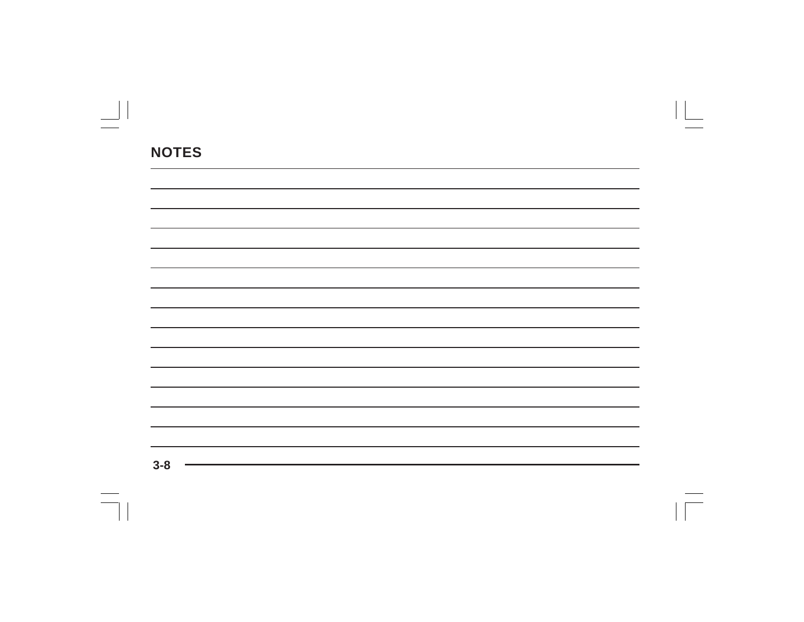| the control of the control of the control of the control of the control of the control of                               |  |  |
|-------------------------------------------------------------------------------------------------------------------------|--|--|
|                                                                                                                         |  |  |
| the control of the control of the control of the control of the control of the control of the control of the control of |  |  |
|                                                                                                                         |  |  |
|                                                                                                                         |  |  |
|                                                                                                                         |  |  |
|                                                                                                                         |  |  |
|                                                                                                                         |  |  |
|                                                                                                                         |  |  |
|                                                                                                                         |  |  |
|                                                                                                                         |  |  |
|                                                                                                                         |  |  |
|                                                                                                                         |  |  |
|                                                                                                                         |  |  |
|                                                                                                                         |  |  |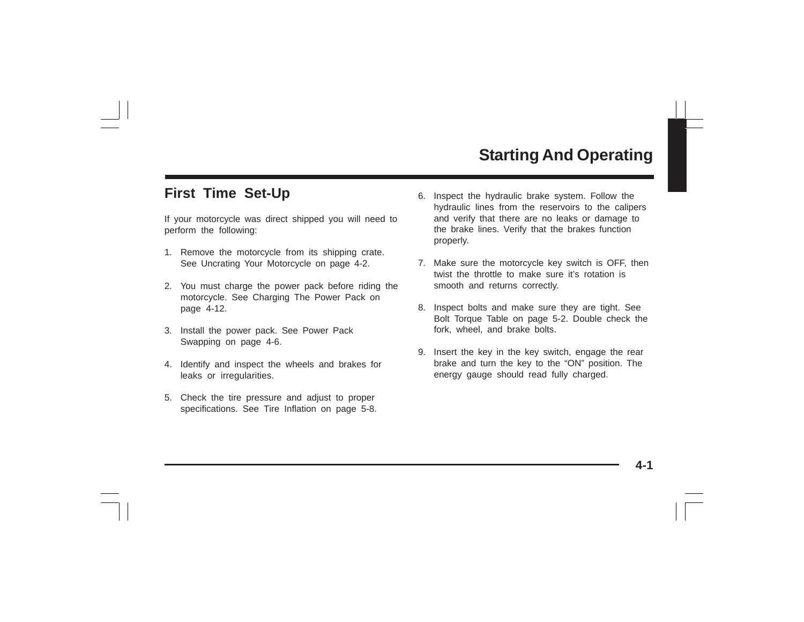# **Starting And Operating**

# **First Time Set-Up**

If your motorcycle was direct shipped you will need to perform the following:

- 1. Remove the motorcycle from its shipping crate. See Uncrating Your Motorcycle on page 4-2.
- 2. You must charge the power pack before riding the motorcycle. See Charging The Power Pack on page 4-12.
- 3. Install the power pack. See Power Pack Swapping on page 4-6.
- 4. Identify and inspect the wheels and brakes for leaks or irregularities.
- 5. Check the tire pressure and adjust to proper specifications. See Tire Inflation on page 5-8.
- 6. Inspect the hydraulic brake system. Follow the hydraulic lines from the reservoirs to the calipers and verify that there are no leaks or damage to the brake lines. Verify that the brakes function properly.
- 7. Make sure the motorcycle key switch is OFF, then twist the throttle to make sure it's rotation is smooth and returns correctly.
- 8. Inspect bolts and make sure they are tight. See Bolt Torque Table on page 5-2. Double check the fork, wheel, and brake bolts.
- 9. Insert the key in the key switch, engage the rear brake and turn the key to the "ON" position. The energy gauge should read fully charged.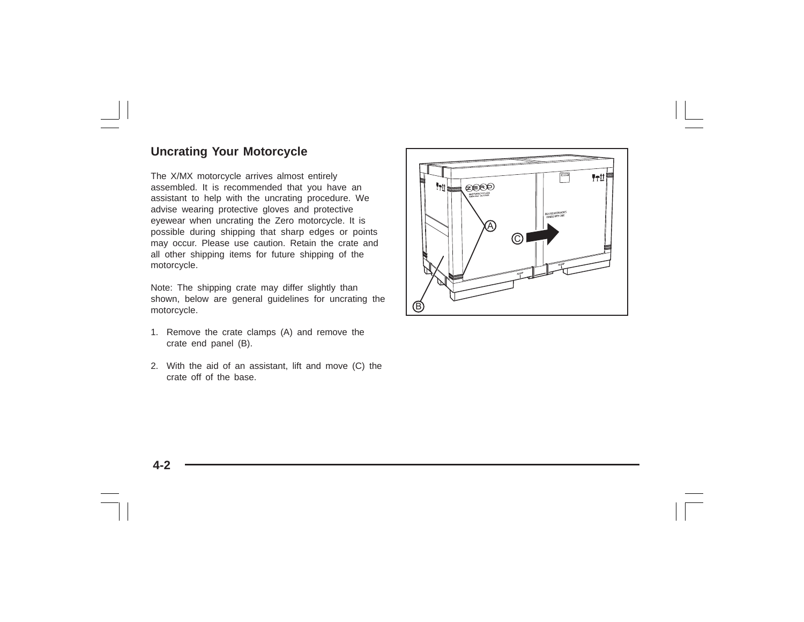## **Uncrating Your Motorcycle**

The X/MX motorcycle arrives almost entirely assembled. It is recommended that you have an assistant to help with the uncrating procedure. We advise wearing protective gloves and protective eyewear when uncrating the Zero motorcycle. It is possible during shipping that sharp edges or points may occur. Please use caution. Retain the crate and all other shipping items for future shipping of the motorcycle.

Note: The shipping crate may differ slightly than shown, below are general guidelines for uncrating the motorcycle.

- 1. Remove the crate clamps (A) and remove the crate end panel (B).
- 2. With the aid of an assistant, lift and move (C) the crate off of the base.

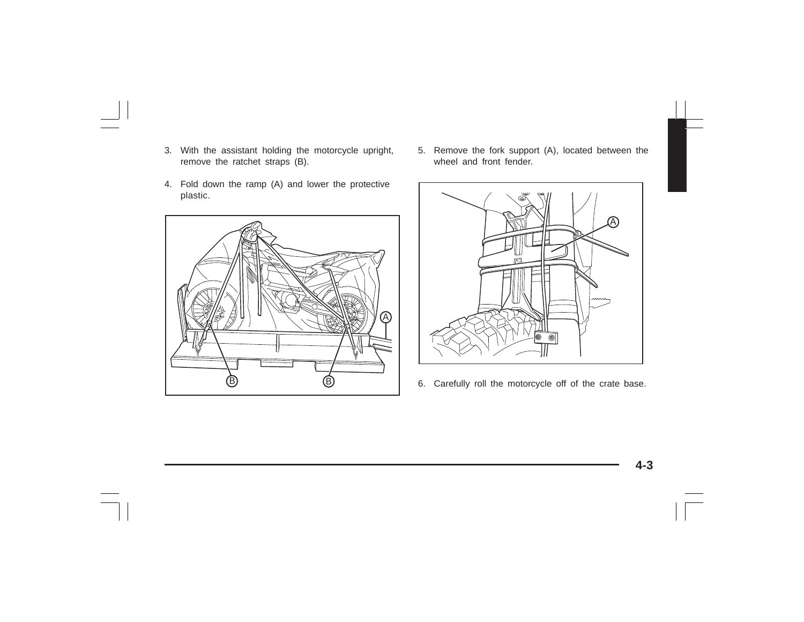- 3. With the assistant holding the motorcycle upright, remove the ratchet straps (B).
- 4. Fold down the ramp (A) and lower the protective plastic.



5. Remove the fork support (A), located between the wheel and front fender.



6. Carefully roll the motorcycle off of the crate base.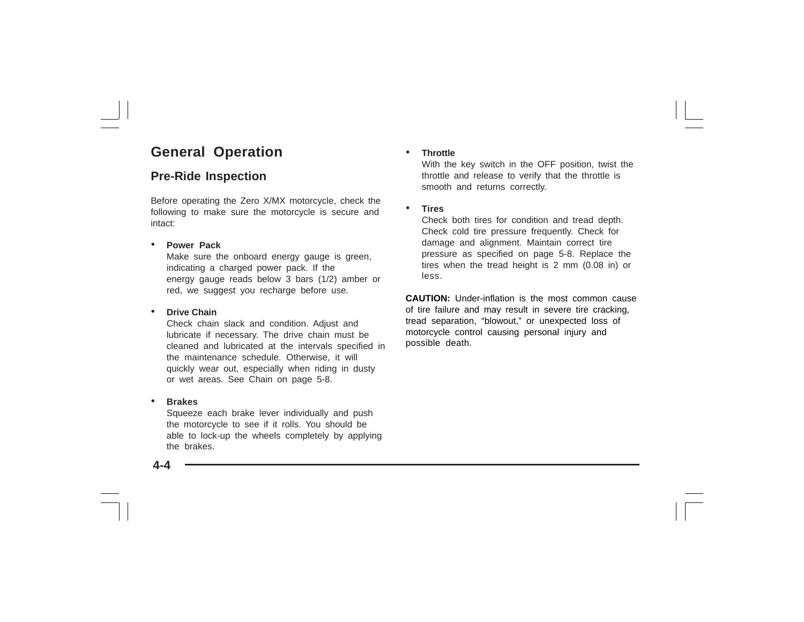# **General Operation**

## **Pre-Ride Inspection**

Before operating the Zero X/MX motorcycle, check the following to make sure the motorcycle is secure and intact:

#### •**Power Pack**

Make sure the onboard energy gauge is green, indicating a charged power pack. If the energy gauge reads below 3 bars (1/2) amber or red, we suggest you recharge before use.

#### •**Drive Chain**

Check chain slack and condition. Adjust and lubricate if necessary. The drive chain must be cleaned and lubricated at the intervals specified in the maintenance schedule. Otherwise, it will quickly wear out, especially when riding in dusty or wet areas. See Chain on page 5-8.

#### •**Brakes**

Squeeze each brake lever individually and push the motorcycle to see if it rolls. You should be able to lock-up the wheels completely by applying the brakes.

#### •**Throttle**

With the key switch in the OFF position, twist the throttle and release to verify that the throttle is smooth and returns correctly.

#### •**Tires**

Check both tires for condition and tread depth. Check cold tire pressure frequently. Check for damage and alignment. Maintain correct tire pressure as specified on page 5-8. Replace the tires when the tread height is 2 mm (0.08 in) or less.

**CAUTION:** Under-inflation is the most common cause of tire failure and may result in severe tire cracking, tread separation, "blowout," or unexpected loss of motorcycle control causing personal injury and possible death.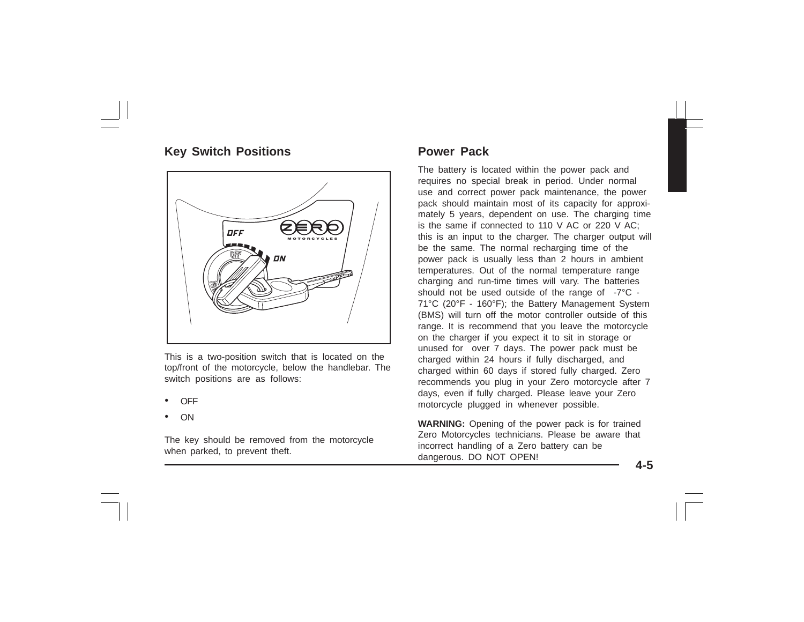## **Key Switch Positions**



This is a two-position switch that is located on the top/front of the motorcycle, below the handlebar. The switch positions are as follows:

- •OFF
- •ON

The key should be removed from the motorcycle when parked, to prevent theft.

### **Power Pack**

The battery is located within the power pack and requires no special break in period. Under normal use and correct power pack maintenance, the power pack should maintain most of its capacity for approximately 5 years, dependent on use. The charging time is the same if connected to 110 V AC or 220 V AC; this is an input to the charger. The charger output will be the same. The normal recharging time of the power pack is usually less than 2 hours in ambient temperatures. Out of the normal temperature range charging and run-time times will vary. The batteries should not be used outside of the range of -7°C - 71°C (20°F - 160°F); the Battery Management System (BMS) will turn off the motor controller outside of this range. It is recommend that you leave the motorcycle on the charger if you expect it to sit in storage or unused for over 7 days. The power pack must be charged within 24 hours if fully discharged, and charged within 60 days if stored fully charged. Zero recommends you plug in your Zero motorcycle after 7 days, even if fully charged. Please leave your Zero motorcycle plugged in whenever possible.

**WARNING:** Opening of the power pack is for trained Zero Motorcycles technicians. Please be aware that incorrect handling of a Zero battery can be dangerous. DO NOT OPEN!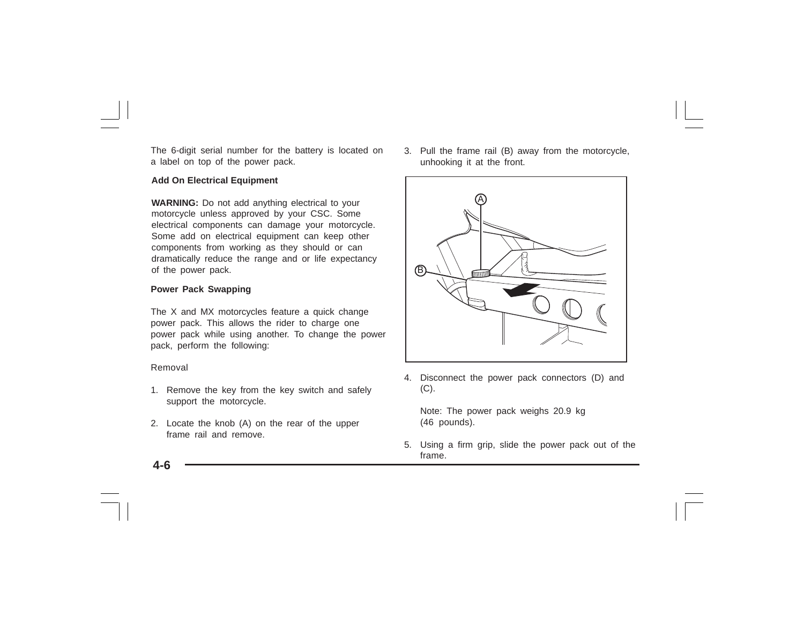The 6-digit serial number for the battery is located on a label on top of the power pack.

#### **Add On Electrical Equipment**

**WARNING:** Do not add anything electrical to your motorcycle unless approved by your CSC. Some electrical components can damage your motorcycle. Some add on electrical equipment can keep other components from working as they should or can dramatically reduce the range and or life expectancy of the power pack.

#### **Power Pack Swapping**

The X and MX motorcycles feature a quick change power pack. This allows the rider to charge one power pack while using another. To change the power pack, perform the following:

#### Removal

- 1. Remove the key from the key switch and safely support the motorcycle.
- 2. Locate the knob (A) on the rear of the upper frame rail and remove.

3. Pull the frame rail (B) away from the motorcycle, unhooking it at the front.



4. Disconnect the power pack connectors (D) and  $(C).$ 

Note: The power pack weighs 20.9 kg (46 pounds).

5. Using a firm grip, slide the power pack out of the frame.

**4-6**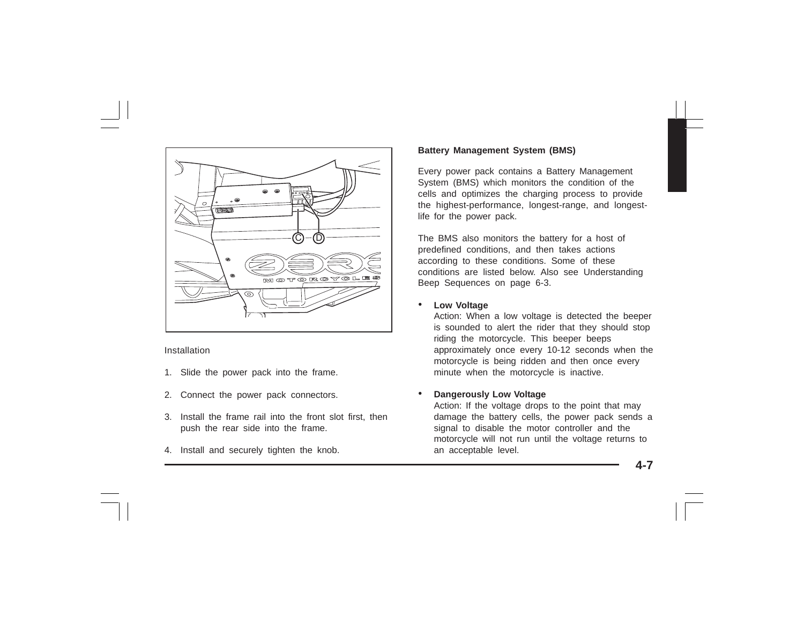

Installation

- 1. Slide the power pack into the frame.
- 2. Connect the power pack connectors.
- 3. Install the frame rail into the front slot first, then push the rear side into the frame.
- 4. Install and securely tighten the knob.

#### **Battery Management System (BMS)**

Every power pack contains a Battery Management System (BMS) which monitors the condition of the cells and optimizes the charging process to provide the highest-performance, longest-range, and longestlife for the power pack.

The BMS also monitors the battery for a host of predefined conditions, and then takes actions according to these conditions. Some of these conditions are listed below. Also see Understanding Beep Sequences on page 6-3.

#### •**Low Voltage**

Action: When a low voltage is detected the beeper is sounded to alert the rider that they should stop riding the motorcycle. This beeper beeps approximately once every 10-12 seconds when the motorcycle is being ridden and then once every minute when the motorcycle is inactive.

#### •**Dangerously Low Voltage**

Action: If the voltage drops to the point that may damage the battery cells, the power pack sends a signal to disable the motor controller and the motorcycle will not run until the voltage returns to an acceptable level.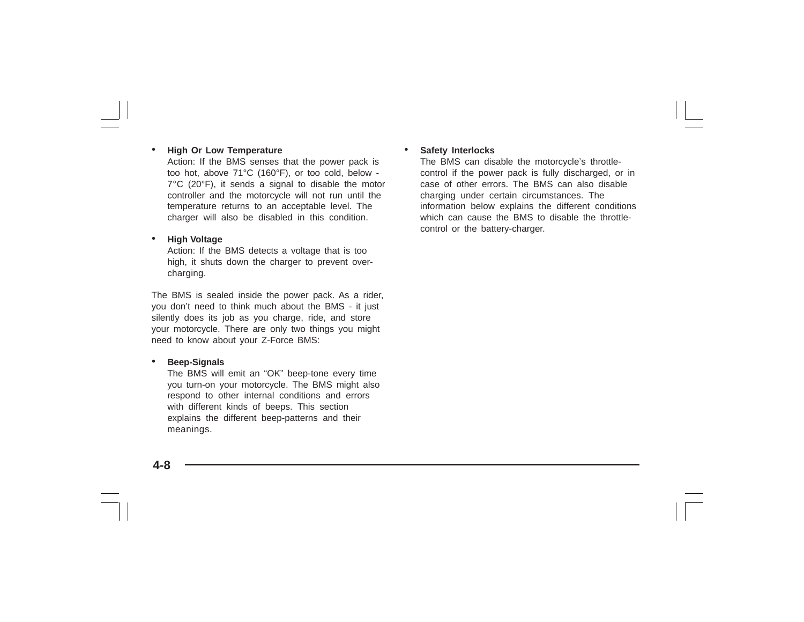#### •**High Or Low Temperature**

Action: If the BMS senses that the power pack is too hot, above 71°C (160°F), or too cold, below - 7°C (20°F), it sends a signal to disable the motor controller and the motorcycle will not run until the temperature returns to an acceptable level. The charger will also be disabled in this condition.

#### •**High Voltage**

Action: If the BMS detects a voltage that is too high, it shuts down the charger to prevent overcharging.

The BMS is sealed inside the power pack. As a rider, you don't need to think much about the BMS - it just silently does its job as you charge, ride, and store your motorcycle. There are only two things you might need to know about your Z-Force BMS:

#### •**Beep-Signals**

The BMS will emit an "OK" beep-tone every time you turn-on your motorcycle. The BMS might also respond to other internal conditions and errors with different kinds of beeps. This section explains the different beep-patterns and their meanings.

#### •**Safety Interlocks**

The BMS can disable the motorcycle's throttlecontrol if the power pack is fully discharged, or in case of other errors. The BMS can also disable charging under certain circumstances. The information below explains the different conditions which can cause the BMS to disable the throttlecontrol or the battery-charger.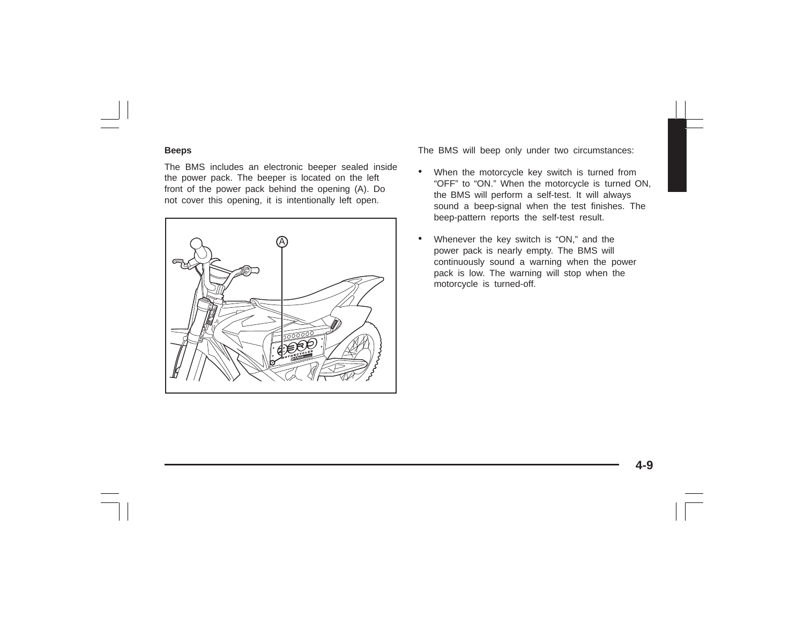#### **Beeps**

The BMS includes an electronic beeper sealed inside the power pack. The beeper is located on the left front of the power pack behind the opening (A). Do not cover this opening, it is intentionally left open.



The BMS will beep only under two circumstances:

- • When the motorcycle key switch is turned from "OFF" to "ON." When the motorcycle is turned ON, the BMS will perform a self-test. It will always sound a beep-signal when the test finishes. The beep-pattern reports the self-test result.
- • Whenever the key switch is "ON," and the power pack is nearly empty. The BMS will continuously sound a warning when the power pack is low. The warning will stop when the motorcycle is turned-off.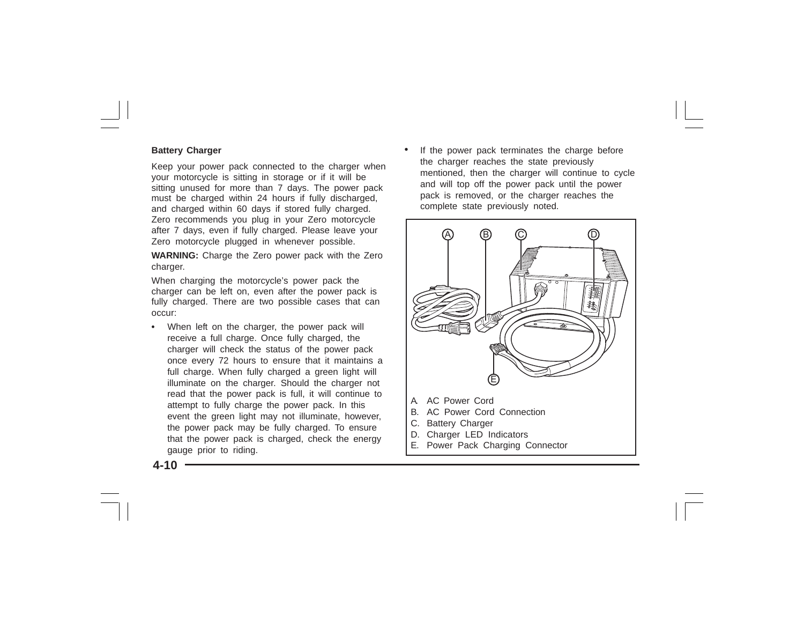#### **Battery Charger**

Keep your power pack connected to the charger when your motorcycle is sitting in storage or if it will be sitting unused for more than 7 days. The power pack must be charged within 24 hours if fully discharged, and charged within 60 days if stored fully charged. Zero recommends you plug in your Zero motorcycle after 7 days, even if fully charged. Please leave your Zero motorcycle plugged in whenever possible.

**WARNING:** Charge the Zero power pack with the Zero charger.

When charging the motorcycle's power pack the charger can be left on, even after the power pack is fully charged. There are two possible cases that can occur:

**•** When left on the charger, the power pack will receive a full charge. Once fully charged, the charger will check the status of the power pack once every 72 hours to ensure that it maintains a full charge. When fully charged a green light will illuminate on the charger. Should the charger not read that the power pack is full, it will continue to attempt to fully charge the power pack. In this event the green light may not illuminate, however, the power pack may be fully charged. To ensure that the power pack is charged, check the energy gauge prior to riding.

• If the power pack terminates the charge before the charger reaches the state previously mentioned, then the charger will continue to cycle and will top off the power pack until the power pack is removed, or the charger reaches the complete state previously noted.



**4-10**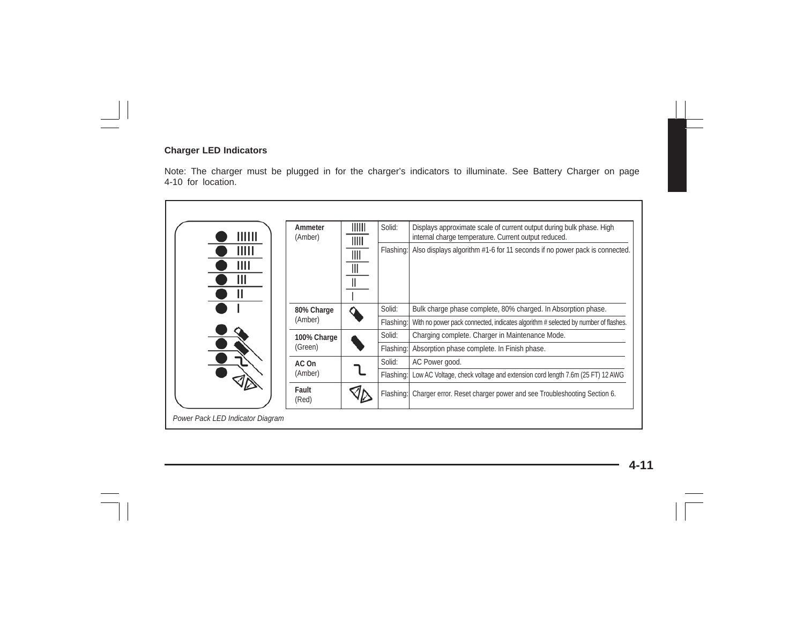#### **Charger LED Indicators**

Note: The charger must be plugged in for the charger's indicators to illuminate. See Battery Charger on page 4-10 for location.

| IIIII                           | Ammeter<br>(Amber) | $\parallel$<br>IIIII        | Solid:    | Displays approximate scale of current output during bulk phase. High<br>internal charge temperature. Current output reduced. |
|---------------------------------|--------------------|-----------------------------|-----------|------------------------------------------------------------------------------------------------------------------------------|
| $\mathsf{III}\mathsf{II}$<br>ШI |                    | $\parallel$<br>$\mathbb{I}$ | Flashing: | Also displays algorithm #1-6 for 11 seconds if no power pack is connected.                                                   |
|                                 | 80% Charge         |                             | Solid:    | Bulk charge phase complete, 80% charged. In Absorption phase.                                                                |
|                                 | (Amber)            |                             | Flashing: | With no power pack connected, indicates algorithm # selected by number of flashes.                                           |
|                                 | 100% Charge        |                             | Solid:    | Charging complete. Charger in Maintenance Mode.                                                                              |
|                                 | (Green)            |                             | Flashing: | Absorption phase complete. In Finish phase.                                                                                  |
|                                 | AC On<br>(Amber)   |                             | Solid:    | AC Power good.                                                                                                               |
|                                 |                    |                             | Flashing: | Low AC Voltage, check voltage and extension cord length 7.6m (25 FT) 12 AWG                                                  |
|                                 | Fault<br>(Red)     |                             | Flashing: | Charger error. Reset charger power and see Troubleshooting Section 6.                                                        |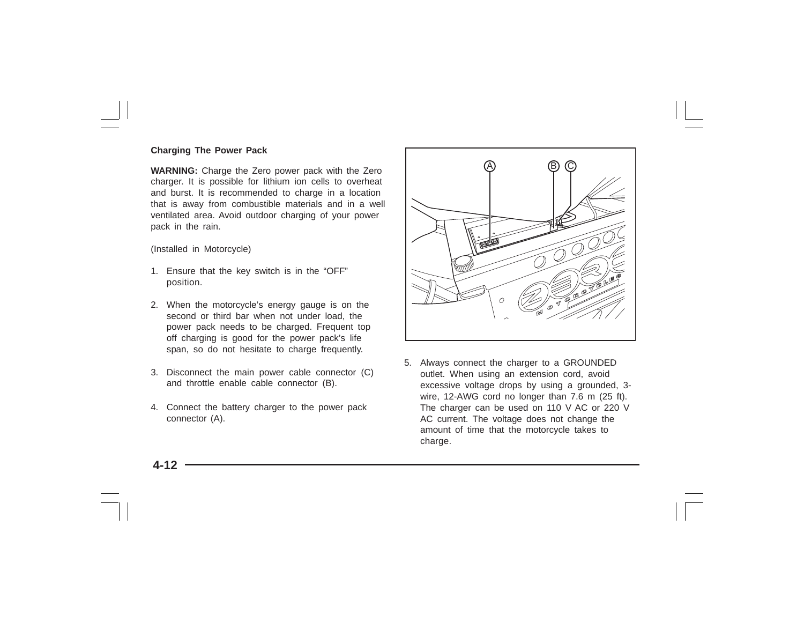#### **Charging The Power Pack**

**WARNING:** Charge the Zero power pack with the Zero charger. It is possible for lithium ion cells to overheat and burst. It is recommended to charge in a location that is away from combustible materials and in a well ventilated area. Avoid outdoor charging of your power pack in the rain.

(Installed in Motorcycle)

- 1. Ensure that the key switch is in the "OFF" position.
- 2. When the motorcycle's energy gauge is on the second or third bar when not under load, the power pack needs to be charged. Frequent top off charging is good for the power pack's life span, so do not hesitate to charge frequently.
- 3. Disconnect the main power cable connector (C) and throttle enable cable connector (B).
- 4. Connect the battery charger to the power pack connector (A).



5. Always connect the charger to a GROUNDED outlet. When using an extension cord, avoid excessive voltage drops by using a grounded, 3 wire, 12-AWG cord no longer than 7.6 m (25 ft). The charger can be used on 110 V AC or 220 V AC current. The voltage does not change the amount of time that the motorcycle takes to charge.

**4-12**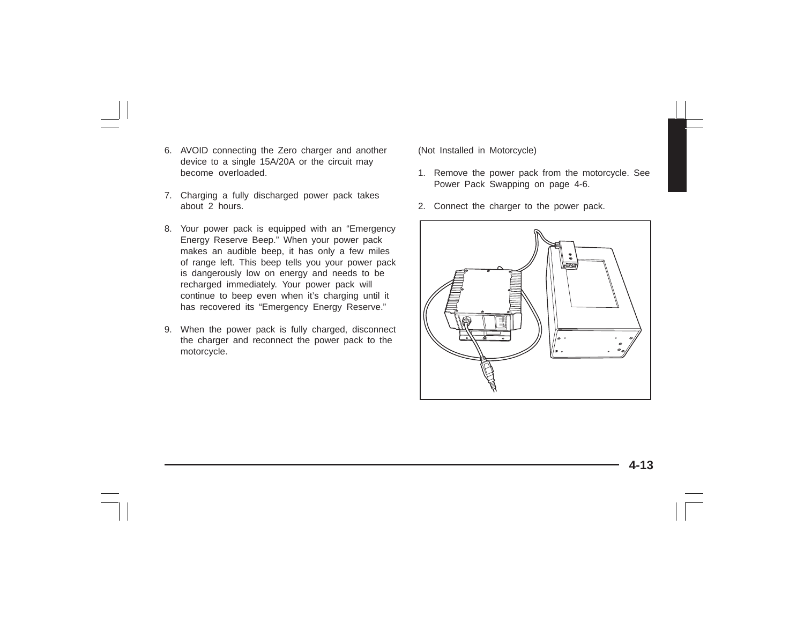- 6. AVOID connecting the Zero charger and another device to a single 15A/20A or the circuit may become overloaded.
- 7. Charging a fully discharged power pack takes about 2 hours.
- 8. Your power pack is equipped with an "Emergency Energy Reserve Beep." When your power pack makes an audible beep, it has only a few miles of range left. This beep tells you your power pack is dangerously low on energy and needs to be recharged immediately. Your power pack will continue to beep even when it's charging until it has recovered its "Emergency Energy Reserve."
- 9. When the power pack is fully charged, disconnect the charger and reconnect the power pack to the motorcycle.

(Not Installed in Motorcycle)

- 1. Remove the power pack from the motorcycle. See Power Pack Swapping on page 4-6.
- 2. Connect the charger to the power pack.

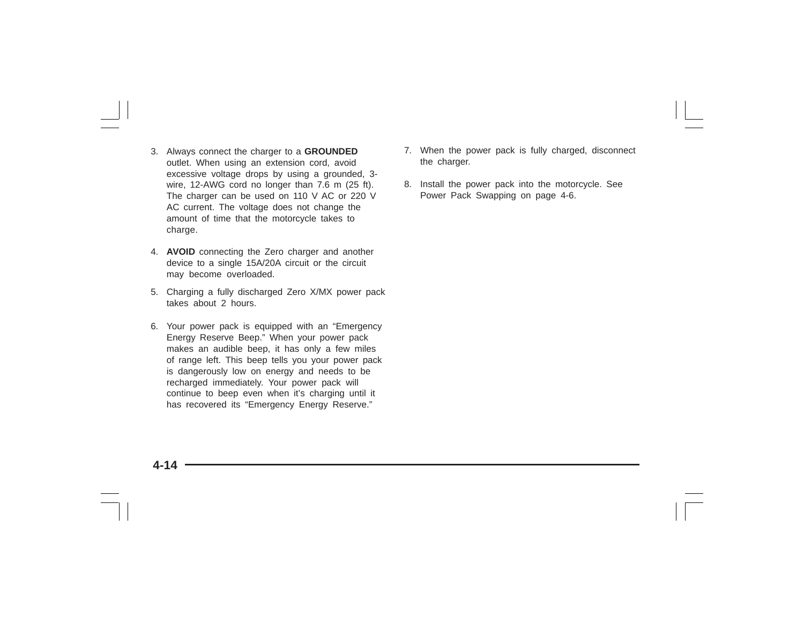- 3. Always connect the charger to a **GROUNDED** outlet. When using an extension cord, avoid excessive voltage drops by using a grounded, 3 wire, 12-AWG cord no longer than 7.6 m (25 ft). The charger can be used on 110 V AC or 220 V AC current. The voltage does not change the amount of time that the motorcycle takes to charge.
- 4. **AVOID** connecting the Zero charger and another device to a single 15A/20A circuit or the circuit may become overloaded.
- 5. Charging a fully discharged Zero X/MX power pack takes about 2 hours.
- 6. Your power pack is equipped with an "Emergency Energy Reserve Beep." When your power pack makes an audible beep, it has only a few miles of range left. This beep tells you your power pack is dangerously low on energy and needs to be recharged immediately. Your power pack will continue to beep even when it's charging until it has recovered its "Emergency Energy Reserve."
- 7. When the power pack is fully charged, disconnect the charger.
- 8. Install the power pack into the motorcycle. See Power Pack Swapping on page 4-6.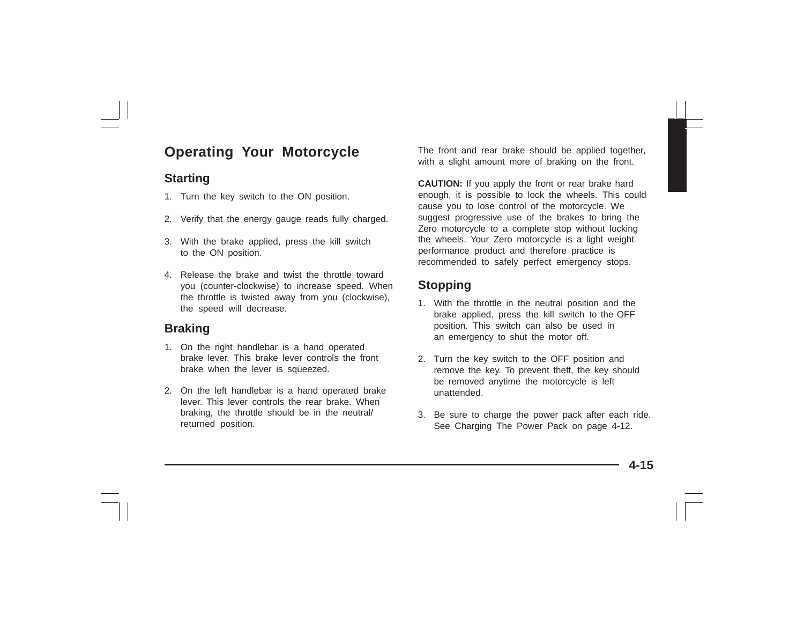# **Operating Your Motorcycle**

### **Starting**

- 1. Turn the key switch to the ON position.
- 2. Verify that the energy gauge reads fully charged.
- 3. With the brake applied, press the kill switch to the ON position.
- 4. Release the brake and twist the throttle toward you (counter-clockwise) to increase speed. When the throttle is twisted away from you (clockwise), the speed will decrease.

## **Braking**

- 1. On the right handlebar is a hand operated brake lever. This brake lever controls the front brake when the lever is squeezed.
- 2. On the left handlebar is a hand operated brake lever. This lever controls the rear brake. When braking, the throttle should be in the neutral/ returned position.

The front and rear brake should be applied together, with a slight amount more of braking on the front.

**CAUTION:** If you apply the front or rear brake hard enough, it is possible to lock the wheels. This could cause you to lose control of the motorcycle. We suggest progressive use of the brakes to bring the Zero motorcycle to a complete stop without locking the wheels. Your Zero motorcycle is a light weight performance product and therefore practice is recommended to safely perfect emergency stops.

## **Stopping**

- 1. With the throttle in the neutral position and the brake applied, press the kill switch to the OFF position. This switch can also be used in an emergency to shut the motor off.
- 2. Turn the key switch to the OFF position and remove the key. To prevent theft, the key should be removed anytime the motorcycle is left unattended.
- 3. Be sure to charge the power pack after each ride. See Charging The Power Pack on page 4-12.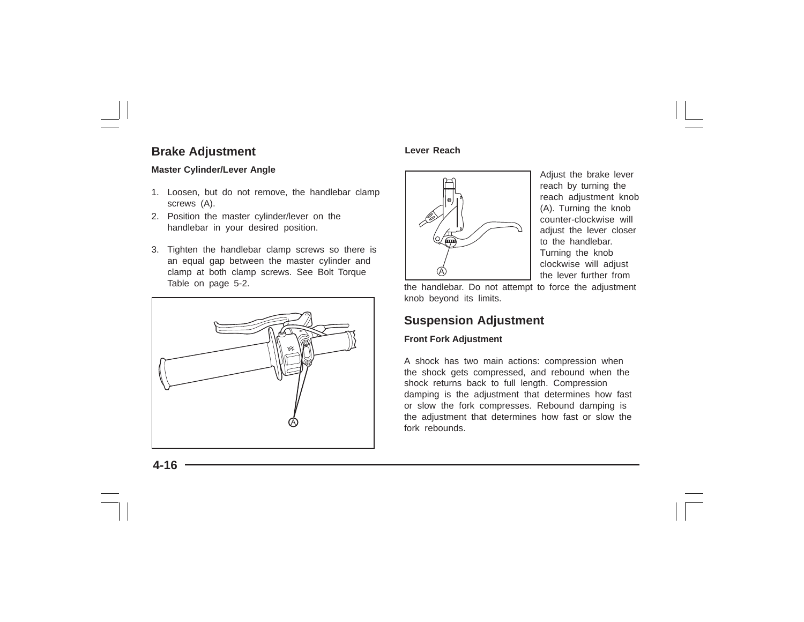### **Brake Adjustment**

### **Master Cylinder/Lever Angle**

- 1. Loosen, but do not remove, the handlebar clamp screws (A).
- 2. Position the master cylinder/lever on the handlebar in your desired position.
- 3. Tighten the handlebar clamp screws so there is an equal gap between the master cylinder and clamp at both clamp screws. See Bolt Torque Table on page 5-2.



### **Lever Reach**



Adjust the brake lever reach by turning the reach adjustment knob (A). Turning the knob counter-clockwise will adiust the lever closer to the handlebar. Turning the knob clockwise will adjust the lever further from

the handlebar. Do not attempt to force the adjustment knob beyond its limits.

### **Suspension Adjustment**

### **Front Fork Adjustment**

A shock has two main actions: compression when the shock gets compressed, and rebound when the shock returns back to full length. Compression damping is the adjustment that determines how fast or slow the fork compresses. Rebound damping is the adjustment that determines how fast or slow the fork rebounds.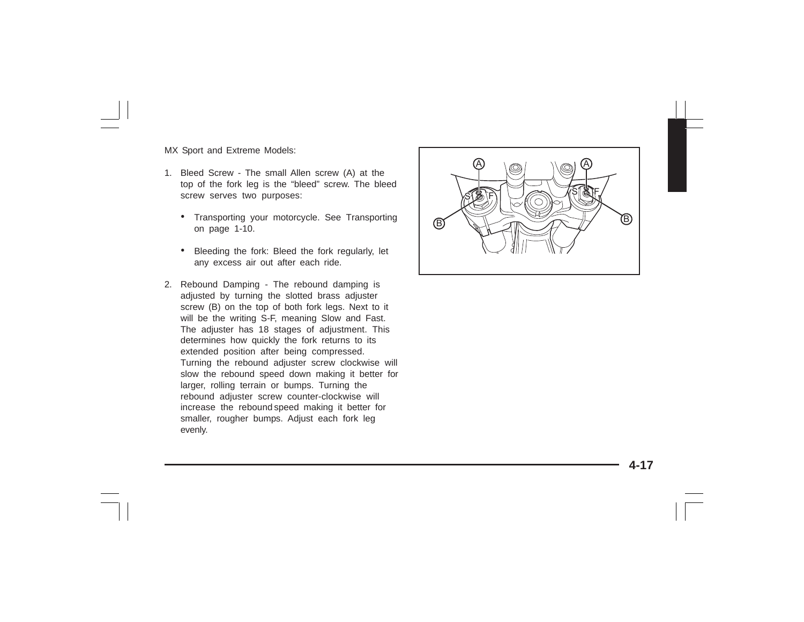MX Sport and Extreme Models:

- 1. Bleed Screw The small Allen screw (A) at the top of the fork leg is the "bleed" screw. The bleed screw serves two purposes:
	- Transporting your motorcycle. See Transporting on page 1-10.
	- • Bleeding the fork: Bleed the fork regularly, let any excess air out after each ride.
- 2. Rebound Damping The rebound damping is adjusted by turning the slotted brass adjuster screw (B) on the top of both fork legs. Next to it will be the writing S-F, meaning Slow and Fast. The adjuster has 18 stages of adjustment. This determines how quickly the fork returns to its extended position after being compressed. Turning the rebound adjuster screw clockwise will slow the rebound speed down making it better for larger, rolling terrain or bumps. Turning the rebound adjuster screw counter-clockwise will increase the rebound speed making it better for smaller, rougher bumps. Adjust each fork leg evenly.

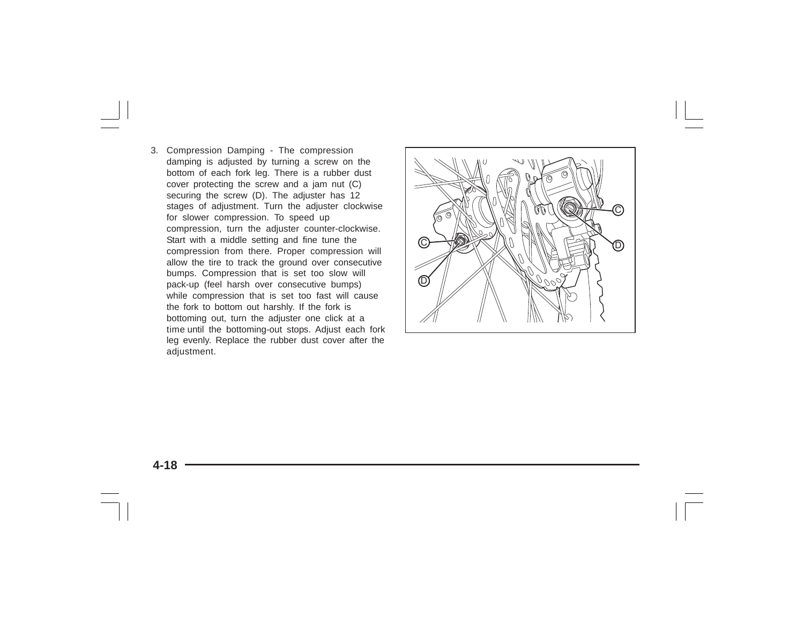3. Compression Damping - The compression damping is adjusted by turning a screw on the bottom of each fork leg. There is a rubber dust cover protecting the screw and a jam nut (C) securing the screw (D). The adjuster has 12 stages of adjustment. Turn the adjuster clockwise for slower compression. To speed up compression, turn the adjuster counter-clockwise. Start with a middle setting and fine tune the compression from there. Proper compression will allow the tire to track the ground over consecutive bumps. Compression that is set too slow will pack-up (feel harsh over consecutive bumps) while compression that is set too fast will cause the fork to bottom out harshly. If the fork is bottoming out, turn the adjuster one click at a time until the bottoming-out stops. Adjust each fork leg evenly. Replace the rubber dust cover after the adjustment.

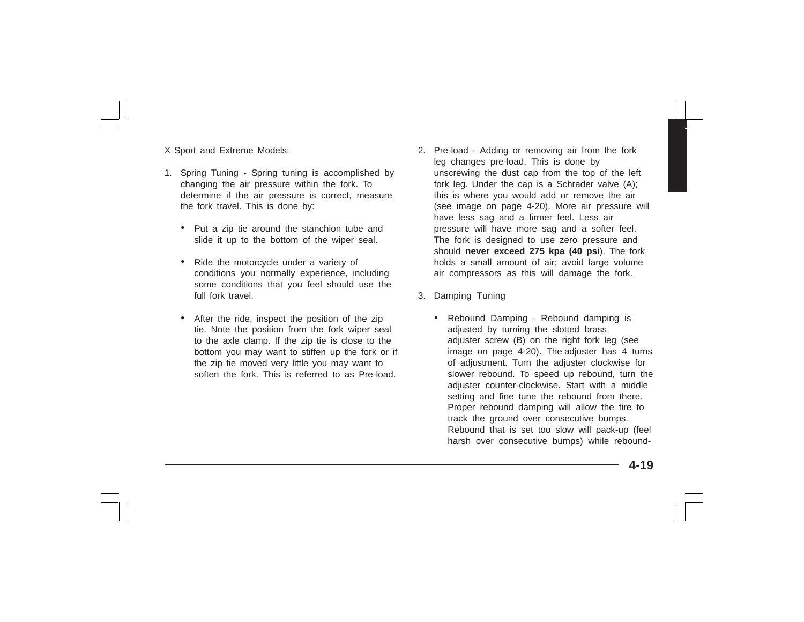X Sport and Extreme Models:

- 1. Spring Tuning Spring tuning is accomplished by changing the air pressure within the fork. To determine if the air pressure is correct, measure the fork travel. This is done by:
	- Put a zip tie around the stanchion tube and slide it up to the bottom of the wiper seal.
	- Ride the motorcycle under a variety of conditions you normally experience, including some conditions that you feel should use the full fork travel
	- After the ride, inspect the position of the zip tie. Note the position from the fork wiper seal to the axle clamp. If the zip tie is close to the bottom you may want to stiffen up the fork or if the zip tie moved very little you may want to soften the fork. This is referred to as Pre-load.
- 2. Pre-load Adding or removing air from the fork leg changes pre-load. This is done by unscrewing the dust cap from the top of the left fork leg. Under the cap is a Schrader valve (A); this is where you would add or remove the air (see image on page 4-20). More air pressure will have less sag and a firmer feel. Less air pressure will have more sag and a softer feel. The fork is designed to use zero pressure and should **never exceed 275 kpa (40 psi**). The fork holds a small amount of air: avoid large volume air compressors as this will damage the fork.
- 3. Damping Tuning
	- • Rebound Damping - Rebound damping is adjusted by turning the slotted brass adjuster screw (B) on the right fork leg (see image on page 4-20). The adjuster has 4 turns of adjustment. Turn the adjuster clockwise for slower rebound. To speed up rebound, turn the adjuster counter-clockwise. Start with a middle setting and fine tune the rebound from there. Proper rebound damping will allow the tire to track the ground over consecutive bumps. Rebound that is set too slow will pack-up (feel harsh over consecutive bumps) while rebound-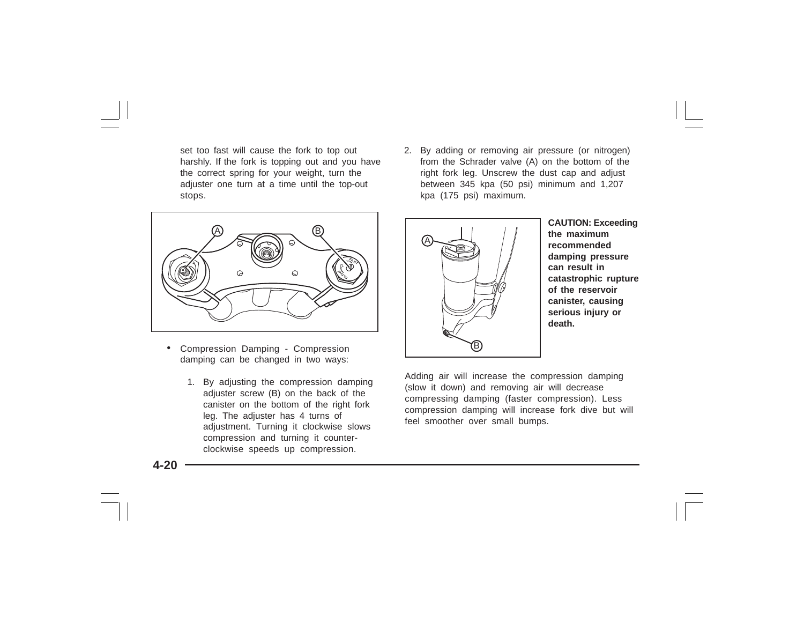set too fast will cause the fork to top out harshly. If the fork is topping out and you have the correct spring for your weight, turn the adjuster one turn at a time until the top-out stops.



- • Compression Damping - Compression damping can be changed in two ways:
	- 1. By adjusting the compression damping adjuster screw (B) on the back of the canister on the bottom of the right fork leg. The adjuster has 4 turns of adjustment. Turning it clockwise slows compression and turning it counterclockwise speeds up compression.

2. By adding or removing air pressure (or nitrogen) from the Schrader valve (A) on the bottom of the right fork leg. Unscrew the dust cap and adjust between 345 kpa (50 psi) minimum and 1,207 kpa (175 psi) maximum.



**CAUTION: Exceeding the maximum recommended damping pressure can result in catastrophic rupture of the reservoir canister, causing serious injury or death.**

Adding air will increase the compression damping (slow it down) and removing air will decrease compressing damping (faster compression). Less compression damping will increase fork dive but will feel smoother over small bumps.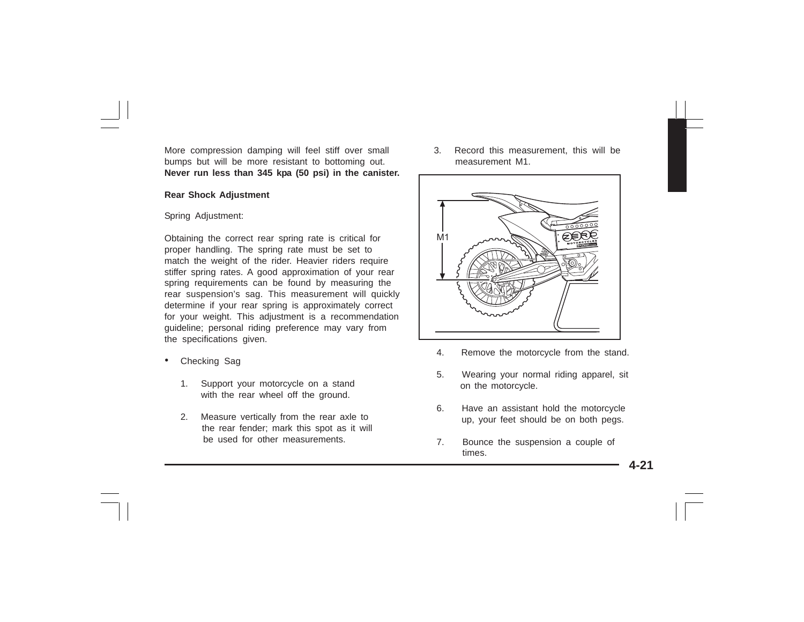More compression damping will feel stiff over small bumps but will be more resistant to bottoming out. **Never run less than 345 kpa (50 psi) in the canister.**

#### **Rear Shock Adjustment**

#### Spring Adjustment:

Obtaining the correct rear spring rate is critical for proper handling. The spring rate must be set to match the weight of the rider. Heavier riders require stiffer spring rates. A good approximation of your rear spring requirements can be found by measuring the rear suspension's sag. This measurement will quickly determine if your rear spring is approximately correct for your weight. This adjustment is a recommendation guideline; personal riding preference may vary from the specifications given.

- • Checking Sag
	- 1. Support your motorcycle on a stand with the rear wheel off the ground.
	- 2. Measure vertically from the rear axle to the rear fender; mark this spot as it will be used for other measurements.

3. Record this measurement, this will be measurement M1.



- 4. Remove the motorcycle from the stand.
- 5. Wearing your normal riding apparel, sit on the motorcycle.
- 6. Have an assistant hold the motorcycle up, your feet should be on both peas.
- 7. Bounce the suspension a couple of times.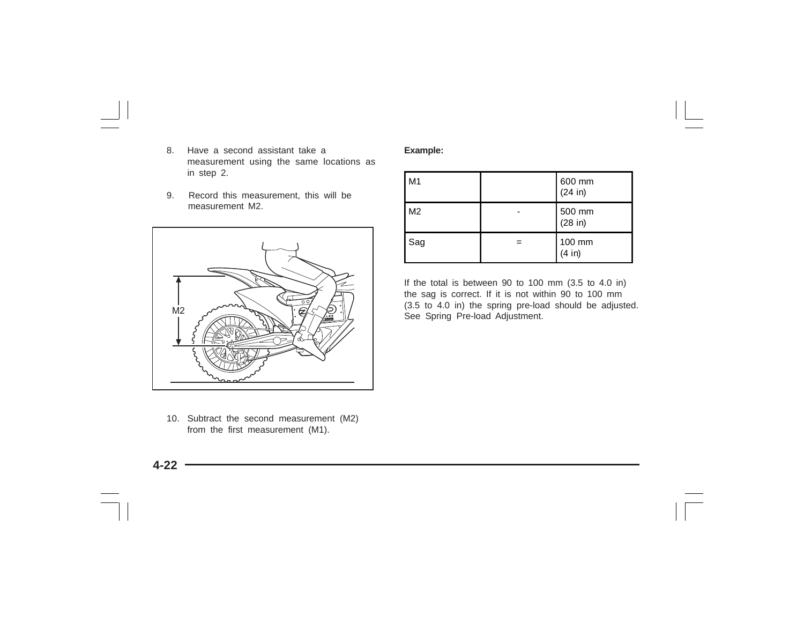- 8. Have a second assistant take a measurement using the same locations as in step 2.
- 9. Record this measurement, this will be measurement M2.



10. Subtract the second measurement (M2) from the first measurement (M1).

#### **Example:**

| M1             |   | 600 mm<br>(24 in) |
|----------------|---|-------------------|
| M <sub>2</sub> |   | 500 mm<br>(28 in) |
| Sag            | = | 100 mm<br>(4 in)  |

If the total is between 90 to 100 mm (3.5 to 4.0 in) the sag is correct. If it is not within 90 to 100 mm (3.5 to 4.0 in) the spring pre-load should be adjusted. See Spring Pre-load Adjustment.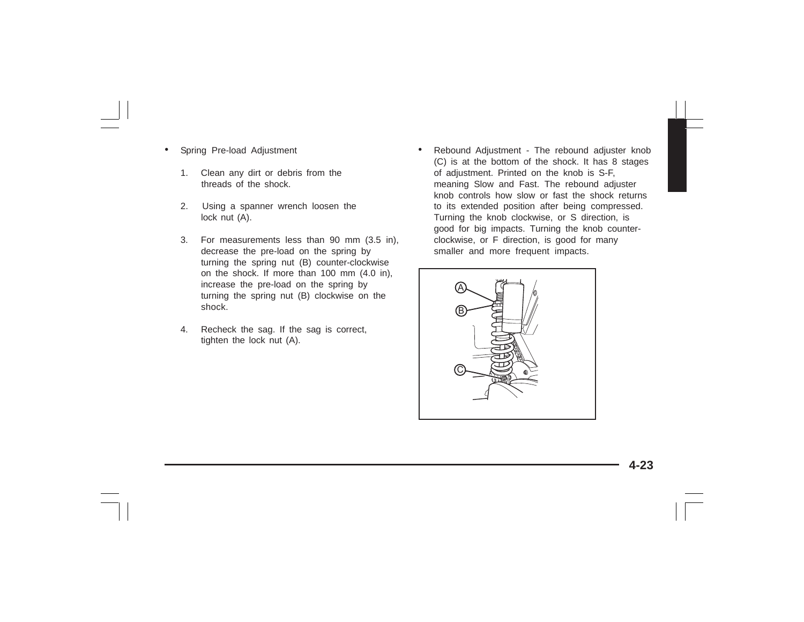- • Spring Pre-load Adjustment
	- 1. Clean any dirt or debris from the threads of the shock.
	- 2. Using a spanner wrench loosen the lock nut (A).
	- 3. For measurements less than 90 mm (3.5 in), decrease the pre-load on the spring by turning the spring nut (B) counter-clockwise on the shock. If more than 100 mm (4.0 in), increase the pre-load on the spring by turning the spring nut (B) clockwise on the shock.
	- 4. Recheck the sag. If the sag is correct, tighten the lock nut (A).

• Rebound Adjustment - The rebound adjuster knob (C) is at the bottom of the shock. It has 8 stages of adjustment. Printed on the knob is S-F, meaning Slow and Fast. The rebound adjuster knob controls how slow or fast the shock returns to its extended position after being compressed. Turning the knob clockwise, or S direction, is good for big impacts. Turning the knob counterclockwise, or F direction, is good for many smaller and more frequent impacts.

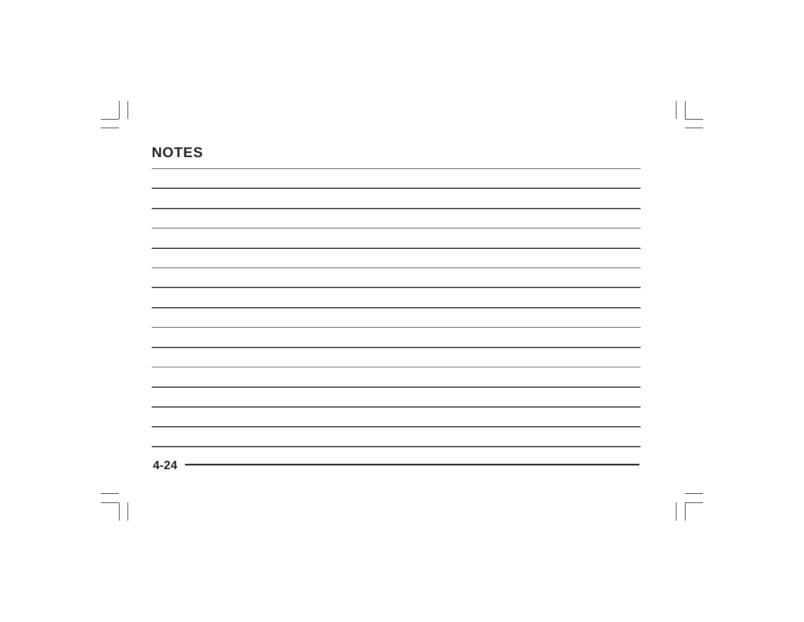| the control of the control of the control of<br>$\Lambda$ $\Omega$ |  |  |
|--------------------------------------------------------------------|--|--|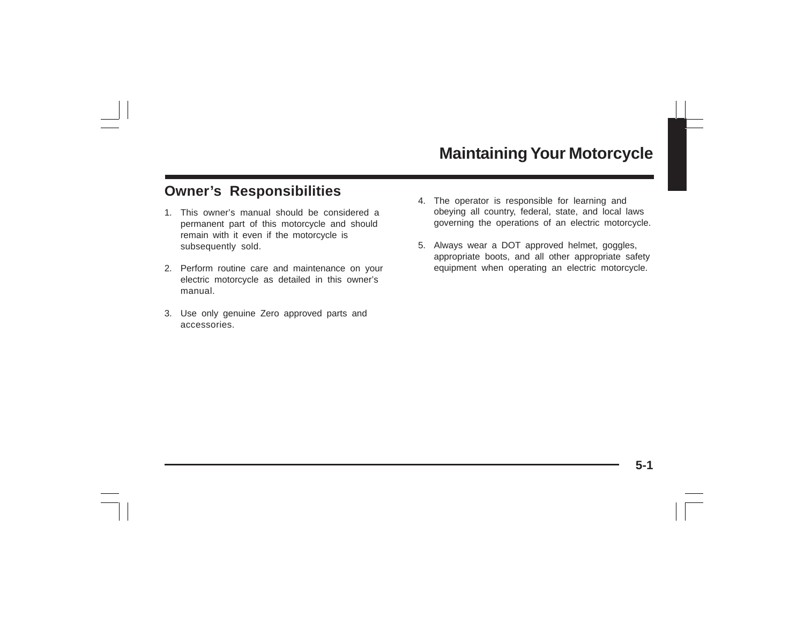## **Owner's Responsibilities**

- 1. This owner's manual should be considered a permanent part of this motorcycle and should remain with it even if the motorcycle is subsequently sold.
- 2. Perform routine care and maintenance on your electric motorcycle as detailed in this owner's manual.
- 3. Use only genuine Zero approved parts and accessories.
- 4. The operator is responsible for learning and obeying all country, federal, state, and local laws governing the operations of an electric motorcycle.
- 5. Always wear a DOT approved helmet, goggles, appropriate boots, and all other appropriate safety equipment when operating an electric motorcycle.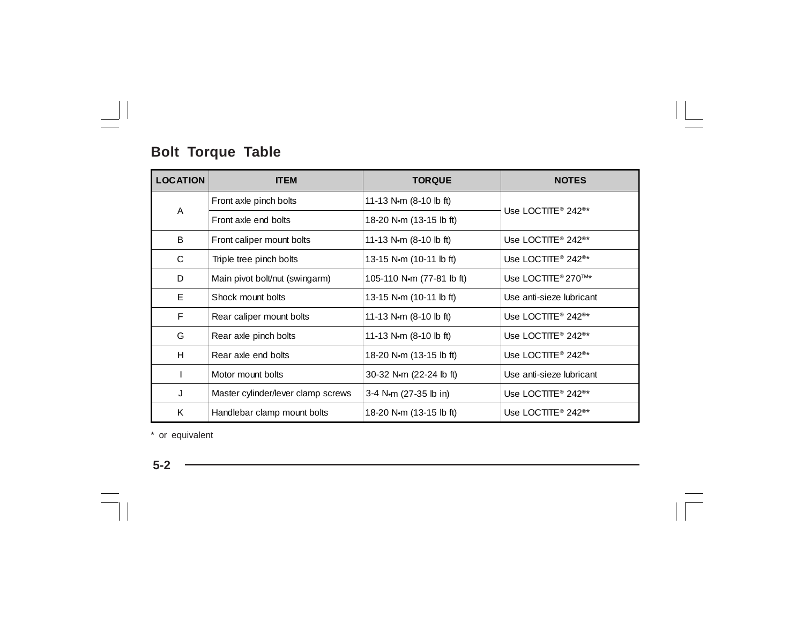# **Bolt Torque Table**

| <b>LOCATION</b> | <b>ITEM</b>                        | <b>TORQUE</b>                  | <b>NOTES</b>                               |  |
|-----------------|------------------------------------|--------------------------------|--------------------------------------------|--|
|                 | Front axle pinch bolts             | 11-13 N $\cdot$ m (8-10 lb ft) |                                            |  |
| A               | Front axle end bolts               | 18-20 N·m (13-15 lb ft)        | Use LOCTITE <sup>®</sup> 242 <sup>®*</sup> |  |
| B               | Front caliper mount bolts          | 11-13 N $\cdot$ m (8-10 lb ft) | Use LOCTITE <sup>®</sup> 242 <sup>®*</sup> |  |
| C               | Triple tree pinch bolts            | 13-15 N·m (10-11 lb ft)        | Use LOCTITE <sup>®</sup> 242 <sup>®*</sup> |  |
| D               | Main pivot bolt/nut (swingarm)     | 105-110 N·m (77-81 lb ft)      | Use LOCTITE <sup>®</sup> 270™*             |  |
| E               | Shock mount bolts                  | 13-15 N·m (10-11 lb ft)        | Use anti-sieze lubricant                   |  |
| F               | Rear caliper mount bolts           | 11-13 N $\cdot$ m (8-10 lb ft) | Use LOCTITE <sup>®</sup> 242 <sup>®*</sup> |  |
| G               | Rear axle pinch bolts              | 11-13 N $\cdot$ m (8-10 lb ft) | Use LOCTITE <sup>®</sup> 242 <sup>®*</sup> |  |
| H               | Rear axle end bolts                | 18-20 N·m (13-15 lb ft)        | Use LOCTITE <sup>®</sup> 242 <sup>®*</sup> |  |
| T               | Motor mount bolts                  | 30-32 N·m (22-24 lb ft)        | Use anti-sieze lubricant                   |  |
| J               | Master cylinder/lever clamp screws | 3-4 N·m (27-35 lb in)          | Use LOCTITE <sup>®</sup> 242 <sup>®*</sup> |  |
| K               | Handlebar clamp mount bolts        | 18-20 N·m (13-15 lb ft)        | Use LOCTITE <sup>®</sup> 242 <sup>®*</sup> |  |

\* or equivalent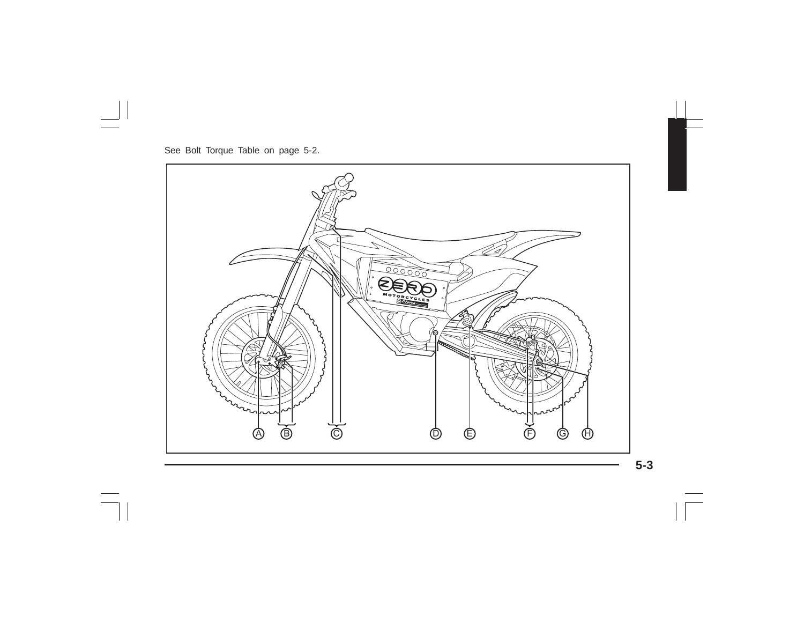

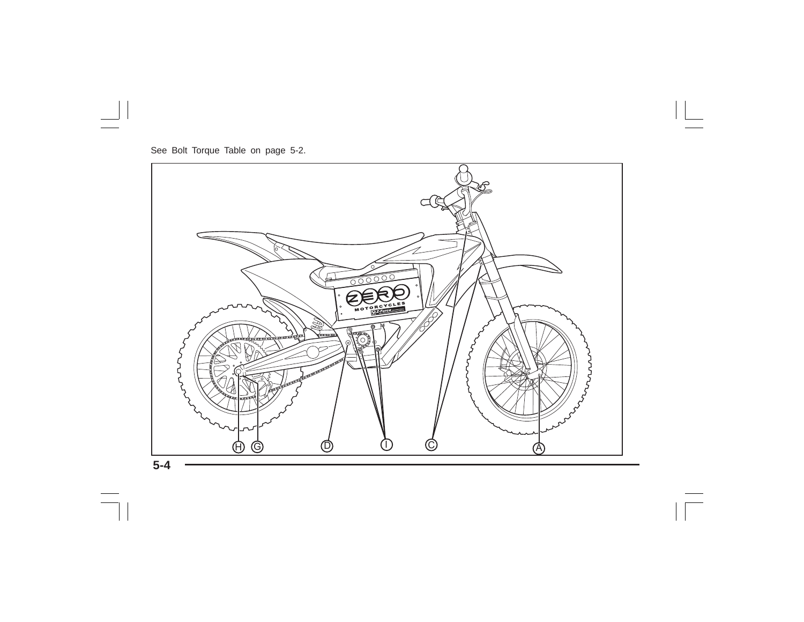See Bolt Torque Table on page 5-2.



**5-4**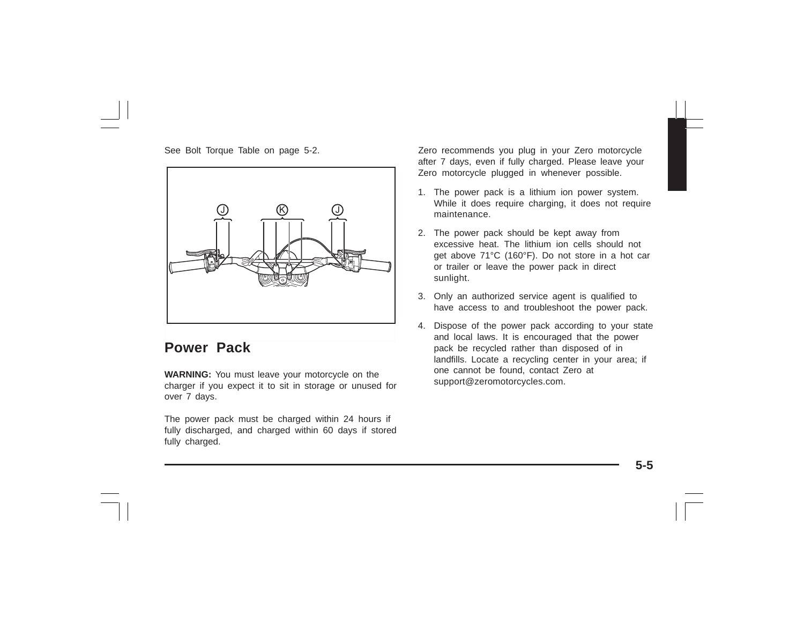

### **Power Pack**

**WARNING:** You must leave your motorcycle on the charger if you expect it to sit in storage or unused for over 7 days.

The power pack must be charged within 24 hours if fully discharged, and charged within 60 days if stored fully charged.

See Bolt Torque Table on page 5-2. <br>Zero recommends you plug in your Zero motorcycle after 7 days, even if fully charged. Please leave your Zero motorcycle plugged in whenever possible.

- 1. The power pack is a lithium ion power system. While it does require charging, it does not require maintenance.
- 2. The power pack should be kept away from excessive heat. The lithium ion cells should not get above 71°C (160°F). Do not store in a hot car or trailer or leave the power pack in direct sunlight.
- 3. Only an authorized service agent is qualified to have access to and troubleshoot the power pack.
- 4. Dispose of the power pack according to your state and local laws. It is encouraged that the power pack be recycled rather than disposed of in landfills. Locate a recycling center in your area; if one cannot be found, contact Zero at support@zeromotorcycles.com.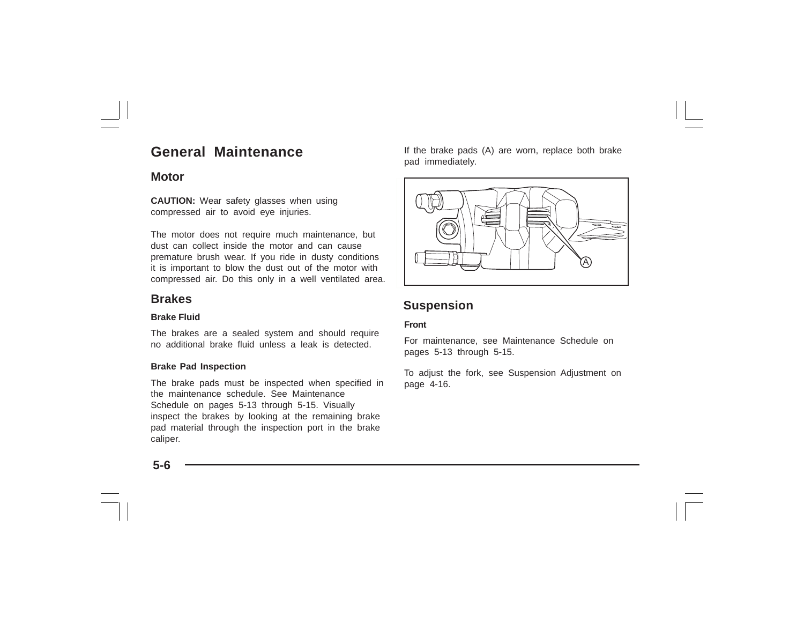# **General Maintenance**

### **Motor**

**CAUTION:** Wear safety glasses when using compressed air to avoid eye injuries.

The motor does not require much maintenance, but dust can collect inside the motor and can cause premature brush wear. If you ride in dusty conditions it is important to blow the dust out of the motor with compressed air. Do this only in a well ventilated area.

### **Brakes**

### **Brake Fluid**

The brakes are a sealed system and should require no additional brake fluid unless a leak is detected.

#### **Brake Pad Inspection**

The brake pads must be inspected when specified in the maintenance schedule. See Maintenance Schedule on pages 5-13 through 5-15. Visually inspect the brakes by looking at the remaining brake pad material through the inspection port in the brake caliper.

If the brake pads (A) are worn, replace both brake pad immediately.



### **Suspension**

#### **Front**

For maintenance, see Maintenance Schedule on pages 5-13 through 5-15.

To adjust the fork, see Suspension Adjustment on page 4-16.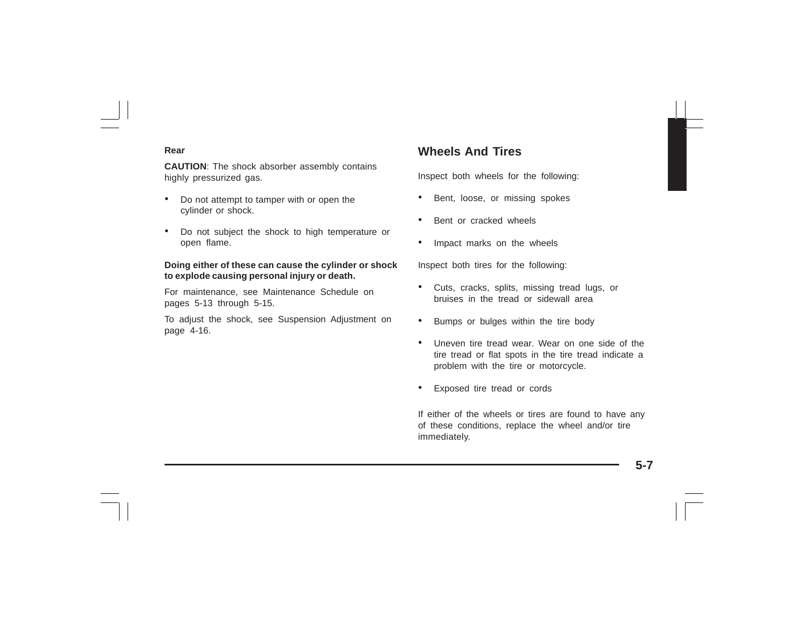#### **Rear**

**CAUTION**: The shock absorber assembly contains highly pressurized gas.

- • Do not attempt to tamper with or open the cylinder or shock.
- • Do not subject the shock to high temperature or open flame.

#### **Doing either of these can cause the cylinder or shock to explode causing personal injury or death.**

For maintenance, see Maintenance Schedule on pages 5-13 through 5-15.

To adjust the shock, see Suspension Adjustment on page 4-16.

### **Wheels And Tires**

Inspect both wheels for the following:

- •Bent, loose, or missing spokes
- •Bent or cracked wheels
- •Impact marks on the wheels

Inspect both tires for the following:

- Cuts, cracks, splits, missing tread lugs, or bruises in the tread or sidewall area
- •Bumps or bulges within the tire body
- • Uneven tire tread wear. Wear on one side of the tire tread or flat spots in the tire tread indicate a problem with the tire or motorcycle.
- •Exposed tire tread or cords

If either of the wheels or tires are found to have any of these conditions, replace the wheel and/or tire immediately.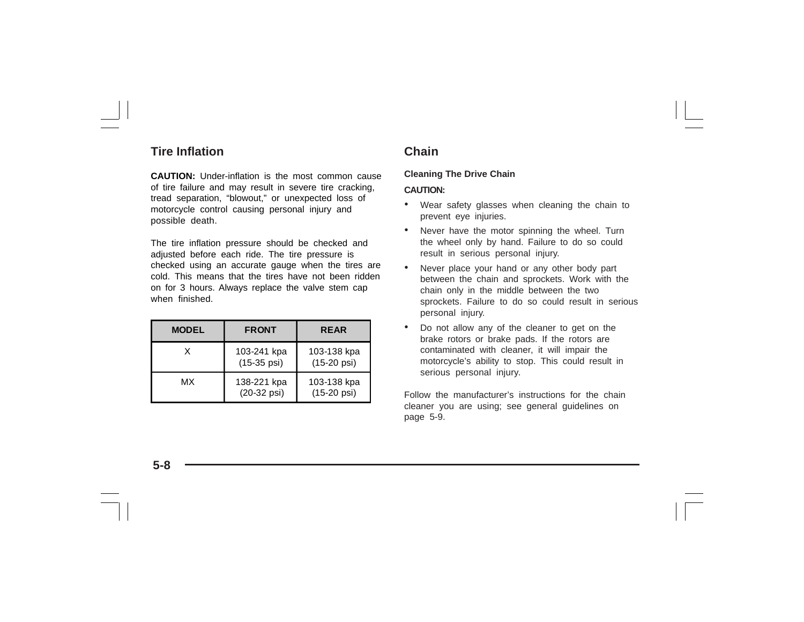### **Tire Inflation**

**CAUTION:** Under-inflation is the most common cause of tire failure and may result in severe tire cracking, tread separation, "blowout," or unexpected loss of motorcycle control causing personal injury and possible death.

The tire inflation pressure should be checked and adjusted before each ride. The tire pressure is checked using an accurate gauge when the tires are cold. This means that the tires have not been ridden on for 3 hours. Always replace the valve stem cap when finished.

| <b>MODEL</b> | <b>FRONT</b>                         | <b>REAR</b>                          |
|--------------|--------------------------------------|--------------------------------------|
| x            | 103-241 kpa<br>$(15-35 \text{ psi})$ | 103-138 kpa<br>$(15-20 \text{ psi})$ |
| мх           | 138-221 kpa<br>(20-32 psi)           | 103-138 kpa<br>$(15-20 \text{ psi})$ |

### **Chain**

### **Cleaning The Drive Chain**

#### **CAUTION:**

- • Wear safety glasses when cleaning the chain to prevent eye injuries.
- • Never have the motor spinning the wheel. Turn the wheel only by hand. Failure to do so could result in serious personal injury.
- • Never place your hand or any other body part between the chain and sprockets. Work with the chain only in the middle between the two sprockets. Failure to do so could result in serious personal injury.
- • Do not allow any of the cleaner to get on the brake rotors or brake pads. If the rotors are contaminated with cleaner, it will impair the motorcycle's ability to stop. This could result in serious personal injury.

Follow the manufacturer's instructions for the chain cleaner you are using; see general guidelines on page 5-9.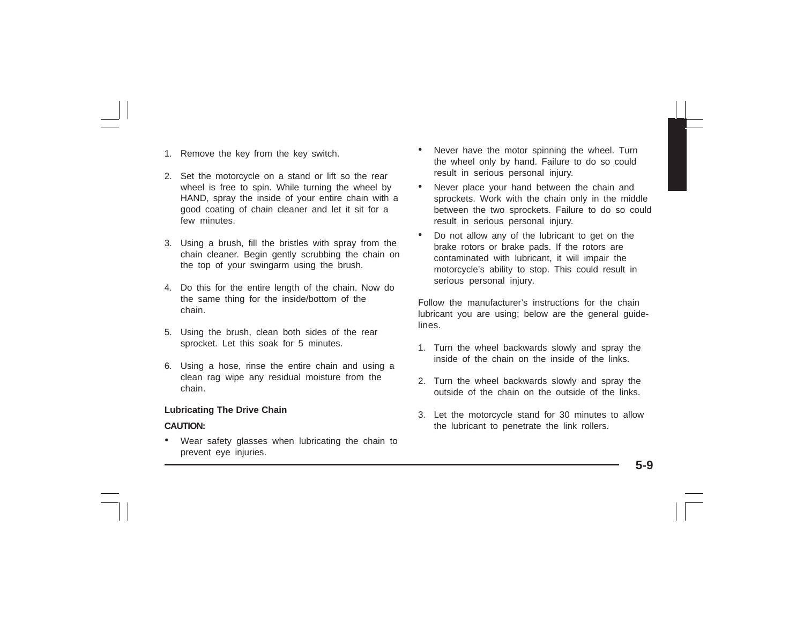- 1. Remove the key from the key switch.
- 2. Set the motorcycle on a stand or lift so the rear wheel is free to spin. While turning the wheel by HAND, spray the inside of your entire chain with a good coating of chain cleaner and let it sit for a few minutes
- 3. Using a brush, fill the bristles with spray from the chain cleaner. Begin gently scrubbing the chain on the top of your swingarm using the brush.
- 4. Do this for the entire length of the chain. Now do the same thing for the inside/bottom of the chain.
- 5. Using the brush, clean both sides of the rear sprocket. Let this soak for 5 minutes.
- 6. Using a hose, rinse the entire chain and using a clean rag wipe any residual moisture from the chain.

#### **Lubricating The Drive Chain**

#### **CAUTION:**

• Wear safety glasses when lubricating the chain to prevent eye injuries.

- • Never have the motor spinning the wheel. Turn the wheel only by hand. Failure to do so could result in serious personal injury.
- • Never place your hand between the chain and sprockets. Work with the chain only in the middle between the two sprockets. Failure to do so could result in serious personal injury.
- • Do not allow any of the lubricant to get on the brake rotors or brake pads. If the rotors are contaminated with lubricant, it will impair the motorcycle's ability to stop. This could result in serious personal injury.

Follow the manufacturer's instructions for the chain lubricant you are using; below are the general guidelines.

- 1. Turn the wheel backwards slowly and spray the inside of the chain on the inside of the links.
- 2. Turn the wheel backwards slowly and spray the outside of the chain on the outside of the links.
- 3. Let the motorcycle stand for 30 minutes to allow the lubricant to penetrate the link rollers.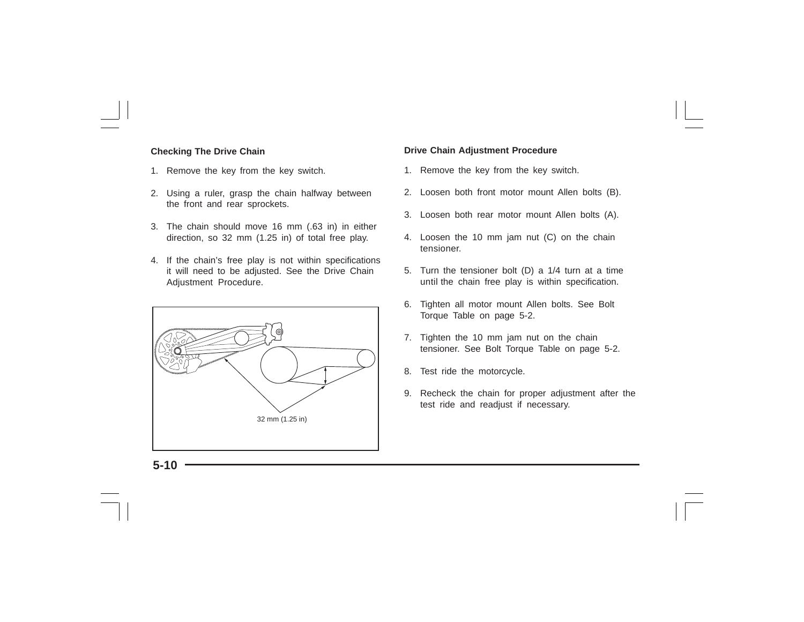#### **Checking The Drive Chain**

- 1. Remove the key from the key switch.
- 2. Using a ruler, grasp the chain halfway between the front and rear sprockets.
- 3. The chain should move 16 mm (.63 in) in either direction, so 32 mm (1.25 in) of total free play.
- 4. If the chain's free play is not within specifications it will need to be adjusted. See the Drive Chain Adjustment Procedure.



#### **Drive Chain Adjustment Procedure**

- 1. Remove the key from the key switch.
- 2. Loosen both front motor mount Allen bolts (B).
- 3. Loosen both rear motor mount Allen bolts (A).
- 4. Loosen the 10 mm jam nut (C) on the chain tensioner.
- 5. Turn the tensioner bolt (D) a 1/4 turn at a time until the chain free play is within specification.
- 6. Tighten all motor mount Allen bolts. See Bolt Torque Table on page 5-2.
- 7. Tighten the 10 mm jam nut on the chain tensioner. See Bolt Torque Table on page 5-2.
- 8. Test ride the motorcycle.
- 9. Recheck the chain for proper adjustment after the test ride and readjust if necessary.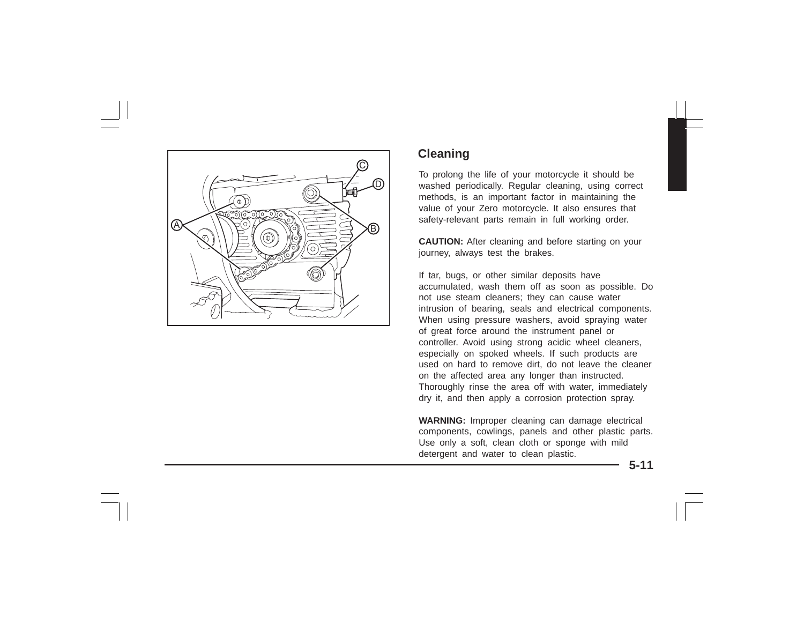

### **Cleaning**

To prolong the life of your motorcycle it should be washed periodically. Regular cleaning, using correct methods, is an important factor in maintaining the value of your Zero motorcycle. It also ensures that safety-relevant parts remain in full working order.

**CAUTION:** After cleaning and before starting on your journey, always test the brakes.

If tar, bugs, or other similar deposits have accumulated, wash them off as soon as possible. Do not use steam cleaners; they can cause water intrusion of bearing, seals and electrical components. When using pressure washers, avoid spraying water of great force around the instrument panel or controller. Avoid using strong acidic wheel cleaners, especially on spoked wheels. If such products are used on hard to remove dirt, do not leave the cleaner on the affected area any longer than instructed. Thoroughly rinse the area off with water, immediately dry it, and then apply a corrosion protection spray.

**WARNING:** Improper cleaning can damage electrical components, cowlings, panels and other plastic parts. Use only a soft, clean cloth or sponge with mild detergent and water to clean plastic.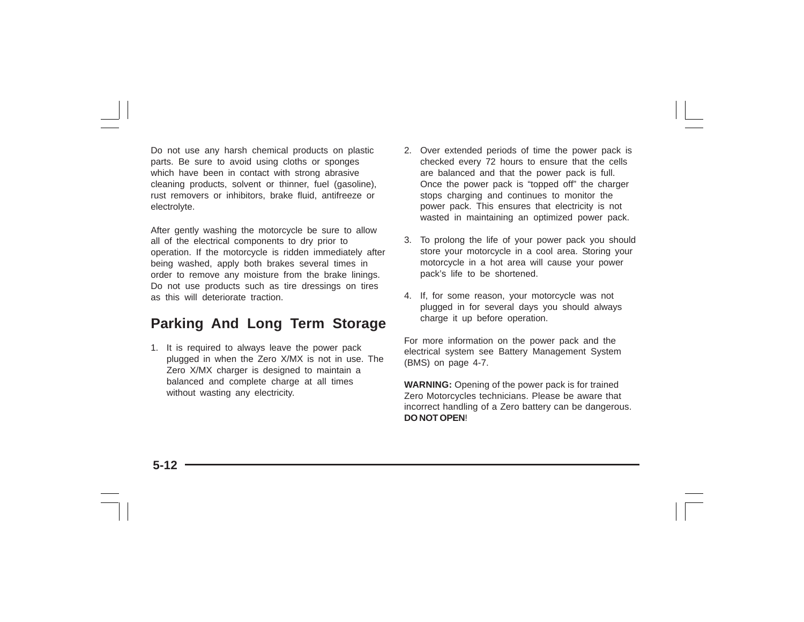Do not use any harsh chemical products on plastic parts. Be sure to avoid using cloths or sponges which have been in contact with strong abrasive cleaning products, solvent or thinner, fuel (gasoline), rust removers or inhibitors, brake fluid, antifreeze or electrolyte.

After gently washing the motorcycle be sure to allow all of the electrical components to dry prior to operation. If the motorcycle is ridden immediately after being washed, apply both brakes several times in order to remove any moisture from the brake linings. Do not use products such as tire dressings on tires as this will deteriorate traction.

## **Parking And Long Term Storage**

1. It is required to always leave the power pack plugged in when the Zero X/MX is not in use. The Zero X/MX charger is designed to maintain a balanced and complete charge at all times without wasting any electricity.

- 2. Over extended periods of time the power pack is checked every 72 hours to ensure that the cells are balanced and that the power pack is full. Once the power pack is "topped off" the charger stops charging and continues to monitor the power pack. This ensures that electricity is not wasted in maintaining an optimized power pack.
- 3. To prolong the life of your power pack you should store your motorcycle in a cool area. Storing your motorcycle in a hot area will cause your power pack's life to be shortened.
- 4. If, for some reason, your motorcycle was not plugged in for several days you should always charge it up before operation.

For more information on the power pack and the electrical system see Battery Management System (BMS) on page 4-7.

**WARNING:** Opening of the power pack is for trained Zero Motorcycles technicians. Please be aware that incorrect handling of a Zero battery can be dangerous. **DO NOT OPEN**!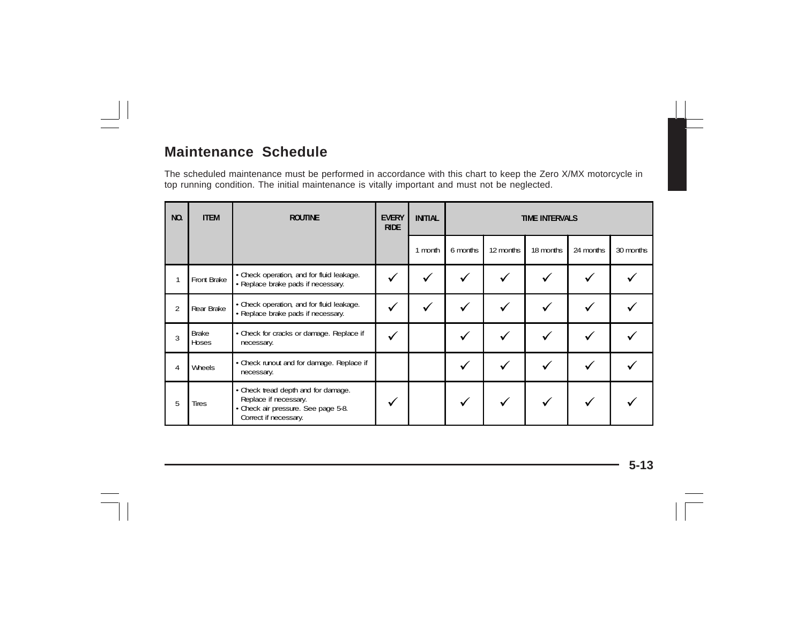## **Maintenance Schedule**

The scheduled maintenance must be performed in accordance with this chart to keep the Zero X/MX motorcycle in top running condition. The initial maintenance is vitally important and must not be neglected.

| NO.            | <b>ITEM</b>           | <b>ROUTINE</b>                                                                                                               | <b>EVERY</b><br><b>RIDE</b> | <b>INITIAL</b> | <b>TIME INTERVALS</b> |           |           |           |           |
|----------------|-----------------------|------------------------------------------------------------------------------------------------------------------------------|-----------------------------|----------------|-----------------------|-----------|-----------|-----------|-----------|
|                |                       |                                                                                                                              |                             | month          | 6 months              | 12 months | 18 months | 24 months | 30 months |
|                | Front Brake           | • Check operation, and for fluid leakage.<br>• Replace brake pads if necessary.                                              |                             |                |                       |           |           |           |           |
| $\overline{2}$ | Rear Brake            | • Check operation, and for fluid leakage.<br>• Replace brake pads if necessary.                                              |                             |                |                       |           |           |           |           |
| 3              | <b>Brake</b><br>Hoses | • Check for cracks or damage. Replace if<br>necessary.                                                                       | v                           |                |                       |           |           |           |           |
| 4              | Wheels                | • Check runout and for damage. Replace if<br>necessary.                                                                      |                             |                |                       |           |           |           |           |
| 5              | <b>Tires</b>          | • Check tread depth and for damage.<br>Replace if necessary.<br>· Check air pressure. See page 5-8.<br>Correct if necessary. |                             |                |                       |           |           |           |           |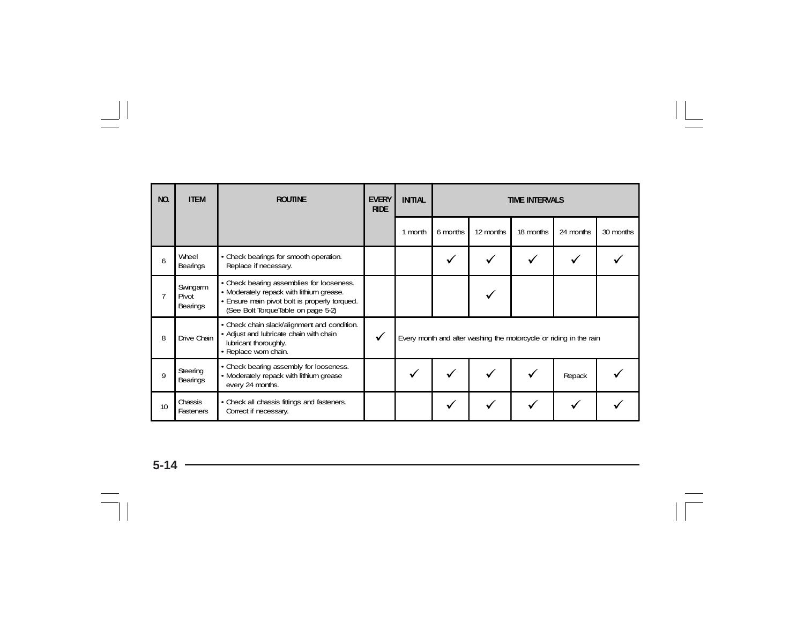| NO. | <b>ITEM</b>                   | <b>ROUTINE</b>                                                                                                                                                               | <b>EVERY</b><br><b>RIDE</b> | <b>INITIAL</b><br><b>TIME INTERVALS</b>                            |          |           |           |           |           |
|-----|-------------------------------|------------------------------------------------------------------------------------------------------------------------------------------------------------------------------|-----------------------------|--------------------------------------------------------------------|----------|-----------|-----------|-----------|-----------|
|     |                               |                                                                                                                                                                              |                             | 1 month                                                            | 6 months | 12 months | 18 months | 24 months | 30 months |
| 6   | Wheel<br>Bearings             | • Check bearings for smooth operation.<br>Replace if necessary.                                                                                                              |                             |                                                                    |          |           |           |           |           |
|     | Swingarm<br>Pivot<br>Bearings | • Check bearing assemblies for looseness.<br>• Moderately repack with lithium grease.<br>· Ensure main pivot bolt is properly torqued.<br>(See Bolt TorqueTable on page 5-2) |                             |                                                                    |          |           |           |           |           |
| 8   | Drive Chain                   | • Check chain slack/alignment and condition.<br>• Adjust and lubricate chain with chain<br>lubricant thoroughly.<br>· Replace worn chain.                                    | $\checkmark$                | Every month and after washing the motorcycle or riding in the rain |          |           |           |           |           |
| 9   | Steering<br>Bearings          | • Check bearing assembly for looseness.<br>· Moderately repack with lithium grease<br>every 24 months.                                                                       |                             |                                                                    |          |           |           | Repack    |           |
| 10  | Chassis<br>Fasteners          | • Check all chassis fittings and fasteners.<br>Correct if necessary.                                                                                                         |                             |                                                                    |          |           |           |           |           |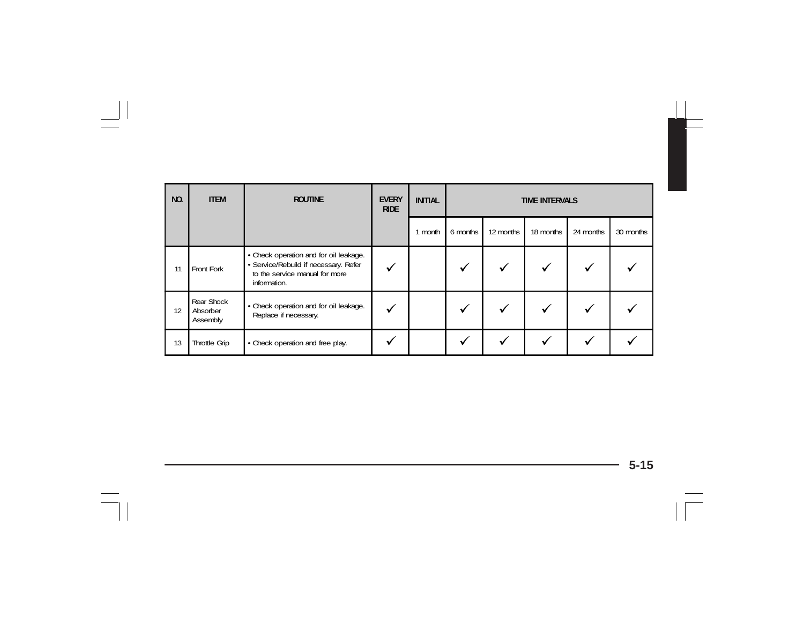| NO. | <b>ITEM</b>                        | <b>ROUTINE</b>                                                                                                                    | <b>EVERY</b><br><b>RIDE</b> | <b>INITIAL</b> | <b>TIME INTERVALS</b> |           |           |           |           |
|-----|------------------------------------|-----------------------------------------------------------------------------------------------------------------------------------|-----------------------------|----------------|-----------------------|-----------|-----------|-----------|-----------|
|     |                                    |                                                                                                                                   |                             | 1 month        | 6 months              | 12 months | 18 months | 24 months | 30 months |
| 11  | Front Fork                         | • Check operation and for oil leakage.<br>· Service/Rebuild if necessary. Refer<br>to the service manual for more<br>information. | $\checkmark$                |                |                       |           |           | √         |           |
| 12  | Rear Shock<br>Absorber<br>Assembly | • Check operation and for oil leakage.<br>Replace if necessary.                                                                   | ✔                           |                |                       |           |           | v         |           |
| 13  | Throttle Grip                      | • Check operation and free play.                                                                                                  |                             |                | ✓                     |           | ✓         |           |           |

÷,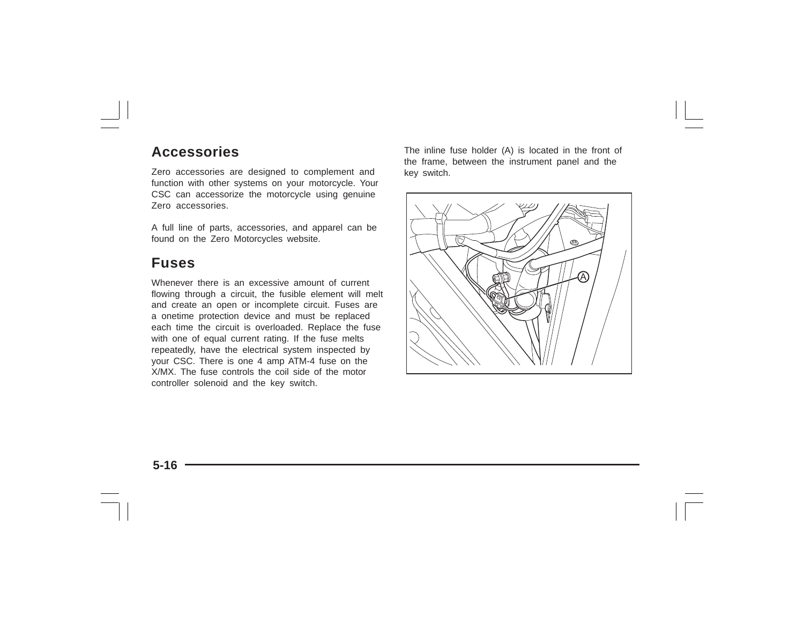### **Accessories**

Zero accessories are designed to complement and function with other systems on your motorcycle. Your CSC can accessorize the motorcycle using genuine Zero accessories.

A full line of parts, accessories, and apparel can be found on the Zero Motorcycles website.

### **Fuses**

Whenever there is an excessive amount of current flowing through a circuit, the fusible element will melt and create an open or incomplete circuit. Fuses are a onetime protection device and must be replaced each time the circuit is overloaded. Replace the fuse with one of equal current rating. If the fuse melts repeatedly, have the electrical system inspected by your CSC. There is one 4 amp ATM-4 fuse on the X/MX. The fuse controls the coil side of the motor controller solenoid and the key switch.

The inline fuse holder (A) is located in the front of the frame, between the instrument panel and the key switch.

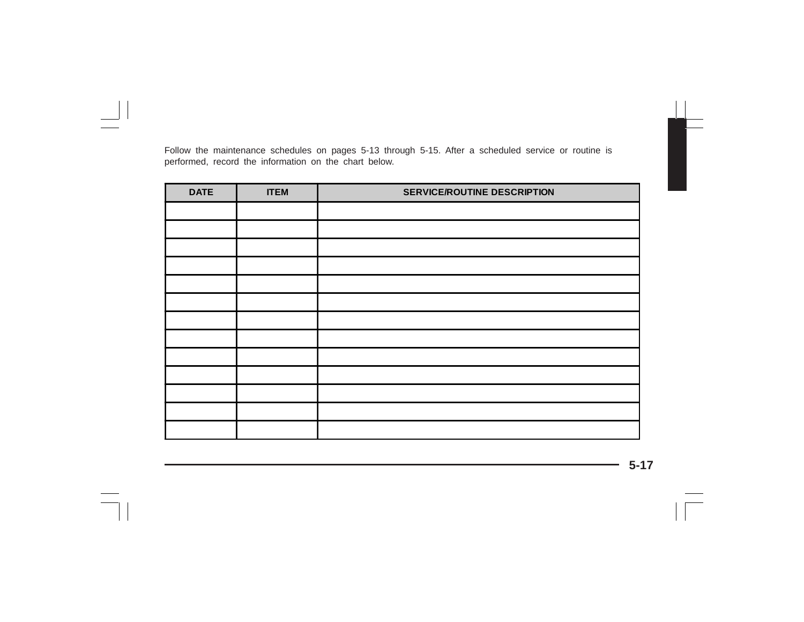Follow the maintenance schedules on pages 5-13 through 5-15. After a scheduled service or routine is performed, record the information on the chart below.

| <b>DATE</b> | <b>ITEM</b> | <b>SERVICE/ROUTINE DESCRIPTION</b> |
|-------------|-------------|------------------------------------|
|             |             |                                    |
|             |             |                                    |
|             |             |                                    |
|             |             |                                    |
|             |             |                                    |
|             |             |                                    |
|             |             |                                    |
|             |             |                                    |
|             |             |                                    |
|             |             |                                    |
|             |             |                                    |
|             |             |                                    |
|             |             |                                    |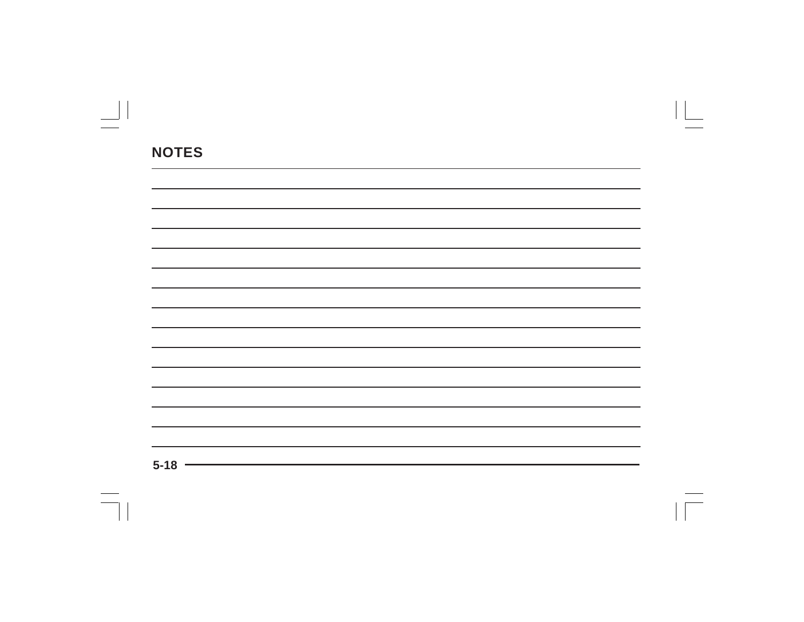| $5 - 18$ |  |  |
|----------|--|--|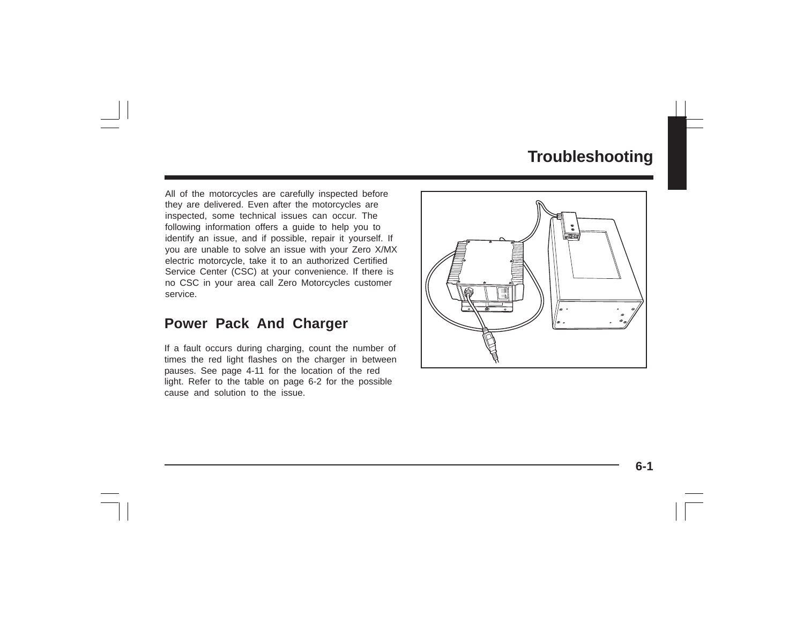# **Troubleshooting**

All of the motorcycles are carefully inspected before they are delivered. Even after the motorcycles are inspected, some technical issues can occur. The following information offers a guide to help you to identify an issue, and if possible, repair it yourself. If you are unable to solve an issue with your Zero X/MX electric motorcycle, take it to an authorized Certified Service Center (CSC) at your convenience. If there is no CSC in your area call Zero Motorcycles customer service.

### **Power Pack And Charger**

If a fault occurs during charging, count the number of times the red light flashes on the charger in between pauses. See page 4-11 for the location of the red light. Refer to the table on page 6-2 for the possible cause and solution to the issue.

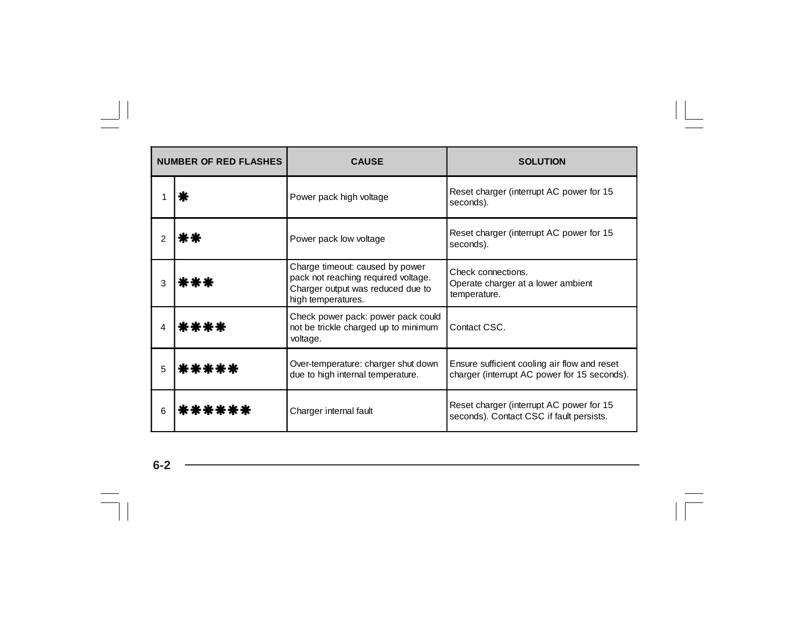| <b>NUMBER OF RED FLASHES</b> |        | <b>CAUSE</b>                                                                                                                      | <b>SOLUTION</b>                                                                              |
|------------------------------|--------|-----------------------------------------------------------------------------------------------------------------------------------|----------------------------------------------------------------------------------------------|
|                              |        | Power pack high voltage                                                                                                           | Reset charger (interrupt AC power for 15<br>seconds).                                        |
| 2                            |        | Power pack low voltage                                                                                                            | Reset charger (interrupt AC power for 15<br>seconds).                                        |
| 3                            | k * *  | Charge timeout: caused by power<br>pack not reaching required voltage.<br>Charger output was reduced due to<br>high temperatures. | Check connections.<br>Operate charger at a lower ambient<br>temperature.                     |
| 4                            | ****   | Check power pack: power pack could<br>not be trickle charged up to minimum<br>voltage.                                            | Contact CSC.                                                                                 |
| 5                            | *****  | Over-temperature: charger shut down<br>due to high internal temperature.                                                          | Ensure sufficient cooling air flow and reset<br>charger (interrupt AC power for 15 seconds). |
| 6                            | ****** | Charger internal fault                                                                                                            | Reset charger (interrupt AC power for 15<br>seconds). Contact CSC if fault persists.         |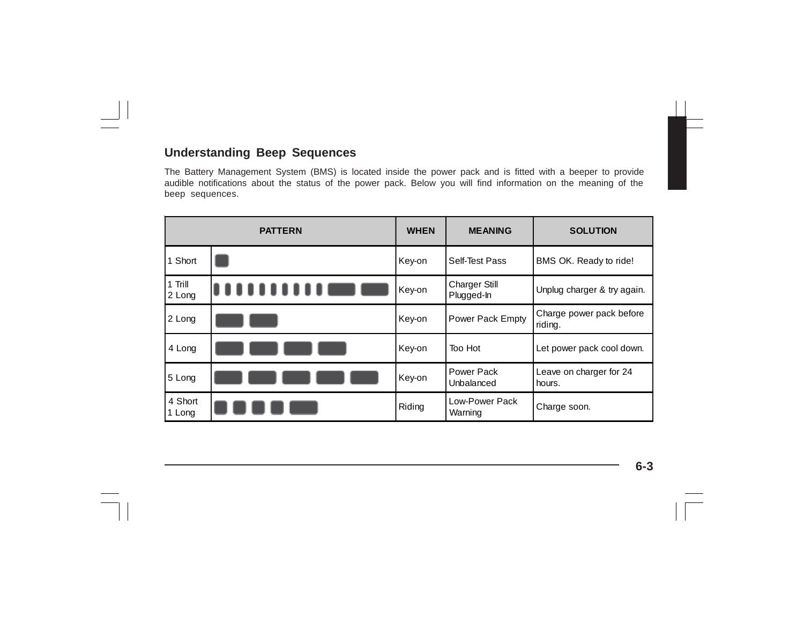### **Understanding Beep Sequences**

The Battery Management System (BMS) is located inside the power pack and is fitted with a beeper to provide audible notifications about the status of the power pack. Below you will find information on the meaning of the beep sequences.

|                   | <b>PATTERN</b> | <b>WHEN</b> | <b>MEANING</b>                     | <b>SOLUTION</b>                     |
|-------------------|----------------|-------------|------------------------------------|-------------------------------------|
| 1 Short           |                | Key-on      | Self-Test Pass                     | BMS OK. Ready to ride!              |
| 1 Trill<br>2 Long |                | Key-on      | <b>Charger Still</b><br>Plugged-In | Unplug charger & try again.         |
| 2 Long            |                | Key-on      | Power Pack Empty                   | Charge power pack before<br>riding. |
| 4 Long            |                | Key-on      | Too Hot                            | Let power pack cool down.           |
| 5 Long            |                | Key-on      | Power Pack<br>Unbalanced           | Leave on charger for 24<br>hours.   |
| 4 Short<br>1 Long |                | Riding      | Low-Power Pack<br>Warning          | Charge soon.                        |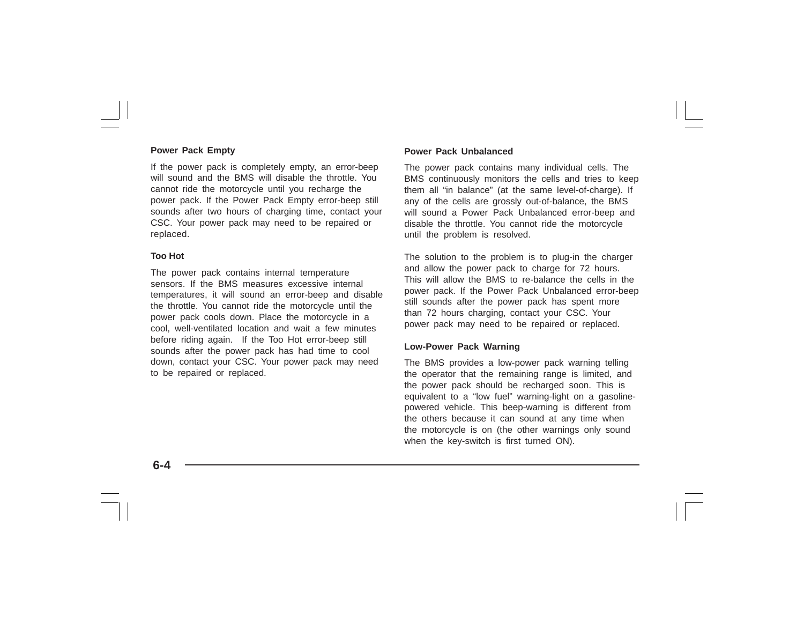#### **Power Pack Empty**

If the power pack is completely empty, an error-beep will sound and the BMS will disable the throttle. You cannot ride the motorcycle until you recharge the power pack. If the Power Pack Empty error-beep still sounds after two hours of charging time, contact your CSC. Your power pack may need to be repaired or replaced.

#### **Too Hot**

The power pack contains internal temperature sensors. If the BMS measures excessive internal temperatures, it will sound an error-beep and disable the throttle. You cannot ride the motorcycle until the power pack cools down. Place the motorcycle in a cool, well-ventilated location and wait a few minutes before riding again. If the Too Hot error-beep still sounds after the power pack has had time to cool down, contact your CSC. Your power pack may need to be repaired or replaced.

#### **Power Pack Unbalanced**

The power pack contains many individual cells. The BMS continuously monitors the cells and tries to keep them all "in balance" (at the same level-of-charge). If any of the cells are grossly out-of-balance, the BMS will sound a Power Pack Unbalanced error-beep and disable the throttle. You cannot ride the motorcycle until the problem is resolved.

The solution to the problem is to plug-in the charger and allow the power pack to charge for 72 hours. This will allow the BMS to re-balance the cells in the power pack. If the Power Pack Unbalanced error-beep still sounds after the power pack has spent more than 72 hours charging, contact your CSC. Your power pack may need to be repaired or replaced.

#### **Low-Power Pack Warning**

The BMS provides a low-power pack warning telling the operator that the remaining range is limited, and the power pack should be recharged soon. This is equivalent to a "low fuel" warning-light on a gasolinepowered vehicle. This beep-warning is different from the others because it can sound at any time when the motorcycle is on (the other warnings only sound when the key-switch is first turned ON).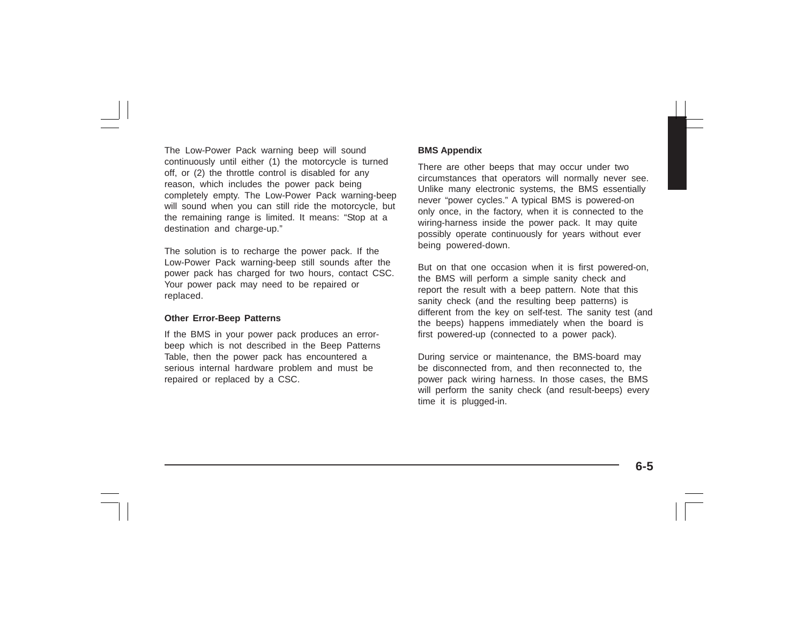The Low-Power Pack warning beep will sound continuously until either (1) the motorcycle is turned off, or (2) the throttle control is disabled for any reason, which includes the power pack being completely empty. The Low-Power Pack warning-beep will sound when you can still ride the motorcycle, but the remaining range is limited. It means: "Stop at a destination and charge-up."

The solution is to recharge the power pack. If the Low-Power Pack warning-beep still sounds after the power pack has charged for two hours, contact CSC. Your power pack may need to be repaired or replaced.

#### **Other Error-Beep Patterns**

If the BMS in your power pack produces an errorbeep which is not described in the Beep Patterns Table, then the power pack has encountered a serious internal hardware problem and must be repaired or replaced by a CSC.

#### **BMS Appendix**

There are other beeps that may occur under two circumstances that operators will normally never see. Unlike many electronic systems, the BMS essentially never "power cycles." A typical BMS is powered-on only once, in the factory, when it is connected to the wiring-harness inside the power pack. It may quite possibly operate continuously for years without ever being powered-down.

But on that one occasion when it is first powered-on, the BMS will perform a simple sanity check and report the result with a beep pattern. Note that this sanity check (and the resulting beep patterns) is different from the key on self-test. The sanity test (and the beeps) happens immediately when the board is first powered-up (connected to a power pack).

During service or maintenance, the BMS-board may be disconnected from, and then reconnected to, the power pack wiring harness. In those cases, the BMS will perform the sanity check (and result-beeps) every time it is plugged-in.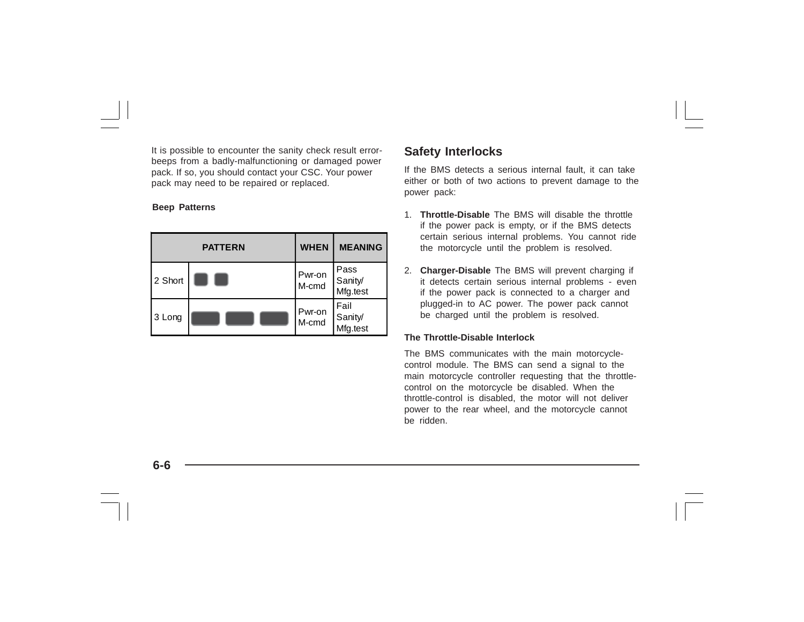It is possible to encounter the sanity check result errorbeeps from a badly-malfunctioning or damaged power pack. If so, you should contact your CSC. Your power pack may need to be repaired or replaced.

#### **Beep Patterns**

|         | <b>PATTERN</b> | <b>WHEN</b>     | <b>MEANING</b>              |
|---------|----------------|-----------------|-----------------------------|
| 2 Short |                | Pwr-on<br>M-cmd | Pass<br>Sanity/<br>Mfg.test |
| 3 Long  |                | Pwr-on<br>M-cmd | Fail<br>Sanity/<br>Mfg.test |

### **Safety Interlocks**

If the BMS detects a serious internal fault, it can take either or both of two actions to prevent damage to the power pack:

- 1. **Throttle-Disable** The BMS will disable the throttle if the power pack is empty, or if the BMS detects certain serious internal problems. You cannot ride the motorcycle until the problem is resolved.
- 2. **Charger-Disable** The BMS will prevent charging if it detects certain serious internal problems - even if the power pack is connected to a charger and plugged-in to AC power. The power pack cannot be charged until the problem is resolved.

#### **The Throttle-Disable Interlock**

The BMS communicates with the main motorcyclecontrol module. The BMS can send a signal to the main motorcycle controller requesting that the throttlecontrol on the motorcycle be disabled. When the throttle-control is disabled, the motor will not deliver power to the rear wheel, and the motorcycle cannot be ridden.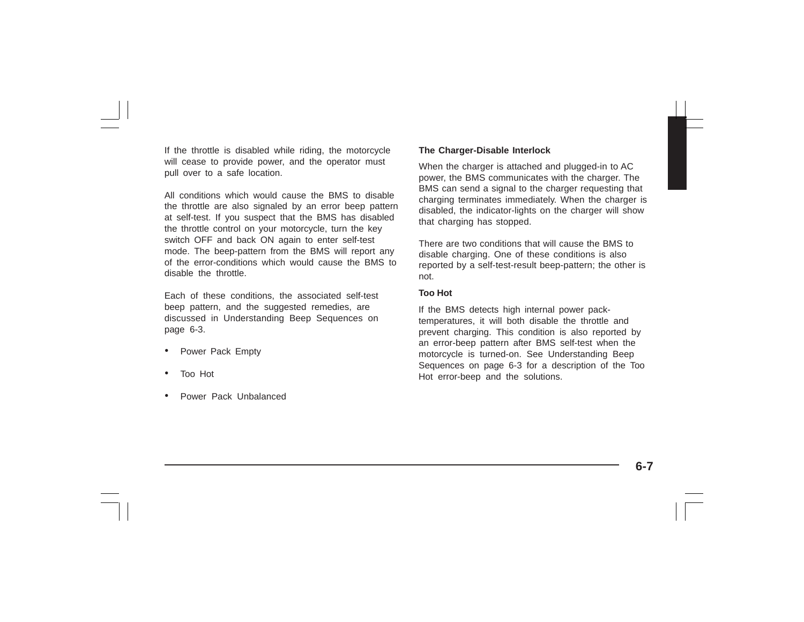If the throttle is disabled while riding, the motorcycle will cease to provide power, and the operator must pull over to a safe location.

All conditions which would cause the BMS to disable the throttle are also signaled by an error beep pattern at self-test. If you suspect that the BMS has disabled the throttle control on your motorcycle, turn the key switch OFF and back ON again to enter self-test mode. The beep-pattern from the BMS will report any of the error-conditions which would cause the BMS to disable the throttle.

Each of these conditions, the associated self-test beep pattern, and the suggested remedies, are discussed in Understanding Beep Sequences on page 6-3.

- •Power Pack Empty
- •Too Hot
- •Power Pack Unbalanced

#### **The Charger-Disable Interlock**

When the charger is attached and plugged-in to AC power, the BMS communicates with the charger. The BMS can send a signal to the charger requesting that charging terminates immediately. When the charger is disabled, the indicator-lights on the charger will show that charging has stopped.

There are two conditions that will cause the BMS to disable charging. One of these conditions is also reported by a self-test-result beep-pattern; the other is not.

#### **Too Hot**

If the BMS detects high internal power packtemperatures, it will both disable the throttle and prevent charging. This condition is also reported by an error-beep pattern after BMS self-test when the motorcycle is turned-on. See Understanding Beep Sequences on page 6-3 for a description of the Too Hot error-beep and the solutions.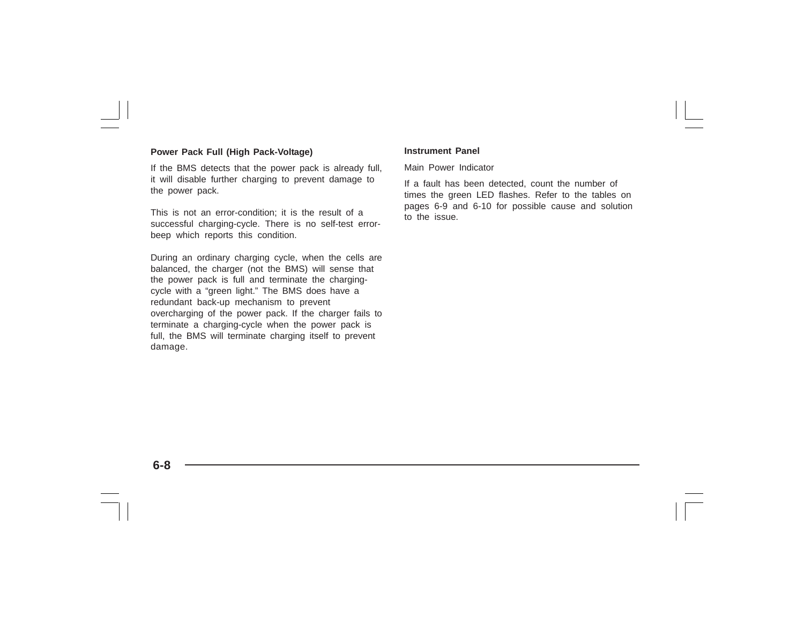#### **Power Pack Full (High Pack-Voltage)**

If the BMS detects that the power pack is already full, it will disable further charging to prevent damage to the power pack.

This is not an error-condition; it is the result of a successful charging-cycle. There is no self-test errorbeep which reports this condition.

During an ordinary charging cycle, when the cells are balanced, the charger (not the BMS) will sense that the power pack is full and terminate the chargingcycle with a "green light." The BMS does have a redundant back-up mechanism to prevent overcharging of the power pack. If the charger fails to terminate a charging-cycle when the power pack is full, the BMS will terminate charging itself to prevent damage.

#### **Instrument Panel**

Main Power Indicator

If a fault has been detected, count the number of times the green LED flashes. Refer to the tables on pages 6-9 and 6-10 for possible cause and solution to the issue.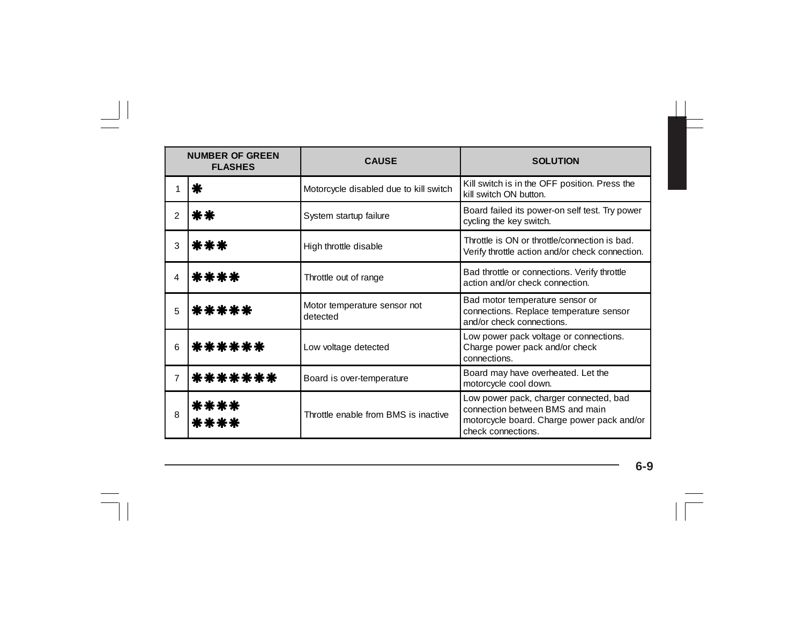| <b>NUMBER OF GREEN</b><br><b>FLASHES</b> |              | <b>CAUSE</b>                             | <b>SOLUTION</b>                                                                                                                               |
|------------------------------------------|--------------|------------------------------------------|-----------------------------------------------------------------------------------------------------------------------------------------------|
|                                          | ⋇            | Motorcycle disabled due to kill switch   | Kill switch is in the OFF position. Press the<br>kill switch ON button.                                                                       |
| 2                                        | **           | System startup failure                   | Board failed its power-on self test. Try power<br>cycling the key switch.                                                                     |
| 3                                        | ***          | High throttle disable                    | Throttle is ON or throttle/connection is bad.<br>Verify throttle action and/or check connection.                                              |
| 4                                        | ****         | Throttle out of range                    | Bad throttle or connections. Verify throttle<br>action and/or check connection.                                                               |
| 5                                        | *****        | Motor temperature sensor not<br>detected | Bad motor temperature sensor or<br>connections. Replace temperature sensor<br>and/or check connections.                                       |
| 6                                        | ******       | Low voltage detected                     | Low power pack voltage or connections.<br>Charge power pack and/or check<br>connections.                                                      |
| $\overline{7}$                           | *******      | Board is over-temperature                | Board may have overheated. Let the<br>motorcycle cool down.                                                                                   |
| 8                                        | ****<br>**** | Throttle enable from BMS is inactive     | Low power pack, charger connected, bad<br>connection between BMS and main<br>motorcycle board. Charge power pack and/or<br>check connections. |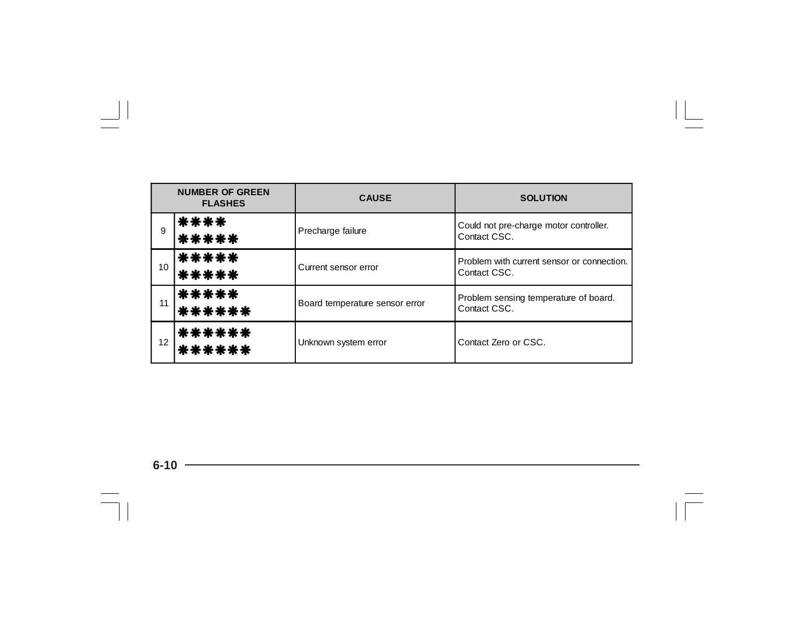| <b>NUMBER OF GREEN</b><br><b>FLASHES</b> |                  | <b>CAUSE</b>                   | <b>SOLUTION</b>                                            |
|------------------------------------------|------------------|--------------------------------|------------------------------------------------------------|
| 9                                        | ****<br>*****    | Precharge failure              | Could not pre-charge motor controller.<br>Contact CSC.     |
| $10-10$                                  | *****<br>*****   | Current sensor error           | Problem with current sensor or connection.<br>Contact CSC. |
| 11                                       | *****<br>******  | Board temperature sensor error | Problem sensing temperature of board.<br>Contact CSC.      |
| 12 <sup>2</sup>                          | ******<br>****** | Unknown system error           | Contact Zero or CSC.                                       |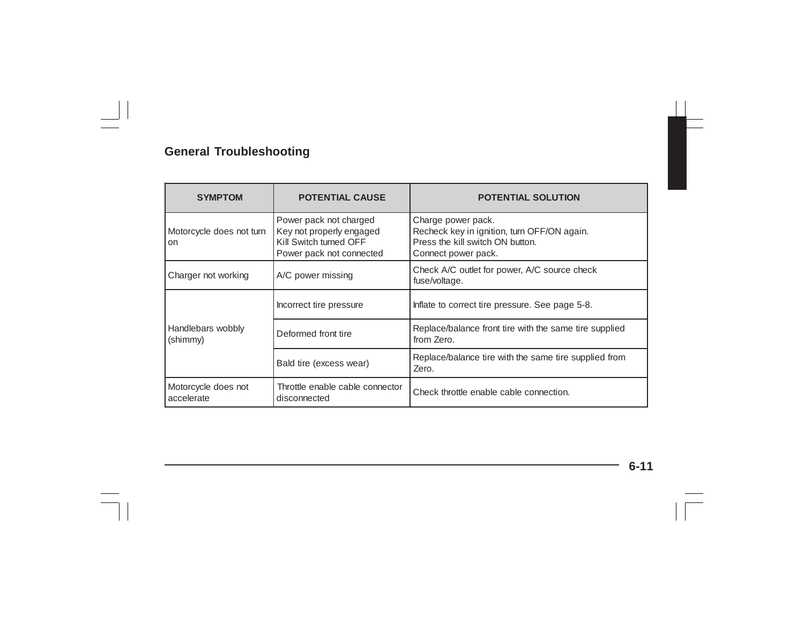| <b>SYMPTOM</b>                            | <b>POTENTIAL CAUSE</b>                                                                                   | <b>POTENTIAL SOLUTION</b>                                                                                                    |
|-------------------------------------------|----------------------------------------------------------------------------------------------------------|------------------------------------------------------------------------------------------------------------------------------|
| Motorcycle does not turn<br><sub>on</sub> | Power pack not charged<br>Key not properly engaged<br>Kill Switch turned OFF<br>Power pack not connected | Charge power pack.<br>Recheck key in ignition, turn OFF/ON again.<br>Press the kill switch ON button.<br>Connect power pack. |
| Charger not working                       | A/C power missing                                                                                        | Check A/C outlet for power, A/C source check<br>fuse/voltage.                                                                |
|                                           | Incorrect tire pressure                                                                                  | Inflate to correct tire pressure. See page 5-8.                                                                              |
| Handlebars wobbly<br>(shimmy)             | Deformed front tire                                                                                      | Replace/balance front tire with the same tire supplied<br>from Zero.                                                         |
|                                           | Bald tire (excess wear)                                                                                  | Replace/balance tire with the same tire supplied from<br>Zero.                                                               |
| Motorcycle does not<br>accelerate         | Throttle enable cable connector<br>disconnected                                                          | Check throttle enable cable connection.                                                                                      |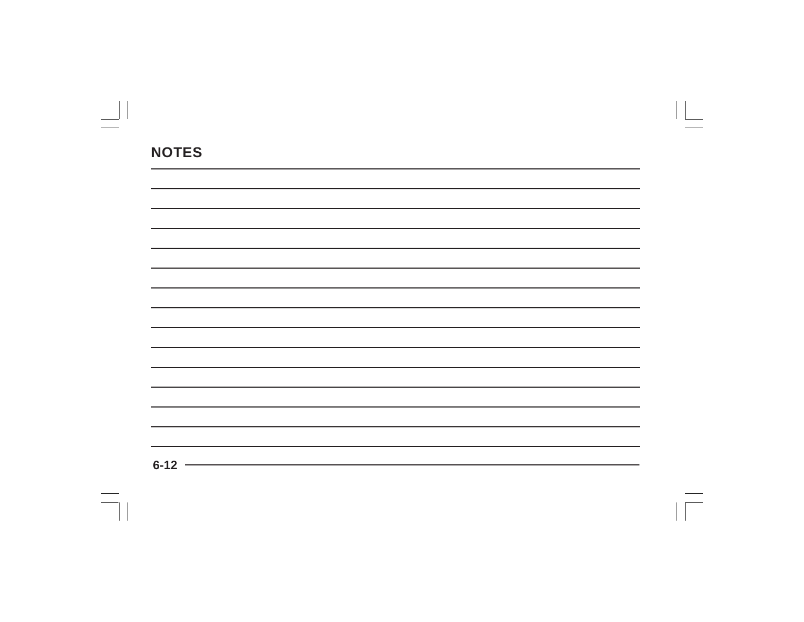| 6.12 |  |  |
|------|--|--|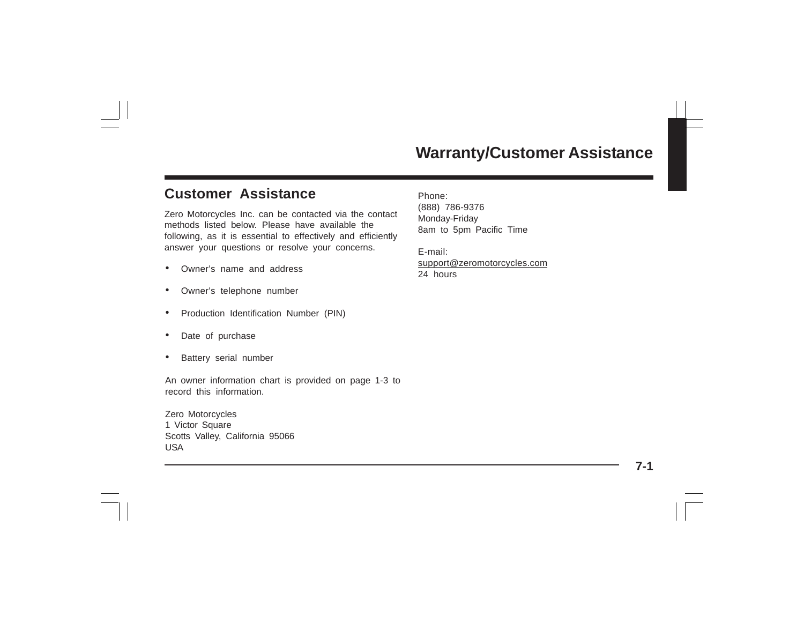## **Customer Assistance**

Zero Motorcycles Inc. can be contacted via the contact methods listed below. Please have available the following, as it is essential to effectively and efficiently answer your questions or resolve your concerns.

- •Owner's name and address
- •Owner's telephone number
- •Production Identification Number (PIN)
- •Date of purchase
- •Battery serial number

An owner information chart is provided on page 1-3 to record this information.

Zero Motorcycles 1 Victor Square Scotts Valley, California 95066 USA

Phone: (888) 786-9376 Monday-Friday 8am to 5pm Pacific Time

E-mail: support@zeromotorcycles.com 24 hours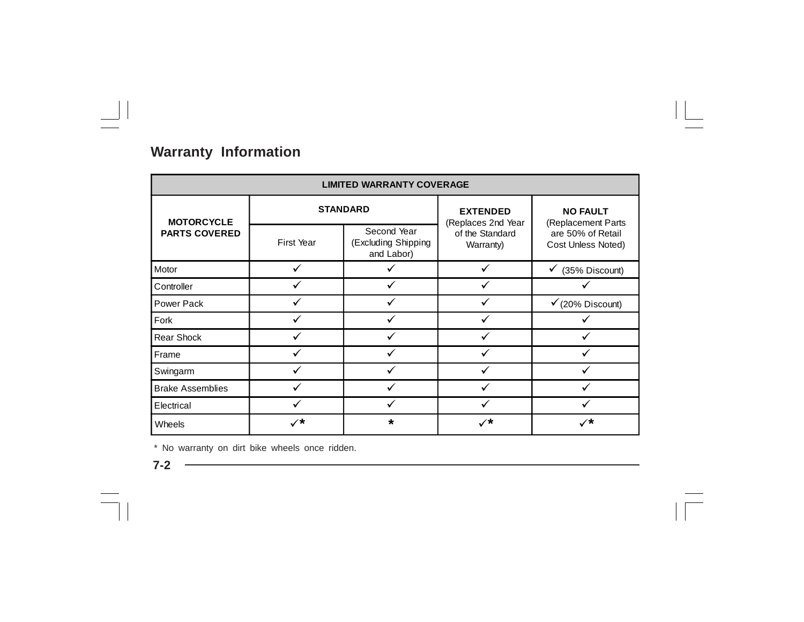## **Warranty Information**

| <b>LIMITED WARRANTY COVERAGE</b> |                      |                                                                                             |                              |                                         |
|----------------------------------|----------------------|---------------------------------------------------------------------------------------------|------------------------------|-----------------------------------------|
| <b>MOTORCYCLE</b>                |                      | <b>STANDARD</b>                                                                             | <b>EXTENDED</b>              | <b>NO FAULT</b><br>(Replacement Parts   |
| <b>PARTS COVERED</b>             | First Year           | (Replaces 2nd Year<br>Second Year<br>(Excluding Shipping<br>and Labor)<br>✓<br>✓<br>$\star$ | of the Standard<br>Warranty) | are 50% of Retail<br>Cost Unless Noted) |
| Motor                            |                      |                                                                                             |                              | (35% Discount)<br>٧                     |
| Controller                       |                      |                                                                                             |                              |                                         |
| Power Pack                       |                      |                                                                                             |                              | $\checkmark$ (20% Discount)             |
| Fork                             |                      |                                                                                             |                              |                                         |
| <b>Rear Shock</b>                | ✓                    |                                                                                             |                              |                                         |
| Frame                            |                      |                                                                                             |                              |                                         |
| Swingarm                         | ✓                    |                                                                                             |                              |                                         |
| <b>Brake Assemblies</b>          |                      |                                                                                             |                              |                                         |
| Electrical                       |                      |                                                                                             |                              |                                         |
| Wheels                           | $\checkmark^{\star}$ |                                                                                             | $\checkmark$                 | ✓*                                      |

\* No warranty on dirt bike wheels once ridden.

**7-2**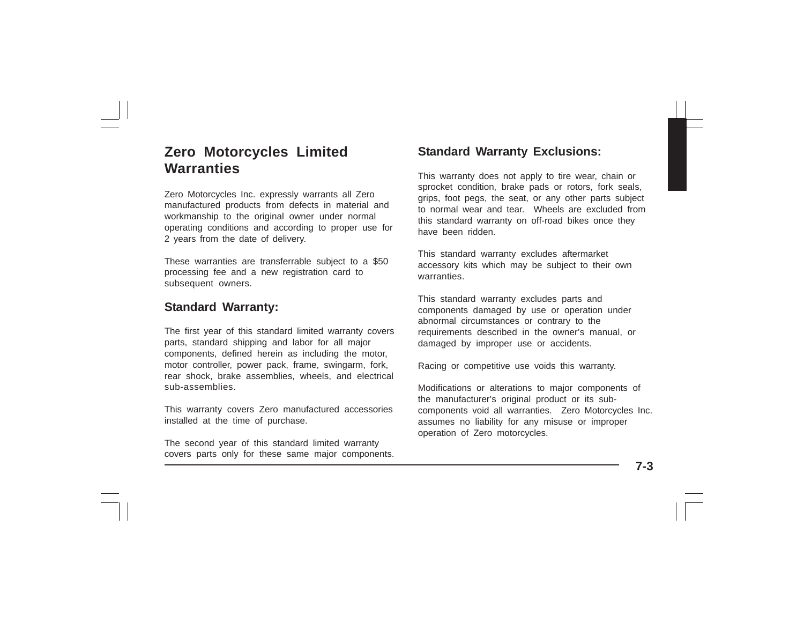## **Zero Motorcycles Limited Warranties**

Zero Motorcycles Inc. expressly warrants all Zero manufactured products from defects in material and workmanship to the original owner under normal operating conditions and according to proper use for 2 years from the date of delivery.

These warranties are transferrable subject to a \$50 processing fee and a new registration card to subsequent owners.

#### **Standard Warranty:**

The first year of this standard limited warranty covers parts, standard shipping and labor for all major components, defined herein as including the motor, motor controller, power pack, frame, swingarm, fork, rear shock, brake assemblies, wheels, and electrical sub-assemblies.

This warranty covers Zero manufactured accessories installed at the time of purchase.

The second year of this standard limited warranty covers parts only for these same major components.

#### **Standard Warranty Exclusions:**

This warranty does not apply to tire wear, chain or sprocket condition, brake pads or rotors, fork seals, grips, foot pegs, the seat, or any other parts subject to normal wear and tear. Wheels are excluded from this standard warranty on off-road bikes once they have been ridden.

This standard warranty excludes aftermarket accessory kits which may be subject to their own warranties.

This standard warranty excludes parts and components damaged by use or operation under abnormal circumstances or contrary to the requirements described in the owner's manual, or damaged by improper use or accidents.

Racing or competitive use voids this warranty.

Modifications or alterations to major components of the manufacturer's original product or its subcomponents void all warranties. Zero Motorcycles Inc. assumes no liability for any misuse or improper operation of Zero motorcycles.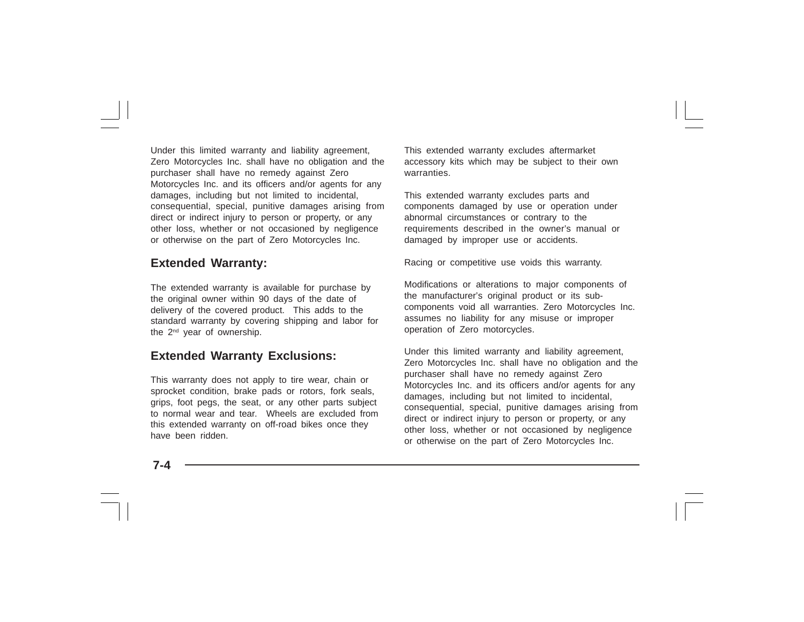Under this limited warranty and liability agreement, Zero Motorcycles Inc. shall have no obligation and the purchaser shall have no remedy against Zero Motorcycles Inc. and its officers and/or agents for any damages, including but not limited to incidental, consequential, special, punitive damages arising from direct or indirect injury to person or property, or any other loss, whether or not occasioned by negligence or otherwise on the part of Zero Motorcycles Inc.

#### **Extended Warranty:**

The extended warranty is available for purchase by the original owner within 90 days of the date of delivery of the covered product. This adds to the standard warranty by covering shipping and labor for the 2nd year of ownership.

### **Extended Warranty Exclusions:**

This warranty does not apply to tire wear, chain or sprocket condition, brake pads or rotors, fork seals, grips, foot pegs, the seat, or any other parts subject to normal wear and tear. Wheels are excluded from this extended warranty on off-road bikes once they have been ridden.

This extended warranty excludes aftermarket accessory kits which may be subject to their own warranties.

This extended warranty excludes parts and components damaged by use or operation under abnormal circumstances or contrary to the requirements described in the owner's manual or damaged by improper use or accidents.

Racing or competitive use voids this warranty.

Modifications or alterations to major components of the manufacturer's original product or its subcomponents void all warranties. Zero Motorcycles Inc. assumes no liability for any misuse or improper operation of Zero motorcycles.

Under this limited warranty and liability agreement, Zero Motorcycles Inc. shall have no obligation and the purchaser shall have no remedy against Zero Motorcycles Inc. and its officers and/or agents for any damages, including but not limited to incidental, consequential, special, punitive damages arising from direct or indirect injury to person or property, or any other loss, whether or not occasioned by negligence or otherwise on the part of Zero Motorcycles Inc.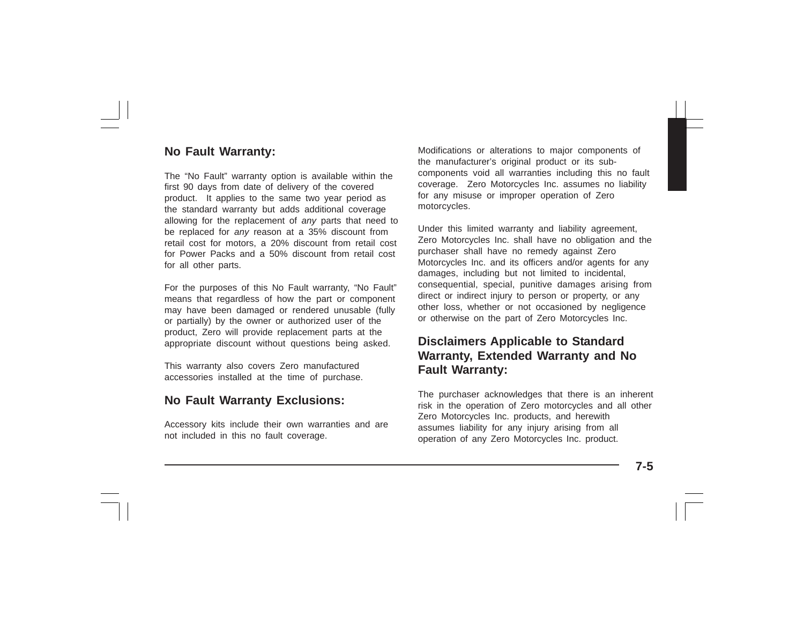### **No Fault Warranty:**

The "No Fault" warranty option is available within the first 90 days from date of delivery of the covered product. It applies to the same two year period as the standard warranty but adds additional coverage allowing for the replacement of *any* parts that need to be replaced for *any* reason at a 35% discount from retail cost for motors, a 20% discount from retail cost for Power Packs and a 50% discount from retail cost for all other parts.

For the purposes of this No Fault warranty, "No Fault" means that regardless of how the part or component may have been damaged or rendered unusable (fully or partially) by the owner or authorized user of the product, Zero will provide replacement parts at the appropriate discount without questions being asked.

This warranty also covers Zero manufactured accessories installed at the time of purchase.

### **No Fault Warranty Exclusions:**

Accessory kits include their own warranties and are not included in this no fault coverage.

Modifications or alterations to major components of the manufacturer's original product or its subcomponents void all warranties including this no fault coverage. Zero Motorcycles Inc. assumes no liability for any misuse or improper operation of Zero motorcycles.

Under this limited warranty and liability agreement, Zero Motorcycles Inc. shall have no obligation and the purchaser shall have no remedy against Zero Motorcycles Inc. and its officers and/or agents for any damages, including but not limited to incidental, consequential, special, punitive damages arising from direct or indirect injury to person or property, or any other loss, whether or not occasioned by negligence or otherwise on the part of Zero Motorcycles Inc.

### **Disclaimers Applicable to Standard Warranty, Extended Warranty and No Fault Warranty:**

The purchaser acknowledges that there is an inherent risk in the operation of Zero motorcycles and all other Zero Motorcycles Inc. products, and herewith assumes liability for any injury arising from all operation of any Zero Motorcycles Inc. product.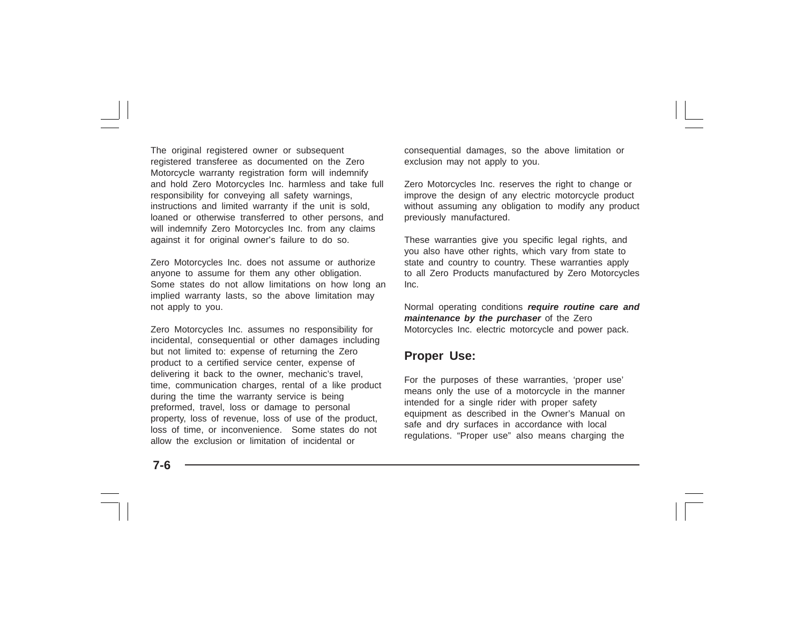The original registered owner or subsequent registered transferee as documented on the Zero Motorcycle warranty registration form will indemnify and hold Zero Motorcycles Inc. harmless and take full responsibility for conveying all safety warnings, instructions and limited warranty if the unit is sold, loaned or otherwise transferred to other persons, and will indemnify Zero Motorcycles Inc. from any claims against it for original owner's failure to do so.

Zero Motorcycles Inc. does not assume or authorize anyone to assume for them any other obligation. Some states do not allow limitations on how long an implied warranty lasts, so the above limitation may not apply to you.

Zero Motorcycles Inc. assumes no responsibility for incidental, consequential or other damages including but not limited to: expense of returning the Zero product to a certified service center, expense of delivering it back to the owner, mechanic's travel, time, communication charges, rental of a like product during the time the warranty service is being preformed, travel, loss or damage to personal property, loss of revenue, loss of use of the product, loss of time, or inconvenience. Some states do not allow the exclusion or limitation of incidental or

consequential damages, so the above limitation or exclusion may not apply to you.

Zero Motorcycles Inc. reserves the right to change or improve the design of any electric motorcycle product without assuming any obligation to modify any product previously manufactured.

These warranties give you specific legal rights, and you also have other rights, which vary from state to state and country to country. These warranties apply to all Zero Products manufactured by Zero Motorcycles Inc.

Normal operating conditions *require routine care and maintenance by the purchaser* of the Zero Motorcycles Inc. electric motorcycle and power pack.

#### **Proper Use:**

For the purposes of these warranties, 'proper use' means only the use of a motorcycle in the manner intended for a single rider with proper safety equipment as described in the Owner's Manual on safe and dry surfaces in accordance with local regulations. "Proper use" also means charging the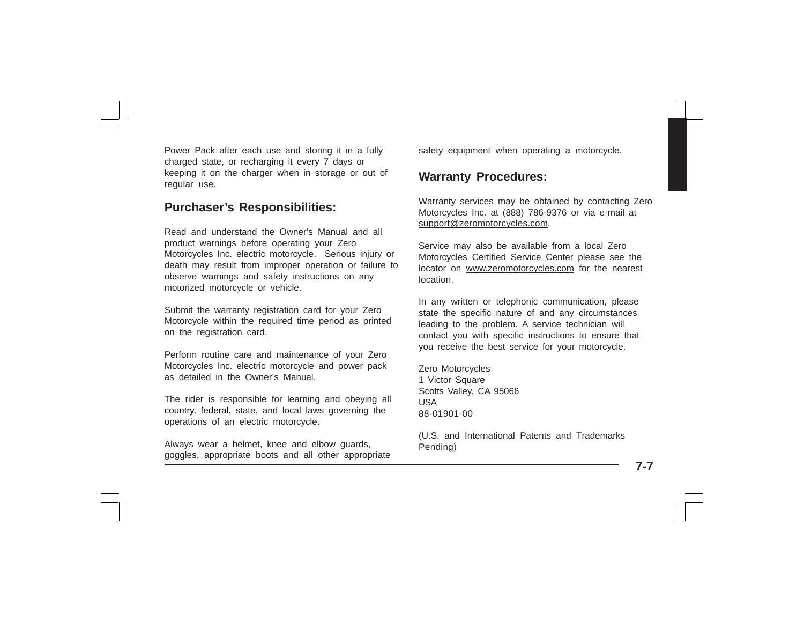Power Pack after each use and storing it in a fully charged state, or recharging it every 7 days or keeping it on the charger when in storage or out of regular use.

#### **Purchaser's Responsibilities:**

Read and understand the Owner's Manual and all product warnings before operating your Zero Motorcycles Inc. electric motorcycle. Serious injury or death may result from improper operation or failure to observe warnings and safety instructions on any motorized motorcycle or vehicle.

Submit the warranty registration card for your Zero Motorcycle within the required time period as printed on the registration card.

Perform routine care and maintenance of your Zero Motorcycles Inc. electric motorcycle and power pack as detailed in the Owner's Manual.

The rider is responsible for learning and obeying all country, federal, state, and local laws governing the operations of an electric motorcycle.

Always wear a helmet, knee and elbow guards, goggles, appropriate boots and all other appropriate safety equipment when operating a motorcycle.

#### **Warranty Procedures:**

Warranty services may be obtained by contacting Zero Motorcycles Inc. at (888) 786-9376 or via e-mail at support@zeromotorcycles.com*.*

Service may also be available from a local Zero Motorcycles Certified Service Center please see the locator on www.zeromotorcycles.com for the nearest location.

In any written or telephonic communication, please state the specific nature of and any circumstances leading to the problem. A service technician will contact you with specific instructions to ensure that you receive the best service for your motorcycle.

Zero Motorcycles 1 Victor Square Scotts Valley, CA 95066 USA 88-01901-00

(U.S. and International Patents and Trademarks Pending)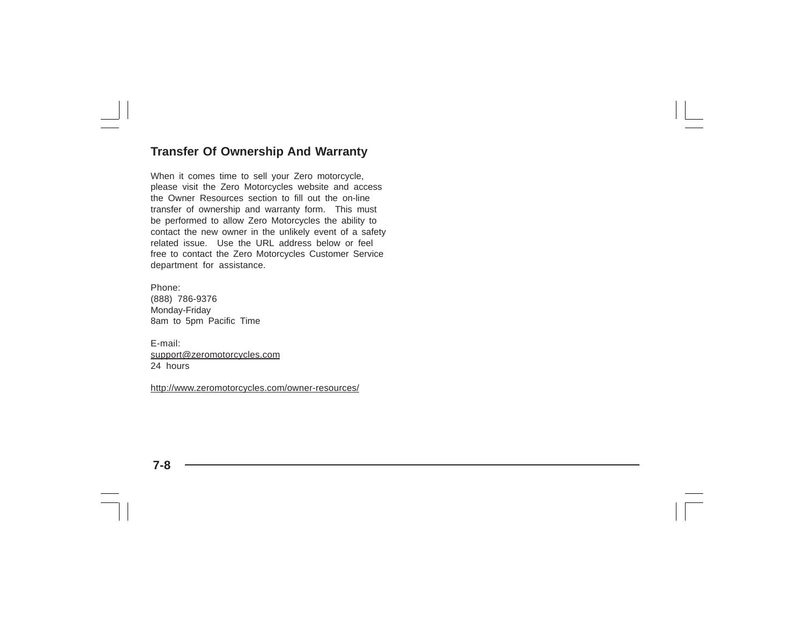#### **Transfer Of Ownership And Warranty**

When it comes time to sell your Zero motorcycle, please visit the Zero Motorcycles website and access the Owner Resources section to fill out the on-line transfer of ownership and warranty form. This must be performed to allow Zero Motorcycles the ability to contact the new owner in the unlikely event of a safety related issue. Use the URL address below or feel free to contact the Zero Motorcycles Customer Service department for assistance.

Phone: (888) 786-9376 Monday-Friday 8am to 5pm Pacific Time

E-mail: support@zeromotorcycles.com 24 hours

http://www.zeromotorcycles.com/owner-resources/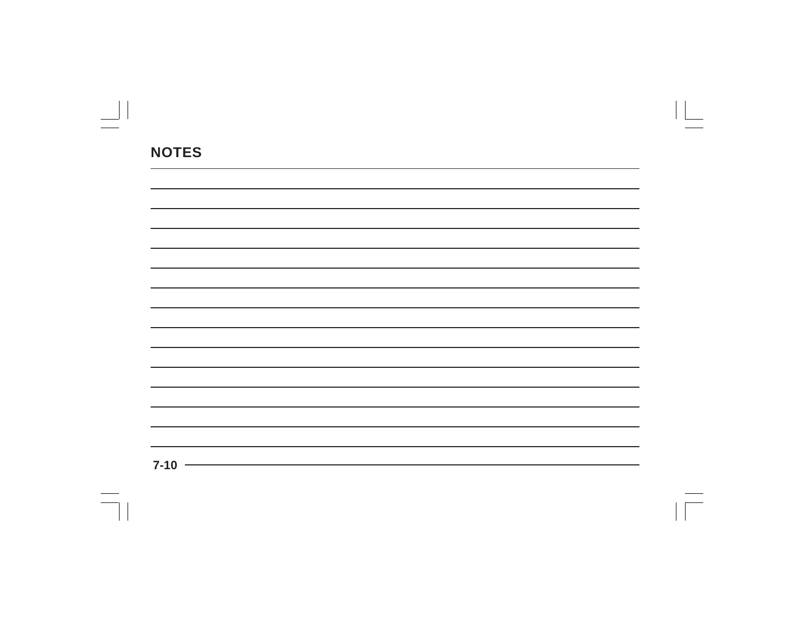| $7-10$ $\longrightarrow$ |  |  |
|--------------------------|--|--|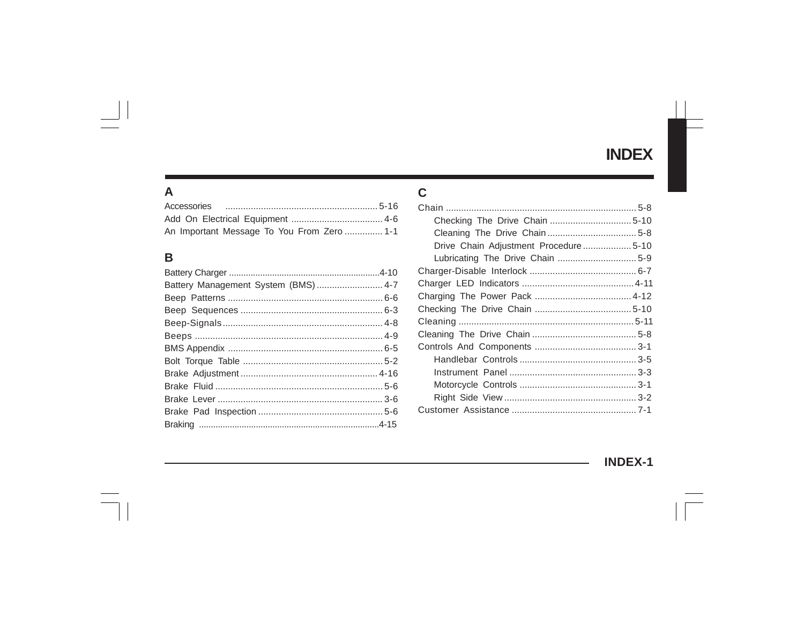# **INDEX**

### $\mathsf{A}$

| An Important Message To You From Zero  1-1 |  |
|--------------------------------------------|--|

### $\, {\bf B}$

### $\mathbf C$

| Drive Chain Adjustment Procedure5-10 |  |
|--------------------------------------|--|
| Lubricating The Drive Chain  5-9     |  |
|                                      |  |
|                                      |  |
|                                      |  |
|                                      |  |
|                                      |  |
|                                      |  |
|                                      |  |
|                                      |  |
|                                      |  |
|                                      |  |
|                                      |  |
|                                      |  |
|                                      |  |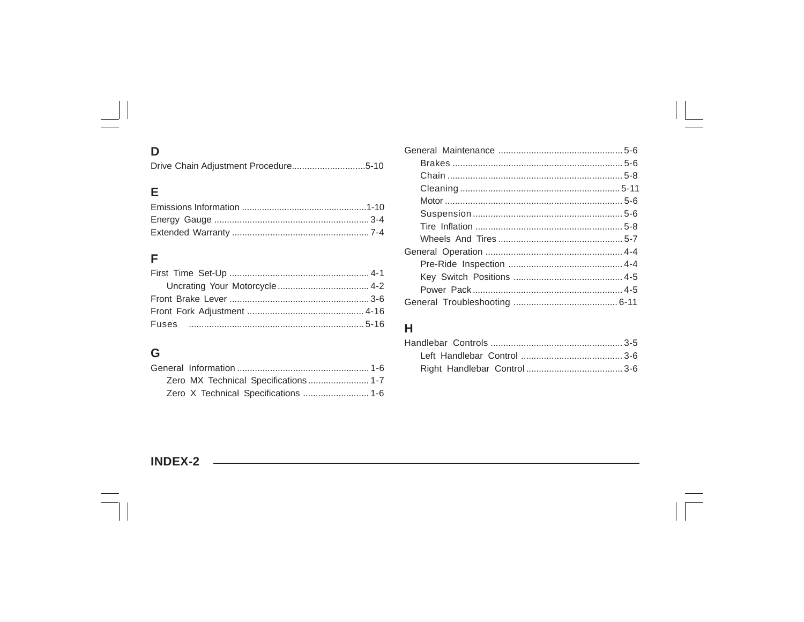## D

Drive Chain Adjustment Procedure................................5-10

## E

### F

## G

### $H$

### **INDEX-2**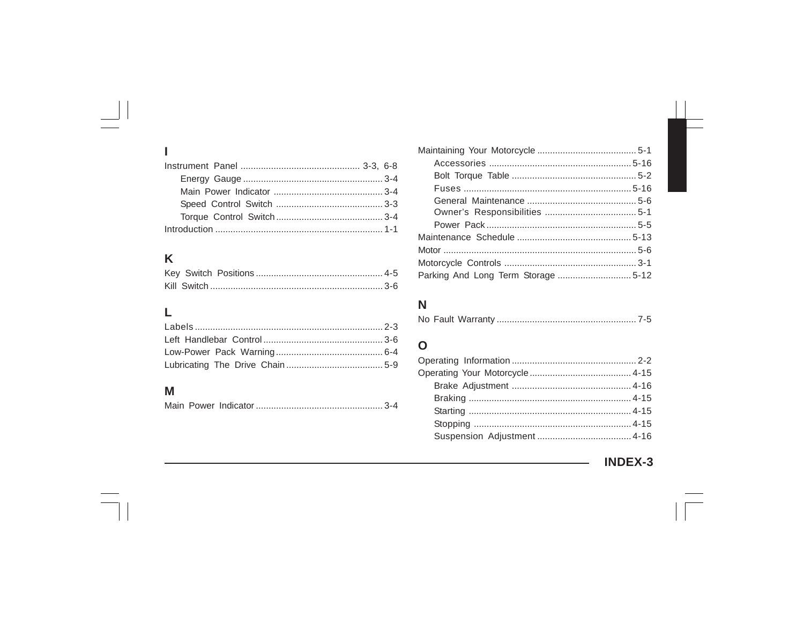# K

 $\overline{1}$ 

## $\mathsf{L}%$

## $\mathsf{M}$

|--|--|--|--|

## $\overline{\mathsf{N}}$

|--|--|--|--|--|

### $\mathbf 0$

**INDEX-3**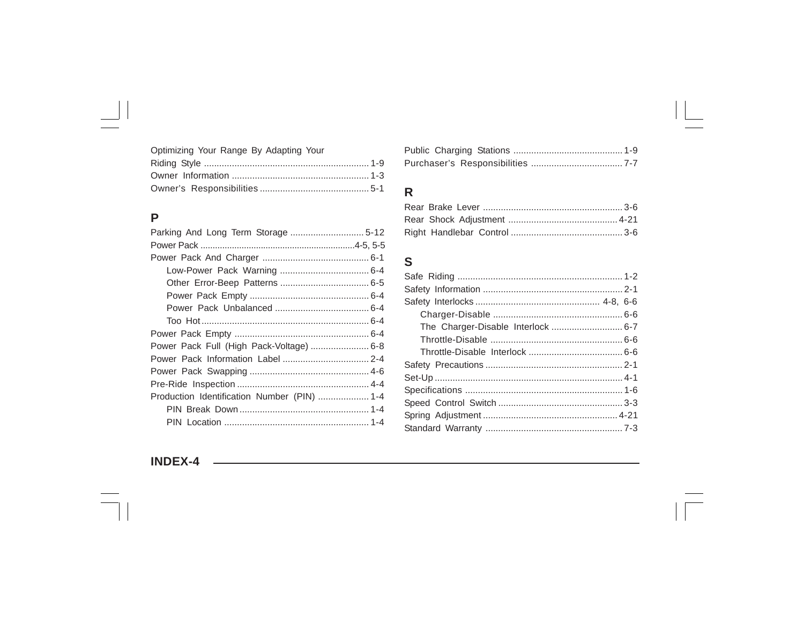Optimizing Your Range By Adapting Your

## $\overline{P}$

| Power Pack Full (High Pack-Voltage)  6-8    |
|---------------------------------------------|
|                                             |
|                                             |
|                                             |
| Production Identification Number (PIN)  1-4 |
|                                             |
|                                             |

## $\mathsf{R}$

### $\mathbf S$

### **INDEX-4**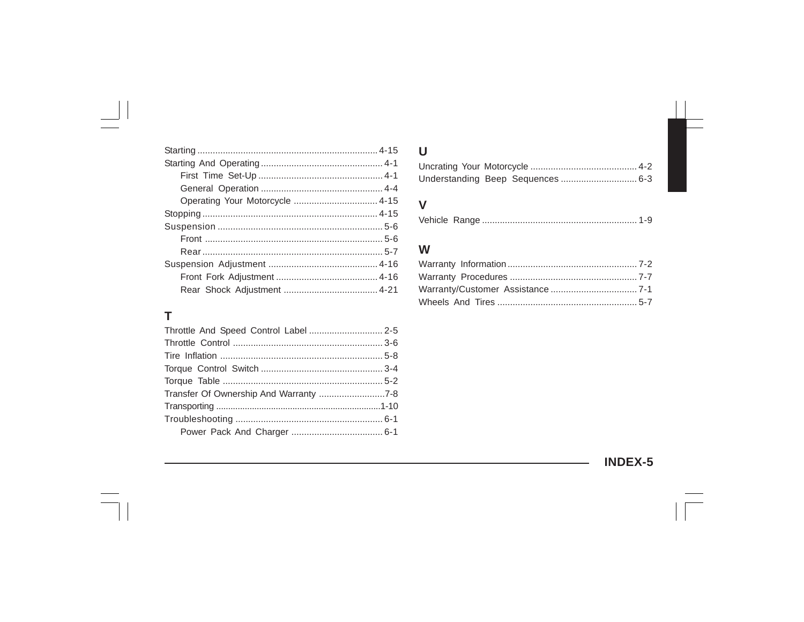## T

| Transfer Of Ownership And Warranty 7-8 |  |
|----------------------------------------|--|
|                                        |  |
|                                        |  |
|                                        |  |
|                                        |  |

### $\pmb{\pmb{\pmb{\cup}}}$

### $\mathsf{V}$

|--|--|

### W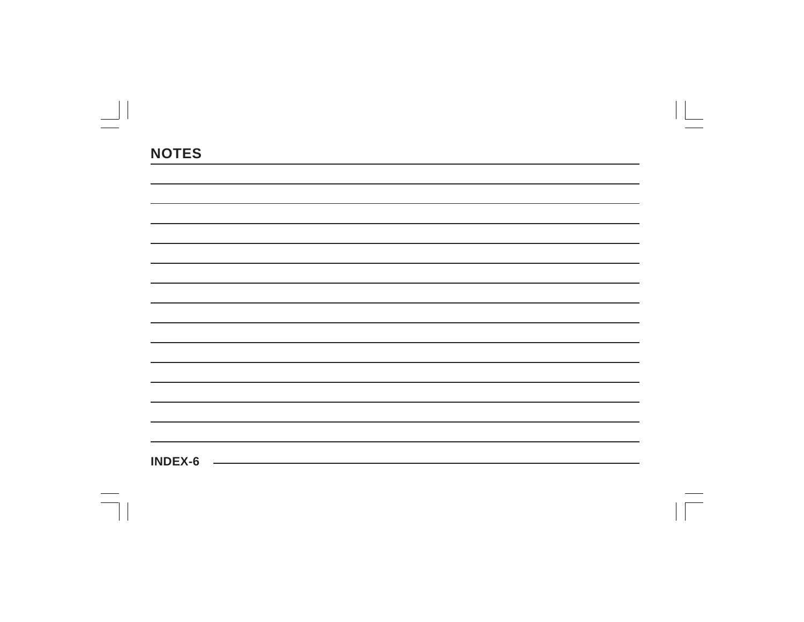| <b>INDEX-6</b> |  |  |  |
|----------------|--|--|--|
|                |  |  |  |